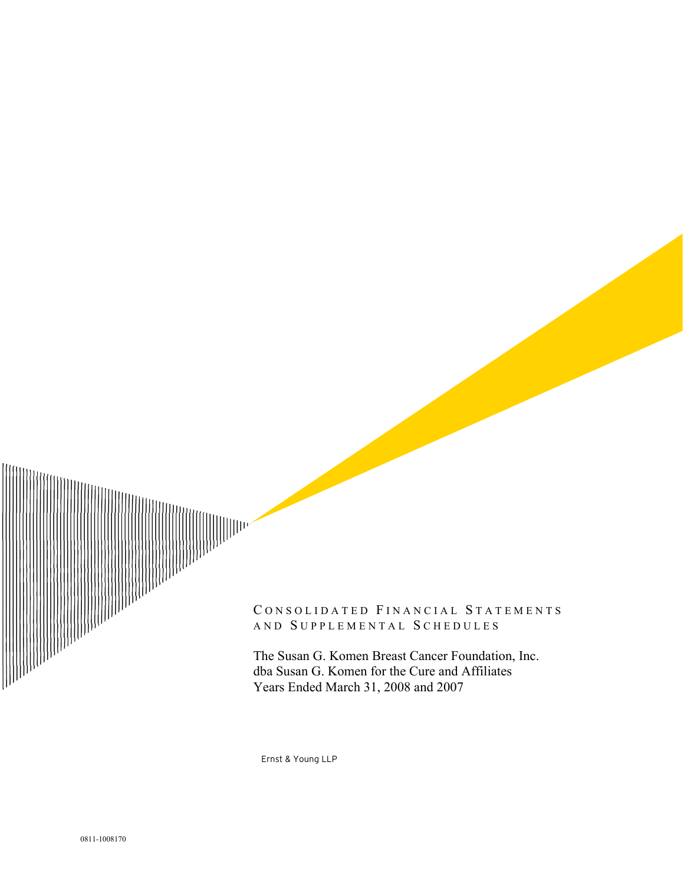

#### CONSOLIDATED FINANCIAL STATEMENTS AND SUPPLEMENTAL SCHEDULES

The Susan G. Komen Breast Cancer Foundation, Inc. dba Susan G. Komen for the Cure and Affiliates Years Ended March 31, 2008 and 2007

Ernst & Young LLP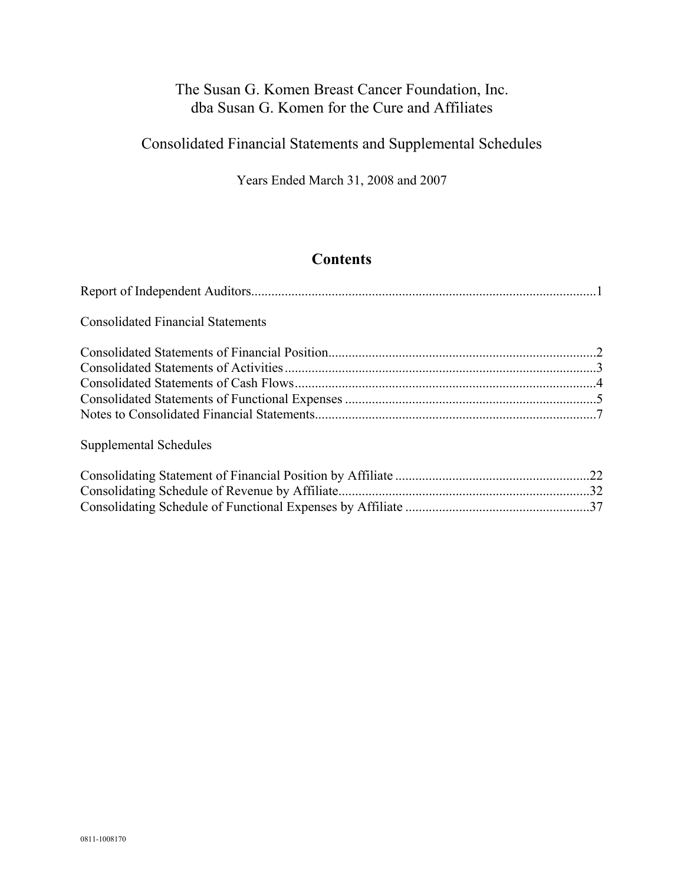Consolidated Financial Statements and Supplemental Schedules

Years Ended March 31, 2008 and 2007

### **Contents**

| <b>Consolidated Financial Statements</b>                   |  |
|------------------------------------------------------------|--|
|                                                            |  |
|                                                            |  |
|                                                            |  |
|                                                            |  |
|                                                            |  |
| Supplemental Schedules                                     |  |
| Consolidating Statement of Financial Desition by Affiliate |  |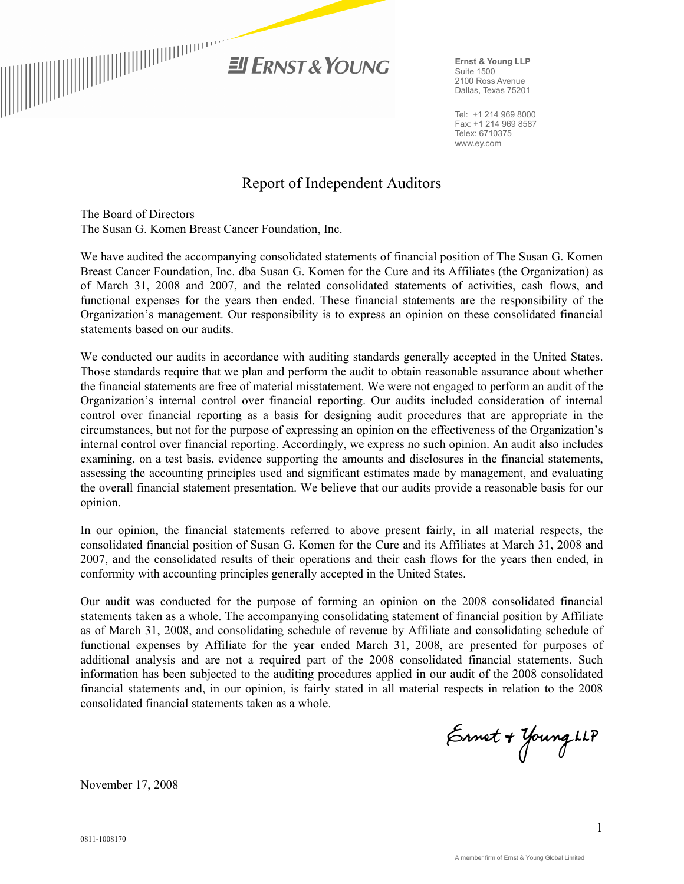

**Ernst & Young LLP**  Suite 1500 2100 Ross Avenue Dallas, Texas 75201

Tel: +1 214 969 8000 Fax: +1 214 969 8587 Telex: 6710375 www.ey.com

### Report of Independent Auditors

The Board of Directors The Susan G. Komen Breast Cancer Foundation, Inc.

We have audited the accompanying consolidated statements of financial position of The Susan G. Komen Breast Cancer Foundation, Inc. dba Susan G. Komen for the Cure and its Affiliates (the Organization) as of March 31, 2008 and 2007, and the related consolidated statements of activities, cash flows, and functional expenses for the years then ended. These financial statements are the responsibility of the Organization's management. Our responsibility is to express an opinion on these consolidated financial statements based on our audits.

We conducted our audits in accordance with auditing standards generally accepted in the United States. Those standards require that we plan and perform the audit to obtain reasonable assurance about whether the financial statements are free of material misstatement. We were not engaged to perform an audit of the Organization's internal control over financial reporting. Our audits included consideration of internal control over financial reporting as a basis for designing audit procedures that are appropriate in the circumstances, but not for the purpose of expressing an opinion on the effectiveness of the Organization's internal control over financial reporting. Accordingly, we express no such opinion. An audit also includes examining, on a test basis, evidence supporting the amounts and disclosures in the financial statements, assessing the accounting principles used and significant estimates made by management, and evaluating the overall financial statement presentation. We believe that our audits provide a reasonable basis for our opinion.

In our opinion, the financial statements referred to above present fairly, in all material respects, the consolidated financial position of Susan G. Komen for the Cure and its Affiliates at March 31, 2008 and 2007, and the consolidated results of their operations and their cash flows for the years then ended, in conformity with accounting principles generally accepted in the United States.

Our audit was conducted for the purpose of forming an opinion on the 2008 consolidated financial statements taken as a whole. The accompanying consolidating statement of financial position by Affiliate as of March 31, 2008, and consolidating schedule of revenue by Affiliate and consolidating schedule of functional expenses by Affiliate for the year ended March 31, 2008, are presented for purposes of additional analysis and are not a required part of the 2008 consolidated financial statements. Such information has been subjected to the auditing procedures applied in our audit of the 2008 consolidated financial statements and, in our opinion, is fairly stated in all material respects in relation to the 2008 consolidated financial statements taken as a whole.

Ennet + Young LLP

November 17, 2008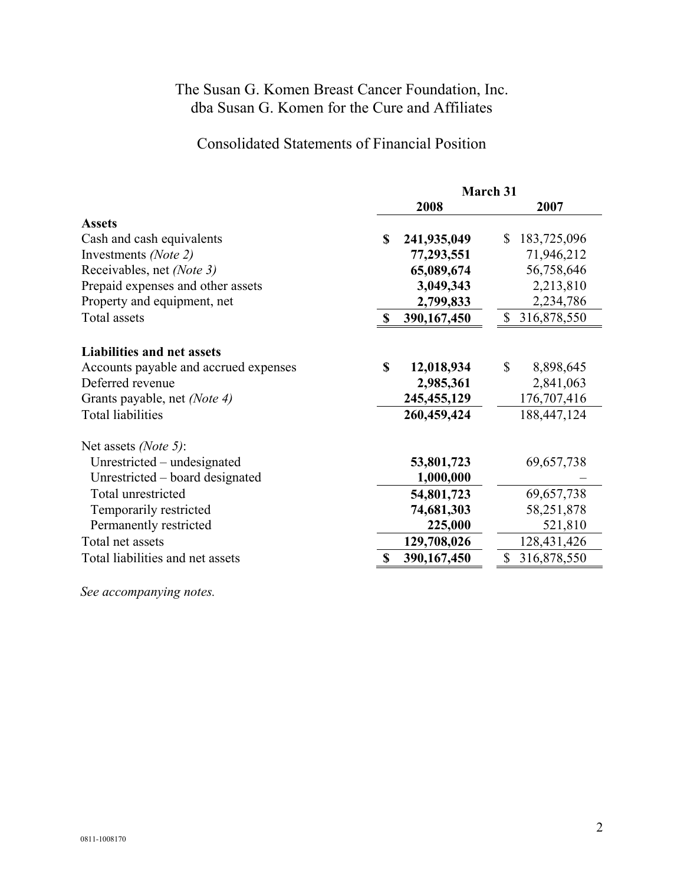### Consolidated Statements of Financial Position

|                                       | March 31                   |                               |  |
|---------------------------------------|----------------------------|-------------------------------|--|
|                                       | 2008                       | 2007                          |  |
| <b>Assets</b>                         |                            |                               |  |
| Cash and cash equivalents             | 241,935,049<br>\$          | 183,725,096<br>$\mathbb{S}^-$ |  |
| Investments (Note 2)                  | 77,293,551                 | 71,946,212                    |  |
| Receivables, net (Note 3)             | 65,089,674                 | 56,758,646                    |  |
| Prepaid expenses and other assets     | 3,049,343                  | 2,213,810                     |  |
| Property and equipment, net           | 2,799,833                  | 2,234,786                     |  |
| Total assets                          | 390,167,450<br>$\mathbf S$ | 316,878,550<br>\$             |  |
| <b>Liabilities and net assets</b>     |                            |                               |  |
| Accounts payable and accrued expenses | $\mathbf S$<br>12,018,934  | $\mathbf S$<br>8,898,645      |  |
| Deferred revenue                      | 2,985,361                  | 2,841,063                     |  |
| Grants payable, net <i>(Note 4)</i>   | 245, 455, 129              | 176,707,416                   |  |
| <b>Total liabilities</b>              | 260,459,424                | 188,447,124                   |  |
| Net assets (Note 5):                  |                            |                               |  |
| Unrestricted – undesignated           | 53,801,723                 | 69,657,738                    |  |
| Unrestricted – board designated       | 1,000,000                  |                               |  |
| Total unrestricted                    | 54,801,723                 | 69,657,738                    |  |
| Temporarily restricted                | 74,681,303                 | 58,251,878                    |  |
| Permanently restricted                | 225,000                    | 521,810                       |  |
| Total net assets                      | 129,708,026                | 128,431,426                   |  |
| Total liabilities and net assets      | 390,167,450                | 316,878,550<br>\$             |  |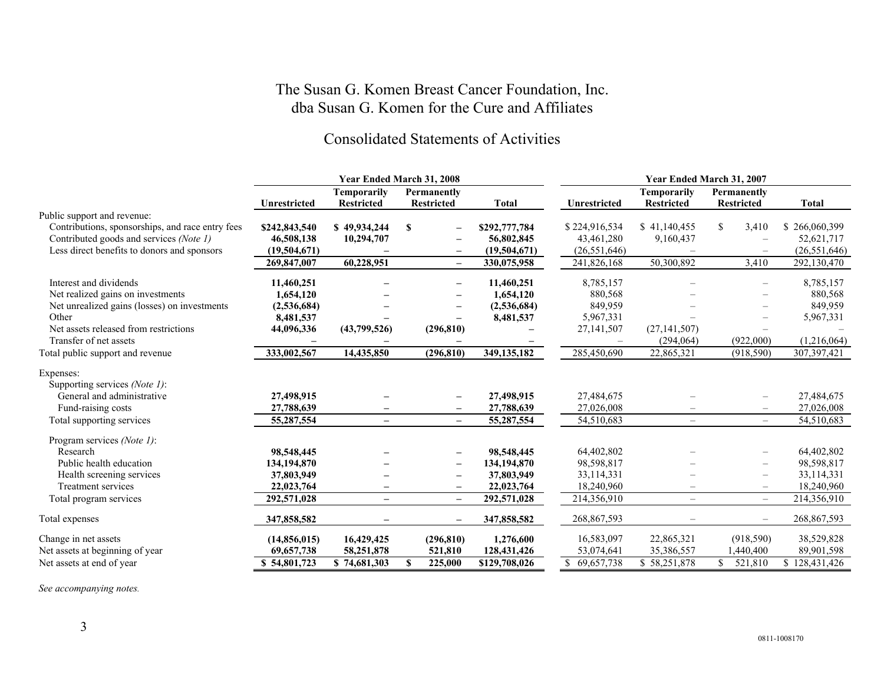### Consolidated Statements of Activities

|                                                  |                     |                                         | Year Ended March 31, 2008      |               | Year Ended March 31, 2007 |                                         |                                  |                   |
|--------------------------------------------------|---------------------|-----------------------------------------|--------------------------------|---------------|---------------------------|-----------------------------------------|----------------------------------|-------------------|
|                                                  | <b>Unrestricted</b> | <b>Temporarily</b><br><b>Restricted</b> | Permanently<br>Restricted      | <b>Total</b>  | Unrestricted              | <b>Temporarily</b><br><b>Restricted</b> | Permanently<br><b>Restricted</b> | <b>Total</b>      |
| Public support and revenue:                      |                     |                                         |                                |               |                           |                                         |                                  |                   |
| Contributions, sponsorships, and race entry fees | \$242,843,540       | \$49,934,244                            | \$<br>$\overline{\phantom{a}}$ | \$292,777,784 | \$224,916,534             | \$41,140,455                            | 3,410<br><sup>S</sup>            | \$266,060,399     |
| Contributed goods and services (Note 1)          | 46,508,138          | 10,294,707                              |                                | 56,802,845    | 43,461,280                | 9,160,437                               |                                  | 52,621,717        |
| Less direct benefits to donors and sponsors      | (19,504,671)        |                                         | $\qquad \qquad -$              | (19,504,671)  | (26, 551, 646)            |                                         |                                  | (26, 551, 646)    |
|                                                  | 269,847,007         | 60,228,951                              | $\overline{\phantom{0}}$       | 330,075,958   | 241,826,168               | 50,300,892                              | 3,410                            | 292,130,470       |
| Interest and dividends                           | 11,460,251          |                                         |                                | 11,460,251    | 8,785,157                 |                                         |                                  | 8,785,157         |
| Net realized gains on investments                | 1,654,120           |                                         |                                | 1,654,120     | 880,568                   |                                         |                                  | 880,568           |
| Net unrealized gains (losses) on investments     | (2,536,684)         |                                         |                                | (2,536,684)   | 849,959                   |                                         |                                  | 849,959           |
| Other                                            | 8,481,537           |                                         |                                | 8,481,537     | 5,967,331                 |                                         |                                  | 5,967,331         |
| Net assets released from restrictions            | 44,096,336          | (43,799,526)                            | (296, 810)                     |               | 27, 141, 507              | (27, 141, 507)                          |                                  |                   |
| Transfer of net assets                           |                     |                                         |                                |               |                           | (294, 064)                              | (922,000)                        | (1,216,064)       |
| Total public support and revenue                 | 333,002,567         | 14,435,850                              | (296, 810)                     | 349, 135, 182 | 285,450,690               | 22,865,321                              | (918, 590)                       | 307,397,421       |
| Expenses:                                        |                     |                                         |                                |               |                           |                                         |                                  |                   |
| Supporting services (Note 1):                    |                     |                                         |                                |               |                           |                                         |                                  |                   |
| General and administrative                       | 27,498,915          |                                         | $\overline{\phantom{0}}$       | 27,498,915    | 27,484,675                |                                         |                                  | 27,484,675        |
| Fund-raising costs                               | 27,788,639          |                                         | $\overline{\phantom{m}}$       | 27,788,639    | 27,026,008                |                                         | $\qquad \qquad -$                | 27,026,008        |
| Total supporting services                        | 55,287,554          |                                         | $-$                            | 55,287,554    | 54,510,683                | $\overline{\phantom{a}}$                | $-$                              | 54,510,683        |
| Program services (Note 1):                       |                     |                                         |                                |               |                           |                                         |                                  |                   |
| Research                                         | 98,548,445          |                                         | $\qquad \qquad -$              | 98,548,445    | 64,402,802                |                                         |                                  | 64,402,802        |
| Public health education                          | 134,194,870         |                                         | $\overline{\phantom{m}}$       | 134,194,870   | 98,598,817                |                                         |                                  | 98,598,817        |
| Health screening services                        | 37,803,949          |                                         | $\overline{\phantom{m}}$       | 37,803,949    | 33,114,331                |                                         | $\qquad \qquad -$                | 33,114,331        |
| Treatment services                               | 22,023,764          |                                         | $\qquad \qquad -$              | 22,023,764    | 18,240,960                |                                         | $\overline{\phantom{0}}$         | 18,240,960        |
| Total program services                           | 292,571,028         | $-$                                     | $\qquad \qquad -$              | 292,571,028   | 214,356,910               | $\overline{\phantom{m}}$                | $-$                              | 214,356,910       |
| Total expenses                                   | 347,858,582         |                                         |                                | 347,858,582   | 268,867,593               |                                         |                                  | 268,867,593       |
| Change in net assets                             | (14,856,015)        | 16,429,425                              | (296, 810)                     | 1,276,600     | 16,583,097                | 22,865,321                              | (918, 590)                       | 38,529,828        |
| Net assets at beginning of year                  | 69,657,738          | 58,251,878                              | 521,810                        | 128,431,426   | 53,074,641                | 35,386,557                              | ,440,400                         | 89,901,598        |
| Net assets at end of year                        | \$54,801,723        | \$74,681,303                            | 225,000<br>S                   | \$129,708,026 | \$69,657,738              | \$58,251,878                            | 521,810                          | \$<br>128,431,426 |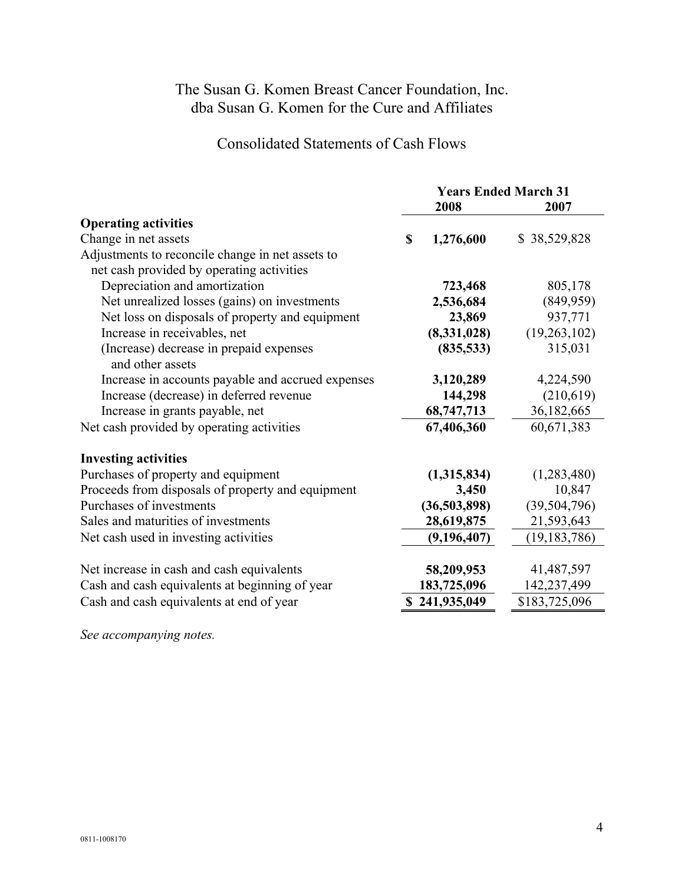### Consolidated Statements of Cash Flows

|                                                             |   | <b>Years Ended March 31</b><br>2008 | 2007           |
|-------------------------------------------------------------|---|-------------------------------------|----------------|
| <b>Operating activities</b>                                 |   |                                     |                |
| Change in net assets                                        | S | 1,276,600                           | \$38,529,828   |
| Adjustments to reconcile change in net assets to            |   |                                     |                |
| net cash provided by operating activities                   |   |                                     |                |
| Depreciation and amortization                               |   | 723,468                             | 805,178        |
| Net unrealized losses (gains) on investments                |   | 2,536,684                           | (849, 959)     |
| Net loss on disposals of property and equipment             |   | 23,869                              | 937,771        |
| Increase in receivables, net                                |   | (8,331,028)                         | (19,263,102)   |
| (Increase) decrease in prepaid expenses<br>and other assets |   | (835,533)                           | 315,031        |
| Increase in accounts payable and accrued expenses           |   | 3,120,289                           | 4,224,590      |
| Increase (decrease) in deferred revenue                     |   | 144,298                             | (210,619)      |
| Increase in grants payable, net                             |   | 68,747,713                          | 36,182,665     |
| Net cash provided by operating activities                   |   | 67,406,360                          | 60,671,383     |
| <b>Investing activities</b>                                 |   |                                     |                |
| Purchases of property and equipment                         |   | (1,315,834)                         | (1,283,480)    |
| Proceeds from disposals of property and equipment           |   | 3,450                               | 10,847         |
| Purchases of investments                                    |   | (36,503,898)                        | (39, 504, 796) |
| Sales and maturities of investments                         |   | 28,619,875                          | 21,593,643     |
| Net cash used in investing activities                       |   | (9,196,407)                         | (19, 183, 786) |
| Net increase in cash and cash equivalents                   |   | 58,209,953                          | 41,487,597     |
| Cash and cash equivalents at beginning of year              |   | 183,725,096                         | 142,237,499    |
| Cash and cash equivalents at end of year                    |   | \$241,935,049                       | \$183,725,096  |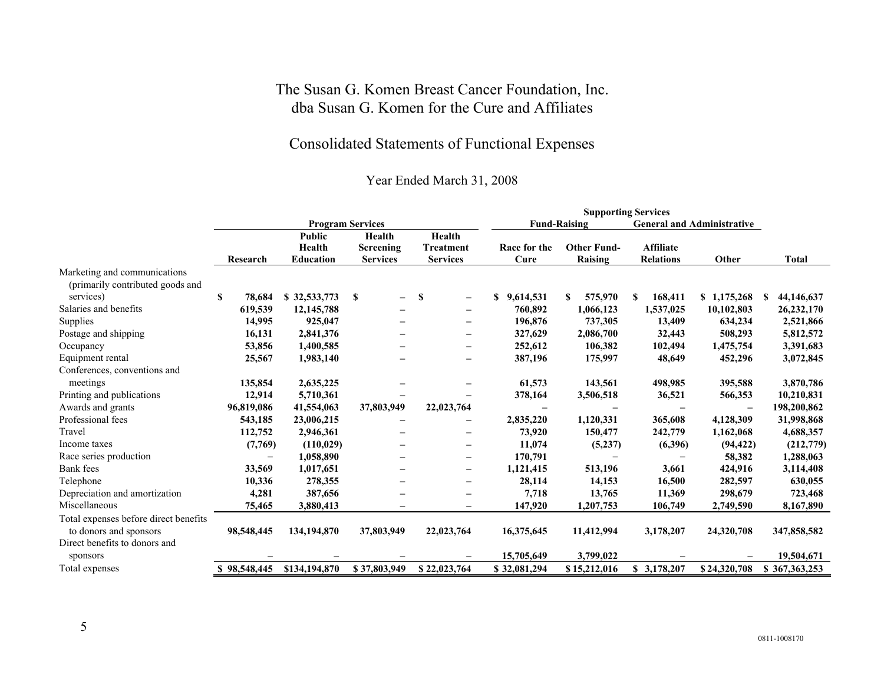## Consolidated Statements of Functional Expenses

|                                       |                   | <b>Program Services</b>                     |                                        |                                        | <b>Fund-Raising</b><br><b>General and Administrative</b> |                               |                                      |                          |                   |
|---------------------------------------|-------------------|---------------------------------------------|----------------------------------------|----------------------------------------|----------------------------------------------------------|-------------------------------|--------------------------------------|--------------------------|-------------------|
|                                       | Research          | <b>Public</b><br>Health<br><b>Education</b> | Health<br>Screening<br><b>Services</b> | Health<br>Treatment<br><b>Services</b> | Race for the<br>Cure                                     | <b>Other Fund-</b><br>Raising | <b>Affiliate</b><br><b>Relations</b> | Other                    | <b>Total</b>      |
| Marketing and communications          |                   |                                             |                                        |                                        |                                                          |                               |                                      |                          |                   |
| (primarily contributed goods and      |                   |                                             |                                        |                                        |                                                          |                               |                                      |                          |                   |
| services)                             | S<br>78,684       | \$32,533,773                                | -S<br>$\overline{\phantom{0}}$         | S                                      | 9,614,531<br>\$                                          | 575,970<br>S                  | 168,411<br>S                         | \$1,175,268              | 44,146,637<br>\$. |
| Salaries and benefits                 | 619,539           | 12,145,788                                  | $\overline{\phantom{m}}$               | $\overline{\phantom{0}}$               | 760,892                                                  | 1,066,123                     | 1,537,025                            | 10,102,803               | 26,232,170        |
| Supplies                              | 14,995            | 925,047                                     |                                        |                                        | 196,876                                                  | 737,305                       | 13,409                               | 634,234                  | 2,521,866         |
| Postage and shipping                  | 16,131            | 2,841,376                                   |                                        | $\overline{\phantom{0}}$               | 327,629                                                  | 2,086,700                     | 32,443                               | 508,293                  | 5,812,572         |
| Occupancy                             | 53,856            | 1,400,585                                   |                                        | $\overline{\phantom{m}}$               | 252,612                                                  | 106,382                       | 102,494                              | 1,475,754                | 3,391,683         |
| Equipment rental                      | 25,567            | 1,983,140                                   |                                        | $\overline{\phantom{0}}$               | 387,196                                                  | 175,997                       | 48,649                               | 452,296                  | 3,072,845         |
| Conferences, conventions and          |                   |                                             |                                        |                                        |                                                          |                               |                                      |                          |                   |
| meetings                              | 135,854           | 2,635,225                                   |                                        | $\overline{\phantom{0}}$               | 61,573                                                   | 143,561                       | 498,985                              | 395,588                  | 3,870,786         |
| Printing and publications             | 12,914            | 5,710,361                                   |                                        |                                        | 378,164                                                  | 3,506,518                     | 36,521                               | 566,353                  | 10,210,831        |
| Awards and grants                     | 96,819,086        | 41,554,063                                  | 37,803,949                             | 22,023,764                             | $\overline{\phantom{0}}$                                 |                               |                                      | $\overline{\phantom{0}}$ | 198,200,862       |
| Professional fees                     | 543,185           | 23,006,215                                  |                                        |                                        | 2,835,220                                                | 1,120,331                     | 365,608                              | 4,128,309                | 31,998,868        |
| Travel                                | 112,752           | 2,946,361                                   |                                        | $\overline{\phantom{0}}$               | 73,920                                                   | 150,477                       | 242,779                              | 1,162,068                | 4,688,357         |
| Income taxes                          | (7,769)           | (110, 029)                                  |                                        | $\overline{\phantom{0}}$               | 11,074                                                   | (5,237)                       | (6,396)                              | (94, 422)                | (212,779)         |
| Race series production                | $\qquad \qquad -$ | 1,058,890                                   | $\overline{\phantom{m}}$               | $\overline{\phantom{0}}$               | 170,791                                                  |                               |                                      | 58,382                   | 1,288,063         |
| <b>Bank</b> fees                      | 33,569            | 1,017,651                                   |                                        |                                        | 1,121,415                                                | 513,196                       | 3,661                                | 424,916                  | 3,114,408         |
| Telephone                             | 10,336            | 278,355                                     | $\overline{\phantom{m}}$               |                                        | 28,114                                                   | 14,153                        | 16,500                               | 282,597                  | 630,055           |
| Depreciation and amortization         | 4,281             | 387,656                                     |                                        | $\overline{\phantom{0}}$               | 7,718                                                    | 13,765                        | 11,369                               | 298,679                  | 723,468           |
| Miscellaneous                         | 75,465            | 3,880,413                                   | $\qquad \qquad -$                      | $\overline{\phantom{m}}$               | 147,920                                                  | 1,207,753                     | 106,749                              | 2,749,590                | 8,167,890         |
| Total expenses before direct benefits |                   |                                             |                                        |                                        |                                                          |                               |                                      |                          |                   |
| to donors and sponsors                | 98,548,445        | 134,194,870                                 | 37,803,949                             | 22,023,764                             | 16,375,645                                               | 11,412,994                    | 3,178,207                            | 24,320,708               | 347,858,582       |
| Direct benefits to donors and         |                   |                                             |                                        |                                        |                                                          |                               |                                      |                          |                   |
| sponsors                              |                   |                                             |                                        |                                        | 15,705,649                                               | 3,799,022                     |                                      |                          | 19,504,671        |
| Total expenses                        | \$98,548,445      | \$134,194,870                               | \$37,803,949                           | \$22,023,764                           | \$32,081,294                                             | \$15,212,016                  | \$3,178,207                          | \$24,320,708             | \$367,363,253     |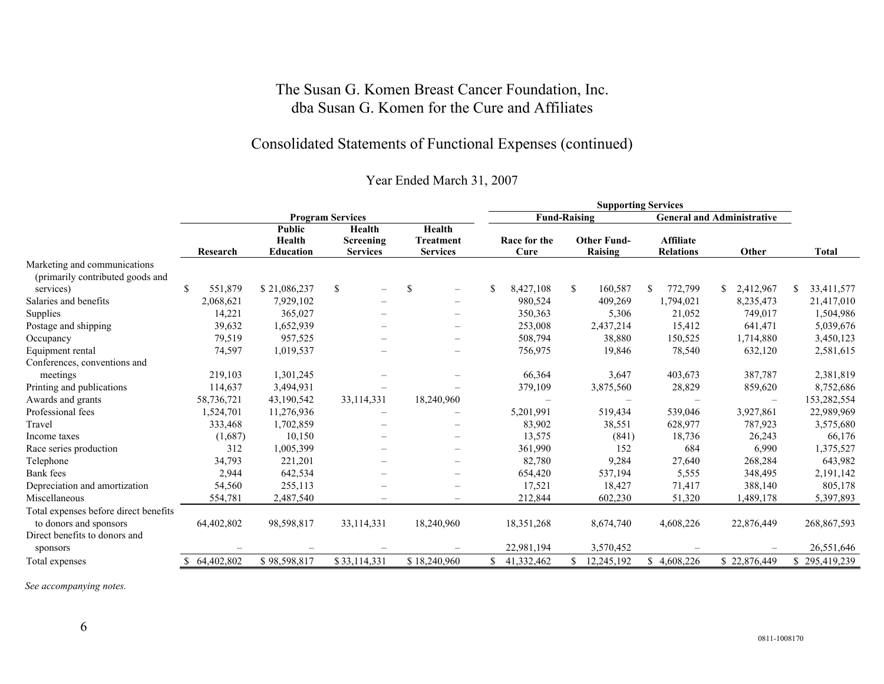### Consolidated Statements of Functional Expenses (continued)

### Year Ended March 31, 2007

|                                       |                         |                                             |                                        |                                               |     | <b>Supporting Services</b> |                               |                                      |                                   |                  |
|---------------------------------------|-------------------------|---------------------------------------------|----------------------------------------|-----------------------------------------------|-----|----------------------------|-------------------------------|--------------------------------------|-----------------------------------|------------------|
|                                       |                         |                                             | <b>Program Services</b>                |                                               |     |                            | <b>Fund-Raising</b>           |                                      | <b>General and Administrative</b> |                  |
|                                       | Research                | <b>Public</b><br>Health<br><b>Education</b> | Health<br>Screening<br><b>Services</b> | Health<br><b>Treatment</b><br><b>Services</b> |     | Race for the<br>Cure       | <b>Other Fund-</b><br>Raising | <b>Affiliate</b><br><b>Relations</b> | Other                             | <b>Total</b>     |
| Marketing and communications          |                         |                                             |                                        |                                               |     |                            |                               |                                      |                                   |                  |
| (primarily contributed goods and      |                         |                                             |                                        |                                               |     |                            |                               |                                      |                                   |                  |
| services)                             | $\mathbb{S}$<br>551,879 | \$21,086,237                                | \$<br>$\overline{\phantom{0}}$         | \$<br>$\qquad \qquad -$                       |     | 8,427,108                  | \$<br>160,587                 | 772,799<br>S.                        | 2,412,967<br>\$.                  | 33,411,577<br>S. |
| Salaries and benefits                 | 2,068,621               | 7,929,102                                   |                                        | $\qquad \qquad -$                             |     | 980,524                    | 409,269                       | 1,794,021                            | 8,235,473                         | 21,417,010       |
| Supplies                              | 14,221                  | 365,027                                     |                                        | $\overline{\phantom{0}}$                      |     | 350,363                    | 5,306                         | 21,052                               | 749,017                           | 1,504,986        |
| Postage and shipping                  | 39,632                  | 1,652,939                                   |                                        | —                                             |     | 253,008                    | 2,437,214                     | 15,412                               | 641,471                           | 5,039,676        |
| Occupancy                             | 79,519                  | 957,525                                     | $\overline{\phantom{0}}$               | —                                             |     | 508,794                    | 38,880                        | 150,525                              | 1,714,880                         | 3,450,123        |
| Equipment rental                      | 74,597                  | 1,019,537                                   |                                        | —                                             |     | 756,975                    | 19,846                        | 78,540                               | 632,120                           | 2,581,615        |
| Conferences, conventions and          |                         |                                             |                                        |                                               |     |                            |                               |                                      |                                   |                  |
| meetings                              | 219,103                 | 1,301,245                                   |                                        |                                               |     | 66,364                     | 3,647                         | 403,673                              | 387,787                           | 2,381,819        |
| Printing and publications             | 114,637                 | 3,494,931                                   |                                        |                                               |     | 379,109                    | 3,875,560                     | 28,829                               | 859,620                           | 8,752,686        |
| Awards and grants                     | 58,736,721              | 43,190,542                                  | 33,114,331                             | 18,240,960                                    |     |                            |                               |                                      | $\overline{\phantom{a}}$          | 153,282,554      |
| Professional fees                     | 1,524,701               | 11,276,936                                  | $\qquad \qquad -$                      |                                               |     | 5,201,991                  | 519,434                       | 539,046                              | 3,927,861                         | 22,989,969       |
| Travel                                | 333,468                 | 1,702,859                                   |                                        |                                               |     | 83,902                     | 38,551                        | 628,977                              | 787,923                           | 3,575,680        |
| Income taxes                          | (1,687)                 | 10,150                                      |                                        | —                                             |     | 13,575                     | (841)                         | 18,736                               | 26,243                            | 66,176           |
| Race series production                | 312                     | 1,005,399                                   |                                        | $\overline{\phantom{0}}$                      |     | 361,990                    | 152                           | 684                                  | 6,990                             | 1,375,527        |
| Telephone                             | 34,793                  | 221,201                                     |                                        |                                               |     | 82,780                     | 9,284                         | 27,640                               | 268,284                           | 643,982          |
| Bank fees                             | 2,944                   | 642,534                                     |                                        |                                               |     | 654,420                    | 537,194                       | 5,555                                | 348,495                           | 2,191,142        |
| Depreciation and amortization         | 54,560                  | 255,113                                     |                                        |                                               |     | 17,521                     | 18,427                        | 71,417                               | 388,140                           | 805,178          |
| Miscellaneous                         | 554,781                 | 2,487,540                                   | $\overline{\phantom{a}}$               |                                               |     | 212,844                    | 602,230                       | 51,320                               | 1,489,178                         | 5,397,893        |
| Total expenses before direct benefits |                         |                                             |                                        |                                               |     |                            |                               |                                      |                                   |                  |
| to donors and sponsors                | 64,402,802              | 98,598,817                                  | 33,114,331                             | 18,240,960                                    |     | 18,351,268                 | 8,674,740                     | 4,608,226                            | 22,876,449                        | 268,867,593      |
| Direct benefits to donors and         |                         |                                             |                                        |                                               |     |                            |                               |                                      |                                   |                  |
| sponsors                              |                         |                                             |                                        |                                               |     | 22,981,194                 | 3,570,452                     |                                      |                                   | 26,551,646       |
| Total expenses                        | 64,402,802              | \$98,598,817                                | \$33,114,331                           | \$18,240,960                                  | \$. | 41,332,462                 | 12,245,192<br>\$.             | \$4,608,226                          | \$22,876,449                      | \$295,419,239    |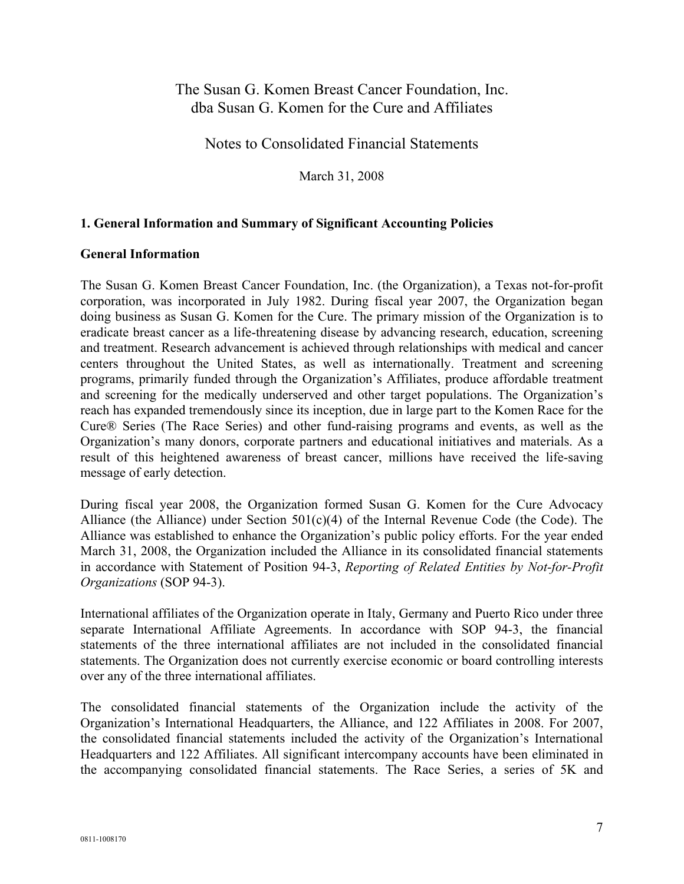Notes to Consolidated Financial Statements

March 31, 2008

#### **1. General Information and Summary of Significant Accounting Policies**

#### **General Information**

The Susan G. Komen Breast Cancer Foundation, Inc. (the Organization), a Texas not-for-profit corporation, was incorporated in July 1982. During fiscal year 2007, the Organization began doing business as Susan G. Komen for the Cure. The primary mission of the Organization is to eradicate breast cancer as a life-threatening disease by advancing research, education, screening and treatment. Research advancement is achieved through relationships with medical and cancer centers throughout the United States, as well as internationally. Treatment and screening programs, primarily funded through the Organization's Affiliates, produce affordable treatment and screening for the medically underserved and other target populations. The Organization's reach has expanded tremendously since its inception, due in large part to the Komen Race for the Cure® Series (The Race Series) and other fund-raising programs and events, as well as the Organization's many donors, corporate partners and educational initiatives and materials. As a result of this heightened awareness of breast cancer, millions have received the life-saving message of early detection.

During fiscal year 2008, the Organization formed Susan G. Komen for the Cure Advocacy Alliance (the Alliance) under Section 501(c)(4) of the Internal Revenue Code (the Code). The Alliance was established to enhance the Organization's public policy efforts. For the year ended March 31, 2008, the Organization included the Alliance in its consolidated financial statements in accordance with Statement of Position 94-3, *Reporting of Related Entities by Not-for-Profit Organizations* (SOP 94-3).

International affiliates of the Organization operate in Italy, Germany and Puerto Rico under three separate International Affiliate Agreements. In accordance with SOP 94-3, the financial statements of the three international affiliates are not included in the consolidated financial statements. The Organization does not currently exercise economic or board controlling interests over any of the three international affiliates.

The consolidated financial statements of the Organization include the activity of the Organization's International Headquarters, the Alliance, and 122 Affiliates in 2008. For 2007, the consolidated financial statements included the activity of the Organization's International Headquarters and 122 Affiliates. All significant intercompany accounts have been eliminated in the accompanying consolidated financial statements. The Race Series, a series of 5K and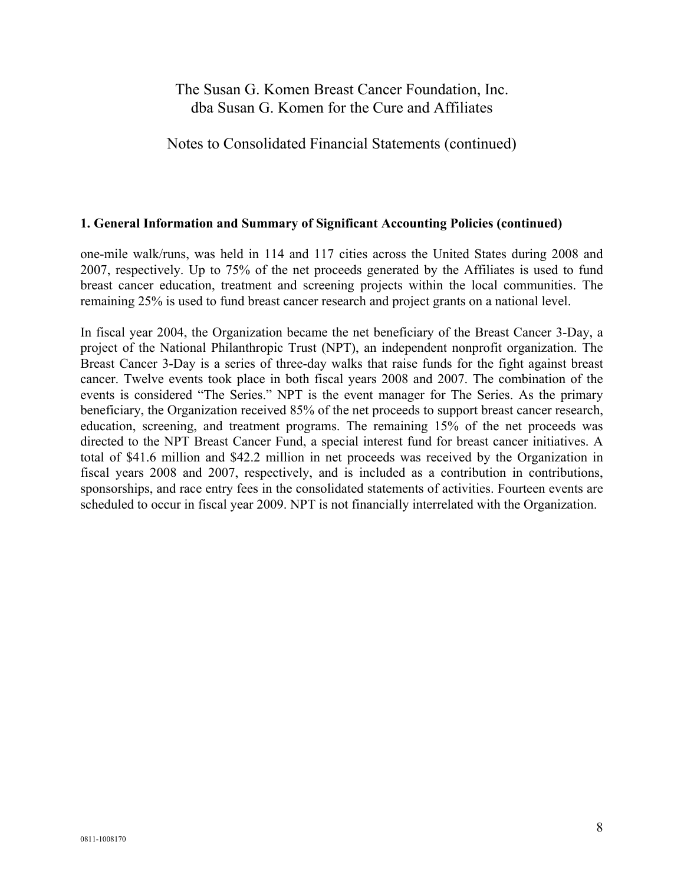### Notes to Consolidated Financial Statements (continued)

#### **1. General Information and Summary of Significant Accounting Policies (continued)**

one-mile walk/runs, was held in 114 and 117 cities across the United States during 2008 and 2007, respectively. Up to 75% of the net proceeds generated by the Affiliates is used to fund breast cancer education, treatment and screening projects within the local communities. The remaining 25% is used to fund breast cancer research and project grants on a national level.

In fiscal year 2004, the Organization became the net beneficiary of the Breast Cancer 3-Day, a project of the National Philanthropic Trust (NPT), an independent nonprofit organization. The Breast Cancer 3-Day is a series of three-day walks that raise funds for the fight against breast cancer. Twelve events took place in both fiscal years 2008 and 2007. The combination of the events is considered "The Series." NPT is the event manager for The Series. As the primary beneficiary, the Organization received 85% of the net proceeds to support breast cancer research, education, screening, and treatment programs. The remaining 15% of the net proceeds was directed to the NPT Breast Cancer Fund, a special interest fund for breast cancer initiatives. A total of \$41.6 million and \$42.2 million in net proceeds was received by the Organization in fiscal years 2008 and 2007, respectively, and is included as a contribution in contributions, sponsorships, and race entry fees in the consolidated statements of activities. Fourteen events are scheduled to occur in fiscal year 2009. NPT is not financially interrelated with the Organization.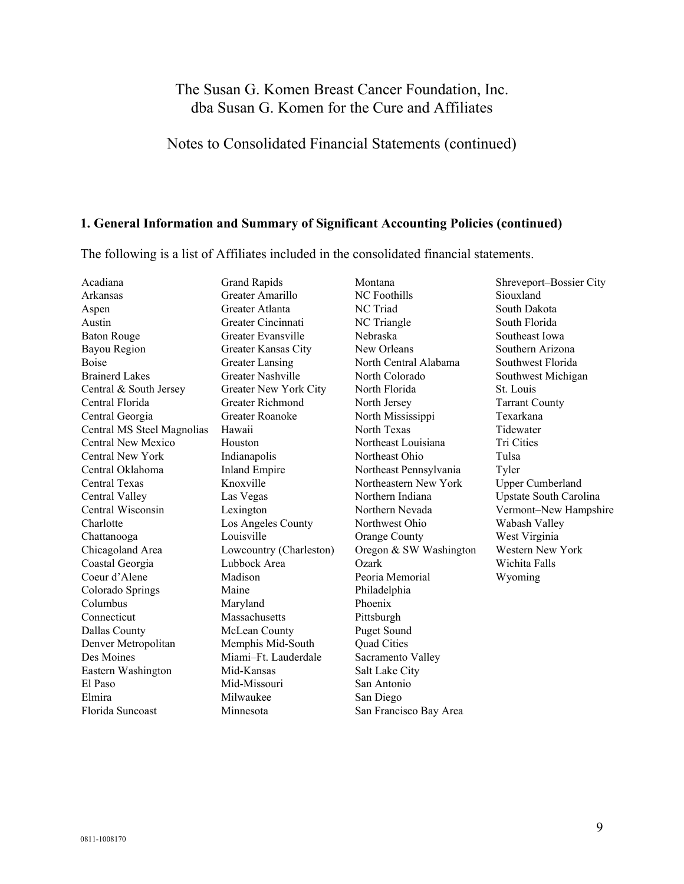### Notes to Consolidated Financial Statements (continued)

#### **1. General Information and Summary of Significant Accounting Policies (continued)**

The following is a list of Affiliates included in the consolidated financial statements.

Acadiana Grand Rapids Montana Shreveport–Bossier City Arkansas Greater Amarillo NC Foothills Siouxland Aspen Greater Atlanta NC Triad South Dakota Austin Greater Cincinnati NC Triangle South Florida Baton Rouge Greater Evansville Nebraska Southeast Iowa Bayou Region Greater Kansas City New Orleans Southern Arizona Boise **Greater Lansing North Central Alabama** Southwest Florida Brainerd Lakes Greater Nashville North Colorado Southwest Michigan Central & South Jersey Greater New York City North Florida St. Louis Central Florida Greater Richmond North Jersey Tarrant County Central Georgia Greater Roanoke North Mississippi Texarkana Central MS Steel Magnolias Hawaii North Texas North Texas Tidewater Central New Mexico Houston Northeast Louisiana Tri Cities Central New York Indianapolis Northeast Ohio Tulsa Central Oklahoma Inland Empire Northeast Pennsylvania Tyler Central Texas Knoxville Northeastern New York Upper Cumberland Central Valley Las Vegas Northern Indiana Upstate South Carolina Central Wisconsin Lexington Northern Nevada Vermont–New Hampshire Charlotte Los Angeles County Northwest Ohio Wabash Valley Chattanooga Louisville Orange County West Virginia Chicagoland Area Lowcountry (Charleston) Oregon & SW Washington Western New York Coastal Georgia Lubbock Area Ozark Wichita Falls Coeur d'Alene Madison Peoria Memorial Wyoming Colorado Springs Maine Philadelphia Columbus Maryland Phoenix Connecticut Massachusetts Pittsburgh Dallas County McLean County Puget Sound Denver Metropolitan Memphis Mid-South Quad Cities Des Moines Miami–Ft. Lauderdale Sacramento Valley Eastern Washington Mid-Kansas Salt Lake City El Paso Mid-Missouri San Antonio Elmira Milwaukee San Diego Florida Suncoast Minnesota San Francisco Bay Area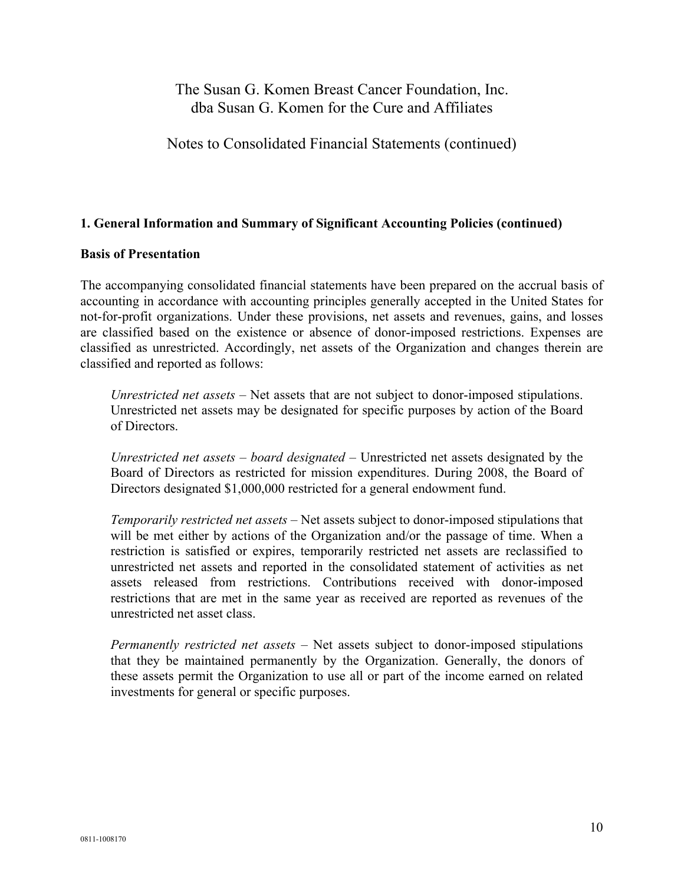Notes to Consolidated Financial Statements (continued)

#### **1. General Information and Summary of Significant Accounting Policies (continued)**

#### **Basis of Presentation**

The accompanying consolidated financial statements have been prepared on the accrual basis of accounting in accordance with accounting principles generally accepted in the United States for not-for-profit organizations. Under these provisions, net assets and revenues, gains, and losses are classified based on the existence or absence of donor-imposed restrictions. Expenses are classified as unrestricted. Accordingly, net assets of the Organization and changes therein are classified and reported as follows:

*Unrestricted net assets* – Net assets that are not subject to donor-imposed stipulations. Unrestricted net assets may be designated for specific purposes by action of the Board of Directors.

*Unrestricted net assets – board designated* – Unrestricted net assets designated by the Board of Directors as restricted for mission expenditures. During 2008, the Board of Directors designated \$1,000,000 restricted for a general endowment fund.

*Temporarily restricted net assets* – Net assets subject to donor-imposed stipulations that will be met either by actions of the Organization and/or the passage of time. When a restriction is satisfied or expires, temporarily restricted net assets are reclassified to unrestricted net assets and reported in the consolidated statement of activities as net assets released from restrictions. Contributions received with donor-imposed restrictions that are met in the same year as received are reported as revenues of the unrestricted net asset class.

*Permanently restricted net assets* – Net assets subject to donor-imposed stipulations that they be maintained permanently by the Organization. Generally, the donors of these assets permit the Organization to use all or part of the income earned on related investments for general or specific purposes.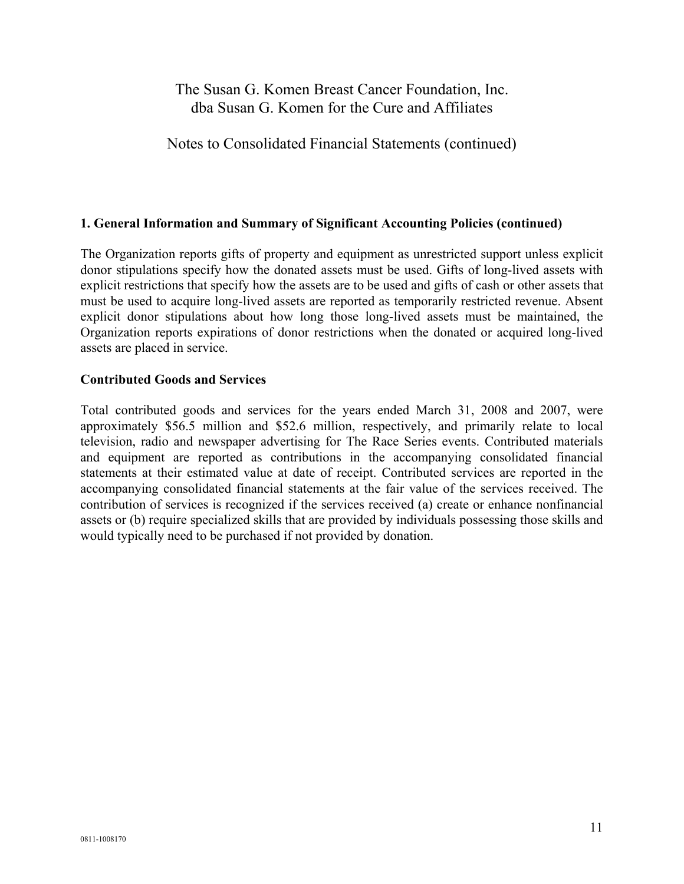Notes to Consolidated Financial Statements (continued)

#### **1. General Information and Summary of Significant Accounting Policies (continued)**

The Organization reports gifts of property and equipment as unrestricted support unless explicit donor stipulations specify how the donated assets must be used. Gifts of long-lived assets with explicit restrictions that specify how the assets are to be used and gifts of cash or other assets that must be used to acquire long-lived assets are reported as temporarily restricted revenue. Absent explicit donor stipulations about how long those long-lived assets must be maintained, the Organization reports expirations of donor restrictions when the donated or acquired long-lived assets are placed in service.

#### **Contributed Goods and Services**

Total contributed goods and services for the years ended March 31, 2008 and 2007, were approximately \$56.5 million and \$52.6 million, respectively, and primarily relate to local television, radio and newspaper advertising for The Race Series events. Contributed materials and equipment are reported as contributions in the accompanying consolidated financial statements at their estimated value at date of receipt. Contributed services are reported in the accompanying consolidated financial statements at the fair value of the services received. The contribution of services is recognized if the services received (a) create or enhance nonfinancial assets or (b) require specialized skills that are provided by individuals possessing those skills and would typically need to be purchased if not provided by donation.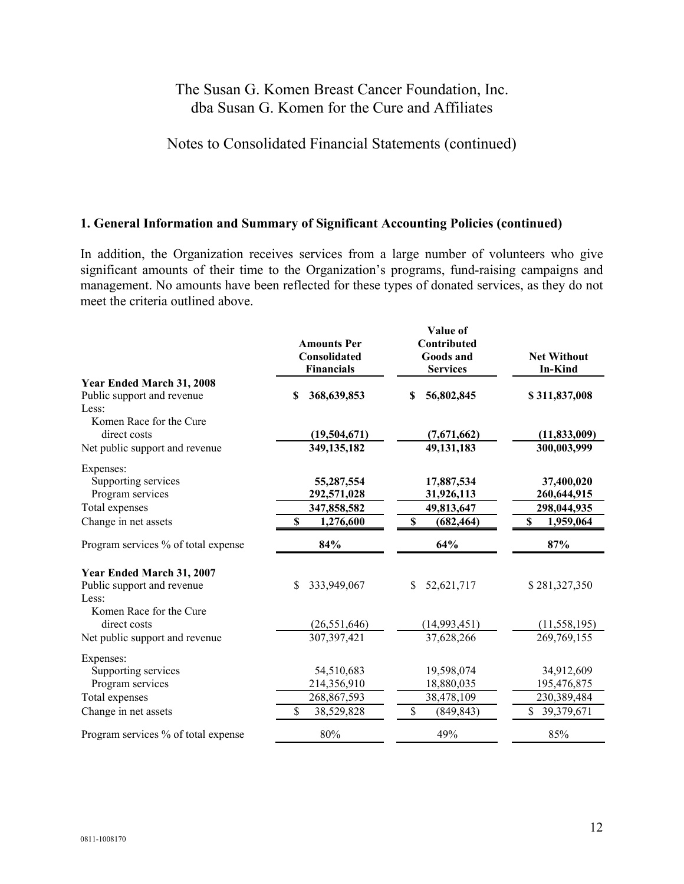Notes to Consolidated Financial Statements (continued)

#### **1. General Information and Summary of Significant Accounting Policies (continued)**

In addition, the Organization receives services from a large number of volunteers who give significant amounts of their time to the Organization's programs, fund-raising campaigns and management. No amounts have been reflected for these types of donated services, as they do not meet the criteria outlined above.

|                                     |                                    | Value of                 |                    |
|-------------------------------------|------------------------------------|--------------------------|--------------------|
|                                     | <b>Amounts Per</b><br>Consolidated | Contributed<br>Goods and | <b>Net Without</b> |
|                                     | <b>Financials</b>                  | <b>Services</b>          | <b>In-Kind</b>     |
| Year Ended March 31, 2008           |                                    |                          |                    |
| Public support and revenue          | 368,639,853<br>\$.                 | 56,802,845<br>S          | \$311,837,008      |
| Less:                               |                                    |                          |                    |
| Komen Race for the Cure             |                                    |                          |                    |
| direct costs                        | (19,504,671)                       | (7,671,662)              | (11, 833, 009)     |
| Net public support and revenue      | 349,135,182                        | 49,131,183               | 300,003,999        |
| Expenses:                           |                                    |                          |                    |
| Supporting services                 | 55,287,554                         | 17,887,534               | 37,400,020         |
| Program services                    | 292,571,028                        | 31,926,113               | 260,644,915        |
| Total expenses                      | 347,858,582                        | 49,813,647               | 298,044,935        |
| Change in net assets                | \$<br>1,276,600                    | \$<br>(682, 464)         | \$<br>1,959,064    |
| Program services % of total expense | 84%                                | 64%                      | 87%                |
| Year Ended March 31, 2007           |                                    |                          |                    |
| Public support and revenue          | \$<br>333,949,067                  | \$<br>52,621,717         | \$281,327,350      |
| Less:                               |                                    |                          |                    |
| Komen Race for the Cure             |                                    |                          |                    |
| direct costs                        | (26, 551, 646)                     | (14, 993, 451)           | (11, 558, 195)     |
| Net public support and revenue      | 307,397,421                        | 37,628,266               | 269,769,155        |
| Expenses:                           |                                    |                          |                    |
| Supporting services                 | 54,510,683                         | 19,598,074               | 34,912,609         |
| Program services                    | 214,356,910                        | 18,880,035               | 195,476,875        |
| Total expenses                      | 268,867,593                        | 38,478,109               | 230,389,484        |
| Change in net assets                | 38,529,828                         | (849, 843)               | \$<br>39,379,671   |
| Program services % of total expense | 80%                                | 49%                      | 85%                |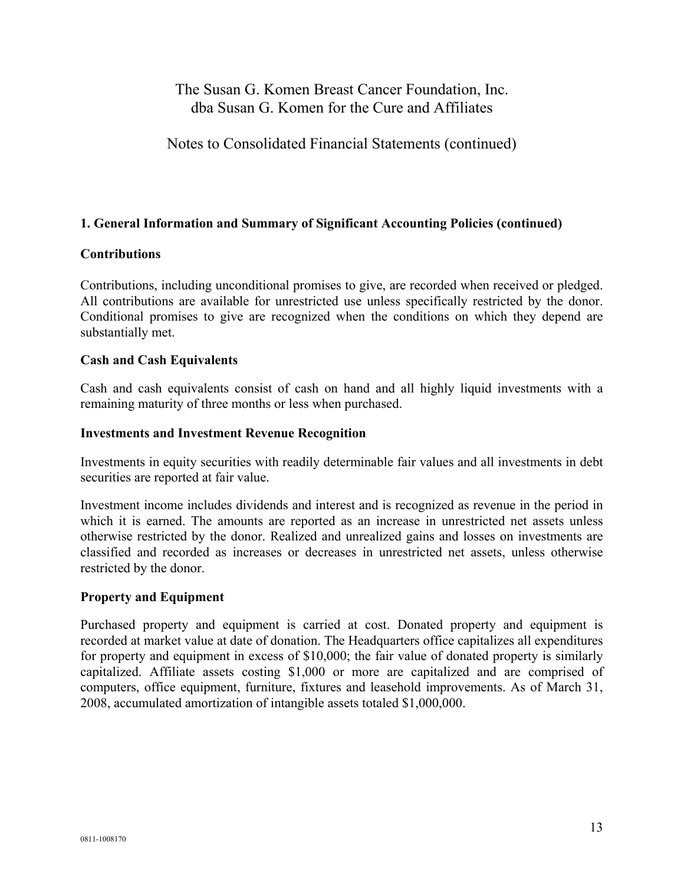Notes to Consolidated Financial Statements (continued)

### **1. General Information and Summary of Significant Accounting Policies (continued)**

#### **Contributions**

Contributions, including unconditional promises to give, are recorded when received or pledged. All contributions are available for unrestricted use unless specifically restricted by the donor. Conditional promises to give are recognized when the conditions on which they depend are substantially met.

#### **Cash and Cash Equivalents**

Cash and cash equivalents consist of cash on hand and all highly liquid investments with a remaining maturity of three months or less when purchased.

#### **Investments and Investment Revenue Recognition**

Investments in equity securities with readily determinable fair values and all investments in debt securities are reported at fair value.

Investment income includes dividends and interest and is recognized as revenue in the period in which it is earned. The amounts are reported as an increase in unrestricted net assets unless otherwise restricted by the donor. Realized and unrealized gains and losses on investments are classified and recorded as increases or decreases in unrestricted net assets, unless otherwise restricted by the donor.

#### **Property and Equipment**

Purchased property and equipment is carried at cost. Donated property and equipment is recorded at market value at date of donation. The Headquarters office capitalizes all expenditures for property and equipment in excess of \$10,000; the fair value of donated property is similarly capitalized. Affiliate assets costing \$1,000 or more are capitalized and are comprised of computers, office equipment, furniture, fixtures and leasehold improvements. As of March 31, 2008, accumulated amortization of intangible assets totaled \$1,000,000.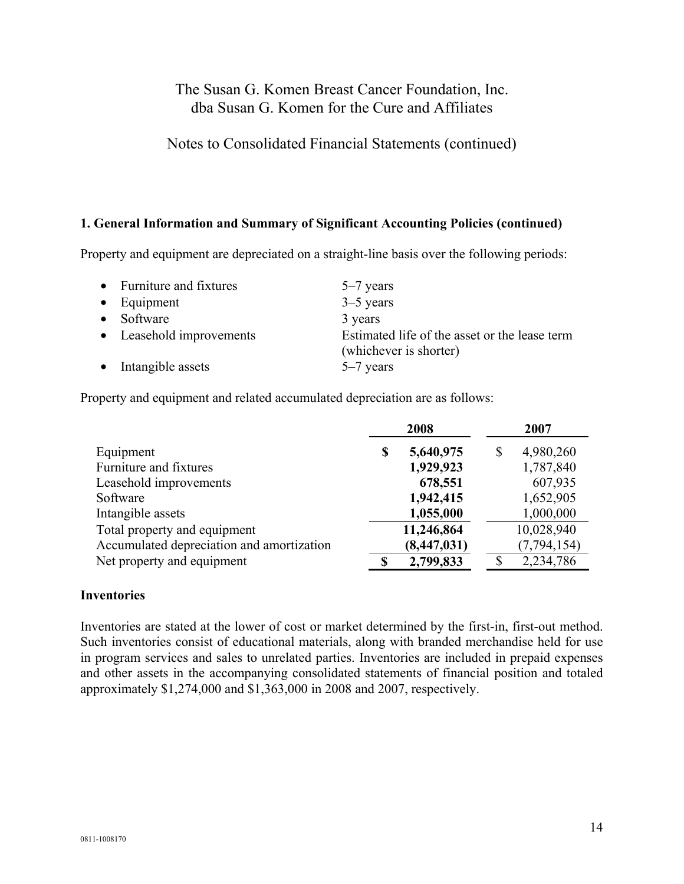### Notes to Consolidated Financial Statements (continued)

#### **1. General Information and Summary of Significant Accounting Policies (continued)**

Property and equipment are depreciated on a straight-line basis over the following periods:

| • Furniture and fixtures | $5-7$ years                                                             |
|--------------------------|-------------------------------------------------------------------------|
| $\bullet$ Equipment      | $3-5$ years                                                             |
| • Software               | 3 years                                                                 |
| • Leasehold improvements | Estimated life of the asset or the lease term<br>(whichever is shorter) |
| • Intangible assets      | $5-7$ years                                                             |

Property and equipment and related accumulated depreciation are as follows:

|                                           |   | 2008          | 2007          |
|-------------------------------------------|---|---------------|---------------|
| Equipment                                 | S | 5,640,975     | 4,980,260     |
| Furniture and fixtures                    |   | 1,929,923     | 1,787,840     |
| Leasehold improvements                    |   | 678,551       | 607,935       |
| Software                                  |   | 1,942,415     | 1,652,905     |
| Intangible assets                         |   | 1,055,000     | 1,000,000     |
| Total property and equipment              |   | 11,246,864    | 10,028,940    |
| Accumulated depreciation and amortization |   | (8, 447, 031) | (7, 794, 154) |
| Net property and equipment                |   | 2,799,833     | 2,234,786     |

#### **Inventories**

Inventories are stated at the lower of cost or market determined by the first-in, first-out method. Such inventories consist of educational materials, along with branded merchandise held for use in program services and sales to unrelated parties. Inventories are included in prepaid expenses and other assets in the accompanying consolidated statements of financial position and totaled approximately \$1,274,000 and \$1,363,000 in 2008 and 2007, respectively.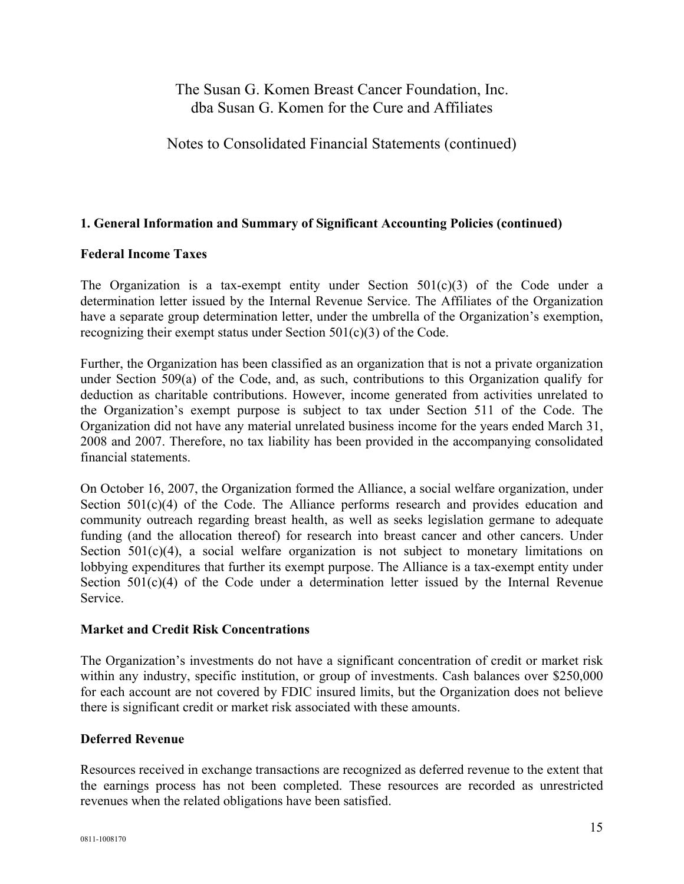Notes to Consolidated Financial Statements (continued)

### **1. General Information and Summary of Significant Accounting Policies (continued)**

#### **Federal Income Taxes**

The Organization is a tax-exempt entity under Section  $501(c)(3)$  of the Code under a determination letter issued by the Internal Revenue Service. The Affiliates of the Organization have a separate group determination letter, under the umbrella of the Organization's exemption, recognizing their exempt status under Section 501(c)(3) of the Code.

Further, the Organization has been classified as an organization that is not a private organization under Section 509(a) of the Code, and, as such, contributions to this Organization qualify for deduction as charitable contributions. However, income generated from activities unrelated to the Organization's exempt purpose is subject to tax under Section 511 of the Code. The Organization did not have any material unrelated business income for the years ended March 31, 2008 and 2007. Therefore, no tax liability has been provided in the accompanying consolidated financial statements.

On October 16, 2007, the Organization formed the Alliance, a social welfare organization, under Section  $501(c)(4)$  of the Code. The Alliance performs research and provides education and community outreach regarding breast health, as well as seeks legislation germane to adequate funding (and the allocation thereof) for research into breast cancer and other cancers. Under Section  $501(c)(4)$ , a social welfare organization is not subject to monetary limitations on lobbying expenditures that further its exempt purpose. The Alliance is a tax-exempt entity under Section  $501(c)(4)$  of the Code under a determination letter issued by the Internal Revenue Service.

#### **Market and Credit Risk Concentrations**

The Organization's investments do not have a significant concentration of credit or market risk within any industry, specific institution, or group of investments. Cash balances over \$250,000 for each account are not covered by FDIC insured limits, but the Organization does not believe there is significant credit or market risk associated with these amounts.

#### **Deferred Revenue**

Resources received in exchange transactions are recognized as deferred revenue to the extent that the earnings process has not been completed. These resources are recorded as unrestricted revenues when the related obligations have been satisfied.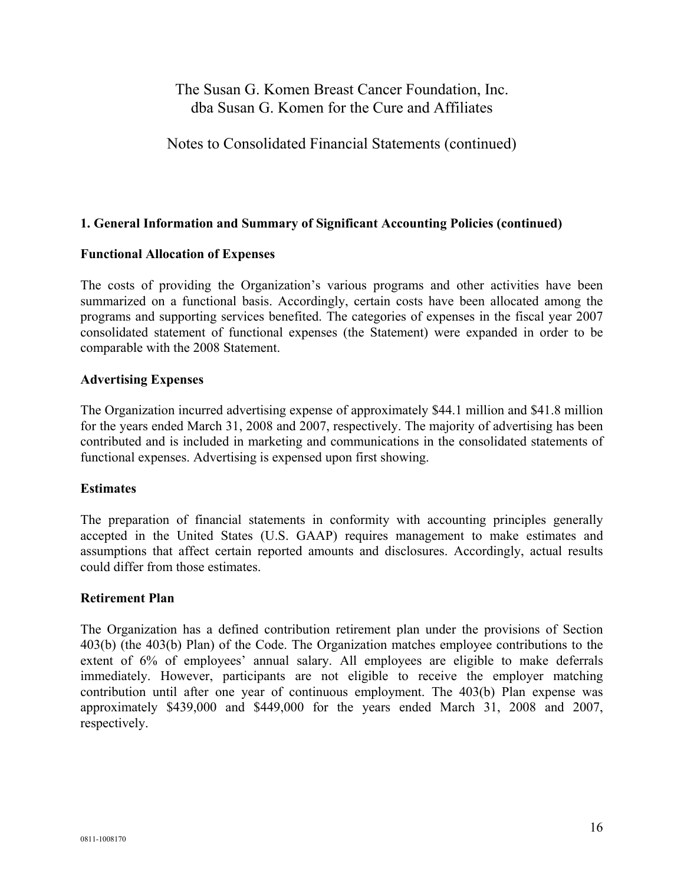Notes to Consolidated Financial Statements (continued)

### **1. General Information and Summary of Significant Accounting Policies (continued)**

#### **Functional Allocation of Expenses**

The costs of providing the Organization's various programs and other activities have been summarized on a functional basis. Accordingly, certain costs have been allocated among the programs and supporting services benefited. The categories of expenses in the fiscal year 2007 consolidated statement of functional expenses (the Statement) were expanded in order to be comparable with the 2008 Statement.

#### **Advertising Expenses**

The Organization incurred advertising expense of approximately \$44.1 million and \$41.8 million for the years ended March 31, 2008 and 2007, respectively. The majority of advertising has been contributed and is included in marketing and communications in the consolidated statements of functional expenses. Advertising is expensed upon first showing.

#### **Estimates**

The preparation of financial statements in conformity with accounting principles generally accepted in the United States (U.S. GAAP) requires management to make estimates and assumptions that affect certain reported amounts and disclosures. Accordingly, actual results could differ from those estimates.

#### **Retirement Plan**

The Organization has a defined contribution retirement plan under the provisions of Section 403(b) (the 403(b) Plan) of the Code. The Organization matches employee contributions to the extent of 6% of employees' annual salary. All employees are eligible to make deferrals immediately. However, participants are not eligible to receive the employer matching contribution until after one year of continuous employment. The 403(b) Plan expense was approximately \$439,000 and \$449,000 for the years ended March 31, 2008 and 2007, respectively.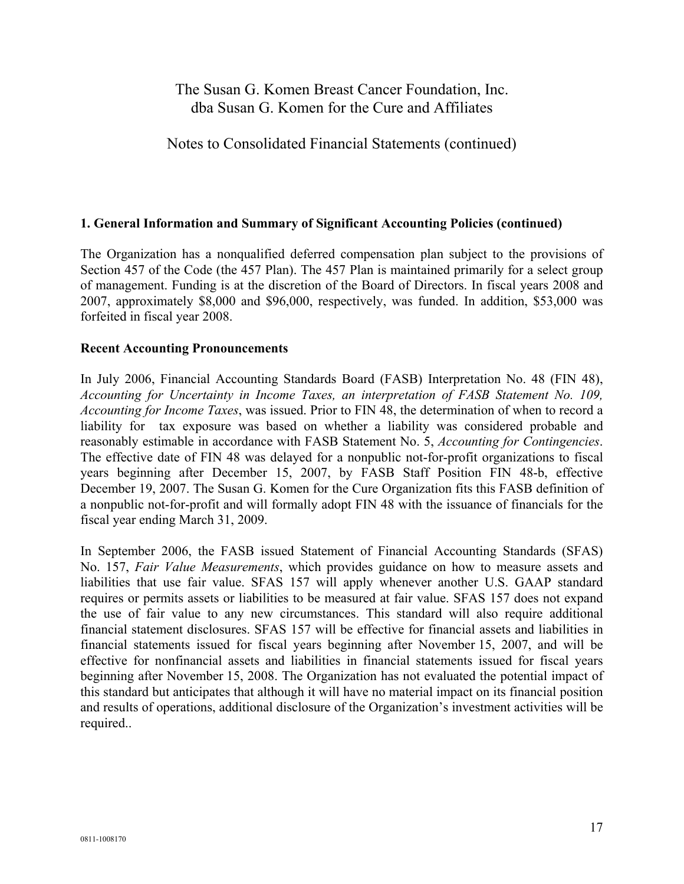Notes to Consolidated Financial Statements (continued)

#### **1. General Information and Summary of Significant Accounting Policies (continued)**

The Organization has a nonqualified deferred compensation plan subject to the provisions of Section 457 of the Code (the 457 Plan). The 457 Plan is maintained primarily for a select group of management. Funding is at the discretion of the Board of Directors. In fiscal years 2008 and 2007, approximately \$8,000 and \$96,000, respectively, was funded. In addition, \$53,000 was forfeited in fiscal year 2008.

#### **Recent Accounting Pronouncements**

In July 2006, Financial Accounting Standards Board (FASB) Interpretation No. 48 (FIN 48), *Accounting for Uncertainty in Income Taxes, an interpretation of FASB Statement No. 109, Accounting for Income Taxes*, was issued. Prior to FIN 48, the determination of when to record a liability for tax exposure was based on whether a liability was considered probable and reasonably estimable in accordance with FASB Statement No. 5, *Accounting for Contingencies*. The effective date of FIN 48 was delayed for a nonpublic not-for-profit organizations to fiscal years beginning after December 15, 2007, by FASB Staff Position FIN 48-b, effective December 19, 2007. The Susan G. Komen for the Cure Organization fits this FASB definition of a nonpublic not-for-profit and will formally adopt FIN 48 with the issuance of financials for the fiscal year ending March 31, 2009.

In September 2006, the FASB issued Statement of Financial Accounting Standards (SFAS) No. 157, *Fair Value Measurements*, which provides guidance on how to measure assets and liabilities that use fair value. SFAS 157 will apply whenever another U.S. GAAP standard requires or permits assets or liabilities to be measured at fair value. SFAS 157 does not expand the use of fair value to any new circumstances. This standard will also require additional financial statement disclosures. SFAS 157 will be effective for financial assets and liabilities in financial statements issued for fiscal years beginning after November 15, 2007, and will be effective for nonfinancial assets and liabilities in financial statements issued for fiscal years beginning after November 15, 2008. The Organization has not evaluated the potential impact of this standard but anticipates that although it will have no material impact on its financial position and results of operations, additional disclosure of the Organization's investment activities will be required..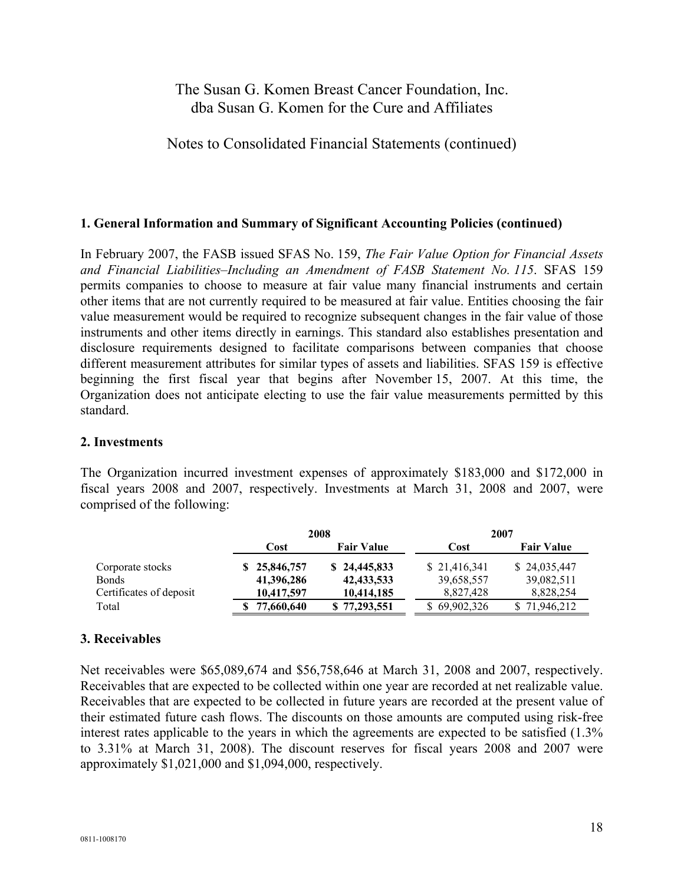Notes to Consolidated Financial Statements (continued)

### **1. General Information and Summary of Significant Accounting Policies (continued)**

In February 2007, the FASB issued SFAS No. 159, *The Fair Value Option for Financial Assets and Financial Liabilities–Including an Amendment of FASB Statement No. 115*. SFAS 159 permits companies to choose to measure at fair value many financial instruments and certain other items that are not currently required to be measured at fair value. Entities choosing the fair value measurement would be required to recognize subsequent changes in the fair value of those instruments and other items directly in earnings. This standard also establishes presentation and disclosure requirements designed to facilitate comparisons between companies that choose different measurement attributes for similar types of assets and liabilities. SFAS 159 is effective beginning the first fiscal year that begins after November 15, 2007. At this time, the Organization does not anticipate electing to use the fair value measurements permitted by this standard.

#### **2. Investments**

The Organization incurred investment expenses of approximately \$183,000 and \$172,000 in fiscal years 2008 and 2007, respectively. Investments at March 31, 2008 and 2007, were comprised of the following:

|                         |            | 2008 |                   |              | 2007              |
|-------------------------|------------|------|-------------------|--------------|-------------------|
|                         | Cost       |      | <b>Fair Value</b> | Cost         | <b>Fair Value</b> |
| Corporate stocks        | 25,846,757 |      | \$24,445,833      | \$21,416,341 | \$24,035,447      |
| <b>Bonds</b>            | 41,396,286 |      | 42, 433, 533      | 39,658,557   | 39,082,511        |
| Certificates of deposit | 10,417,597 |      | 10,414,185        | 8,827,428    | 8,828,254         |
| Total                   | 77,660,640 |      | \$77,293,551      | \$69,902,326 | 71,946,212        |

#### **3. Receivables**

Net receivables were \$65,089,674 and \$56,758,646 at March 31, 2008 and 2007, respectively. Receivables that are expected to be collected within one year are recorded at net realizable value. Receivables that are expected to be collected in future years are recorded at the present value of their estimated future cash flows. The discounts on those amounts are computed using risk-free interest rates applicable to the years in which the agreements are expected to be satisfied (1.3% to 3.31% at March 31, 2008). The discount reserves for fiscal years 2008 and 2007 were approximately \$1,021,000 and \$1,094,000, respectively.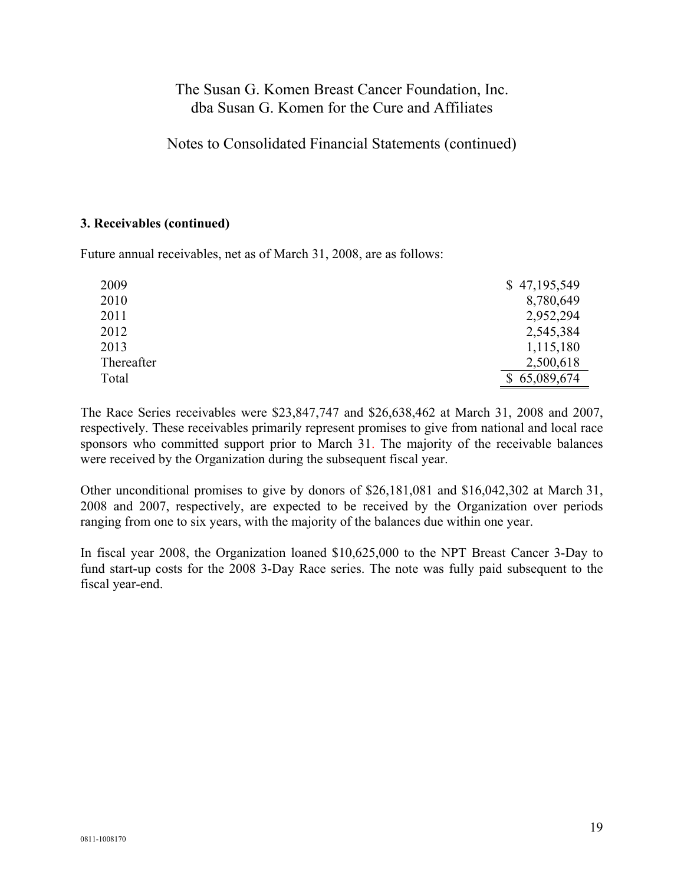Notes to Consolidated Financial Statements (continued)

#### **3. Receivables (continued)**

Future annual receivables, net as of March 31, 2008, are as follows:

| 2009       | \$47,195,549 |
|------------|--------------|
| 2010       | 8,780,649    |
| 2011       | 2,952,294    |
| 2012       | 2,545,384    |
| 2013       | 1,115,180    |
| Thereafter | 2,500,618    |
| Total      | \$65,089,674 |

The Race Series receivables were \$23,847,747 and \$26,638,462 at March 31, 2008 and 2007, respectively. These receivables primarily represent promises to give from national and local race sponsors who committed support prior to March 31. The majority of the receivable balances were received by the Organization during the subsequent fiscal year.

Other unconditional promises to give by donors of \$26,181,081 and \$16,042,302 at March 31, 2008 and 2007, respectively, are expected to be received by the Organization over periods ranging from one to six years, with the majority of the balances due within one year.

In fiscal year 2008, the Organization loaned \$10,625,000 to the NPT Breast Cancer 3-Day to fund start-up costs for the 2008 3-Day Race series. The note was fully paid subsequent to the fiscal year-end.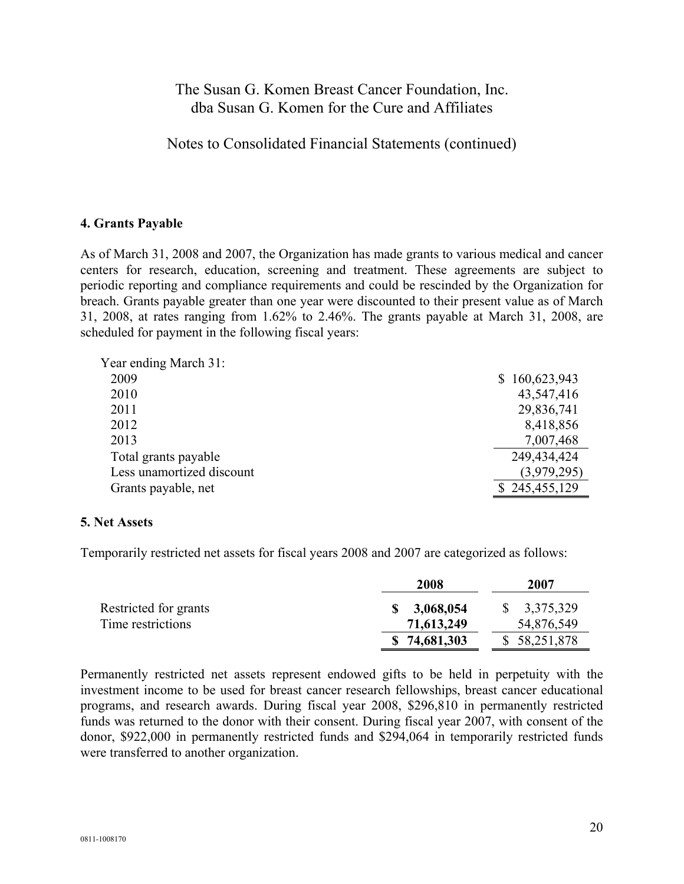Notes to Consolidated Financial Statements (continued)

### **4. Grants Payable**

As of March 31, 2008 and 2007, the Organization has made grants to various medical and cancer centers for research, education, screening and treatment. These agreements are subject to periodic reporting and compliance requirements and could be rescinded by the Organization for breach. Grants payable greater than one year were discounted to their present value as of March 31, 2008, at rates ranging from 1.62% to 2.46%. The grants payable at March 31, 2008, are scheduled for payment in the following fiscal years:

| Year ending March 31:     |               |
|---------------------------|---------------|
| 2009                      | \$160,623,943 |
| 2010                      | 43,547,416    |
| 2011                      | 29,836,741    |
| 2012                      | 8,418,856     |
| 2013                      | 7,007,468     |
| Total grants payable      | 249,434,424   |
| Less unamortized discount | (3,979,295)   |
| Grants payable, net       | \$245,455,129 |
|                           |               |

#### **5. Net Assets**

Temporarily restricted net assets for fiscal years 2008 and 2007 are categorized as follows:

|                       | 2008             | 2007                    |
|-----------------------|------------------|-------------------------|
| Restricted for grants | 3,068,054<br>SS. | $\frac{1}{2}$ 3,375,329 |
| Time restrictions     | 71,613,249       | 54,876,549              |
|                       | \$74,681,303     | \$58,251,878            |

Permanently restricted net assets represent endowed gifts to be held in perpetuity with the investment income to be used for breast cancer research fellowships, breast cancer educational programs, and research awards. During fiscal year 2008, \$296,810 in permanently restricted funds was returned to the donor with their consent. During fiscal year 2007, with consent of the donor, \$922,000 in permanently restricted funds and \$294,064 in temporarily restricted funds were transferred to another organization.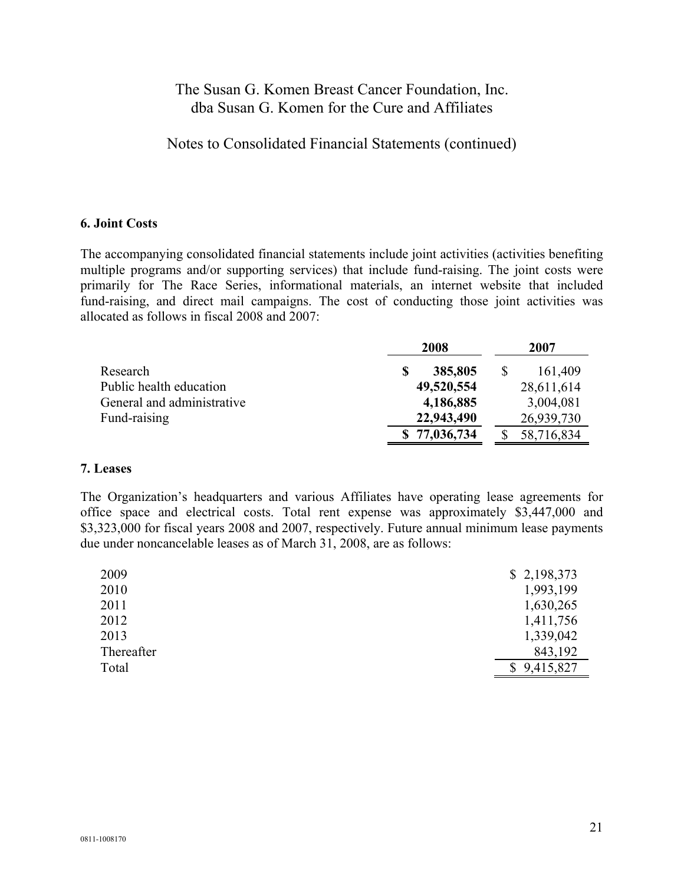Notes to Consolidated Financial Statements (continued)

#### **6. Joint Costs**

The accompanying consolidated financial statements include joint activities (activities benefiting multiple programs and/or supporting services) that include fund-raising. The joint costs were primarily for The Race Series, informational materials, an internet website that included fund-raising, and direct mail campaigns. The cost of conducting those joint activities was allocated as follows in fiscal 2008 and 2007:

|                            | 2008         |   | 2007       |
|----------------------------|--------------|---|------------|
| Research                   | 385,805      | S | 161,409    |
| Public health education    | 49,520,554   |   | 28,611,614 |
| General and administrative | 4,186,885    |   | 3,004,081  |
| Fund-raising               | 22,943,490   |   | 26,939,730 |
|                            | \$77,036,734 |   | 58,716,834 |

#### **7. Leases**

The Organization's headquarters and various Affiliates have operating lease agreements for office space and electrical costs. Total rent expense was approximately \$3,447,000 and \$3,323,000 for fiscal years 2008 and 2007, respectively. Future annual minimum lease payments due under noncancelable leases as of March 31, 2008, are as follows:

| 2009       | \$2,198,373 |
|------------|-------------|
| 2010       | 1,993,199   |
| 2011       | 1,630,265   |
| 2012       | 1,411,756   |
| 2013       | 1,339,042   |
| Thereafter | 843,192     |
| Total      | \$9,415,827 |
|            |             |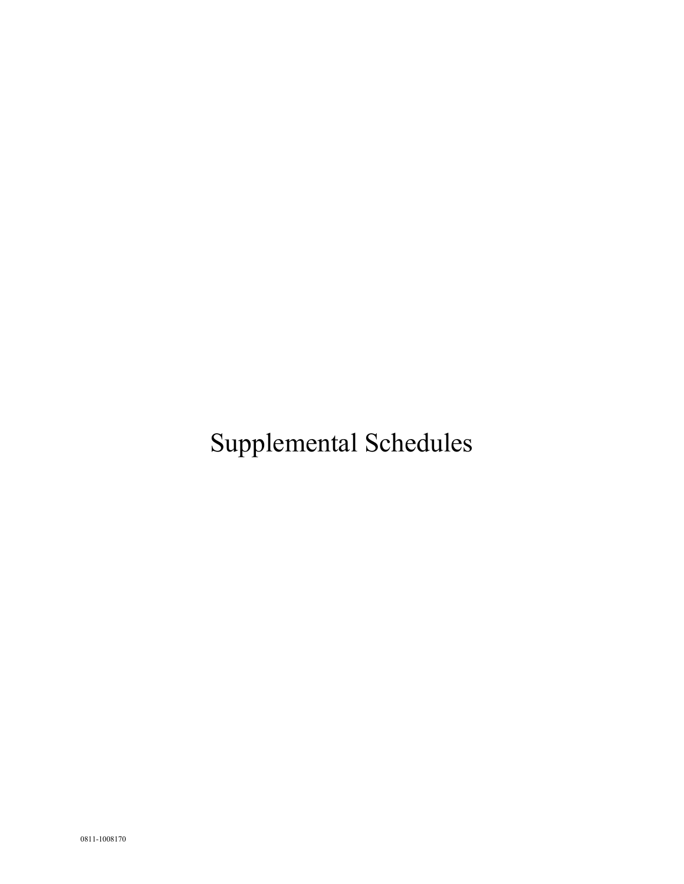Supplemental Schedules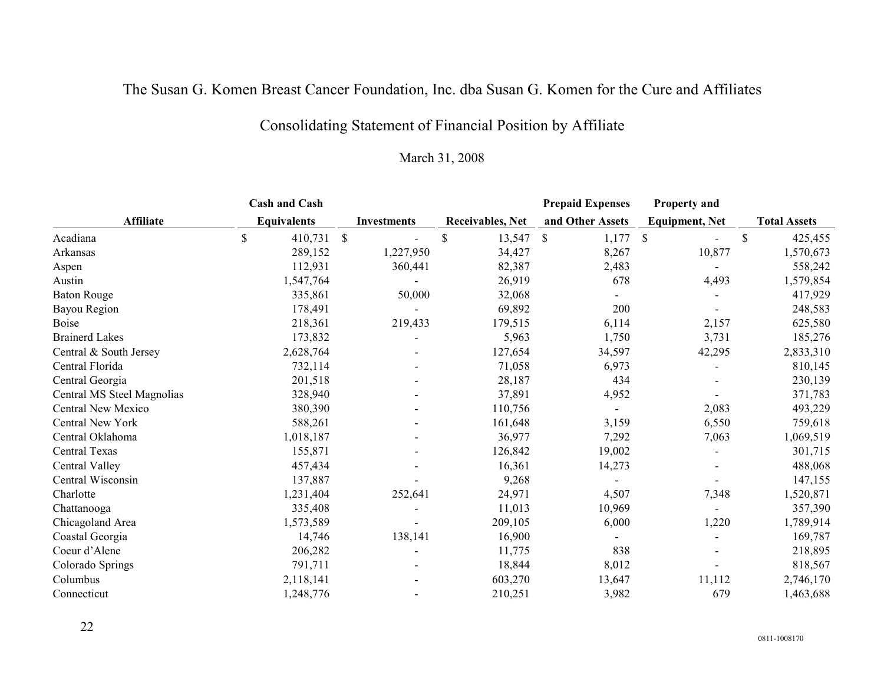# Consolidating Statement of Financial Position by Affiliate

| <b>Cash and Cash</b>       |    |                    |                    |                         | <b>Prepaid Expenses</b> |                           | <b>Property and</b>   |   |                     |
|----------------------------|----|--------------------|--------------------|-------------------------|-------------------------|---------------------------|-----------------------|---|---------------------|
| <b>Affiliate</b>           |    | <b>Equivalents</b> | <b>Investments</b> | <b>Receivables, Net</b> | and Other Assets        |                           | <b>Equipment, Net</b> |   | <b>Total Assets</b> |
| Acadiana                   | \$ | 410,731 \$         |                    | \$<br>13,547            | 1,177<br>\$             | $\boldsymbol{\mathsf{S}}$ |                       | S | 425,455             |
| Arkansas                   |    | 289,152            | 1,227,950          | 34,427                  | 8,267                   |                           | 10,877                |   | 1,570,673           |
| Aspen                      |    | 112,931            | 360,441            | 82,387                  | 2,483                   |                           |                       |   | 558,242             |
| Austin                     |    | 1,547,764          |                    | 26,919                  | 678                     |                           | 4,493                 |   | 1,579,854           |
| <b>Baton Rouge</b>         |    | 335,861            | 50,000             | 32,068                  |                         |                           |                       |   | 417,929             |
| Bayou Region               |    | 178,491            |                    | 69,892                  | 200                     |                           |                       |   | 248,583             |
| <b>Boise</b>               |    | 218,361            | 219,433            | 179,515                 | 6,114                   |                           | 2,157                 |   | 625,580             |
| <b>Brainerd Lakes</b>      |    | 173,832            |                    | 5,963                   | 1,750                   |                           | 3,731                 |   | 185,276             |
| Central & South Jersey     |    | 2,628,764          |                    | 127,654                 | 34,597                  |                           | 42,295                |   | 2,833,310           |
| Central Florida            |    | 732,114            |                    | 71,058                  | 6,973                   |                           |                       |   | 810,145             |
| Central Georgia            |    | 201,518            |                    | 28,187                  | 434                     |                           |                       |   | 230,139             |
| Central MS Steel Magnolias |    | 328,940            |                    | 37,891                  | 4,952                   |                           |                       |   | 371,783             |
| Central New Mexico         |    | 380,390            |                    | 110,756                 |                         |                           | 2,083                 |   | 493,229             |
| Central New York           |    | 588,261            |                    | 161,648                 | 3,159                   |                           | 6,550                 |   | 759,618             |
| Central Oklahoma           |    | 1,018,187          |                    | 36,977                  | 7,292                   |                           | 7,063                 |   | 1,069,519           |
| Central Texas              |    | 155,871            |                    | 126,842                 | 19,002                  |                           |                       |   | 301,715             |
| Central Valley             |    | 457,434            |                    | 16,361                  | 14,273                  |                           |                       |   | 488,068             |
| Central Wisconsin          |    | 137,887            |                    | 9,268                   |                         |                           |                       |   | 147,155             |
| Charlotte                  |    | 1,231,404          | 252,641            | 24,971                  | 4,507                   |                           | 7,348                 |   | 1,520,871           |
| Chattanooga                |    | 335,408            |                    | 11,013                  | 10,969                  |                           |                       |   | 357,390             |
| Chicagoland Area           |    | 1,573,589          |                    | 209,105                 | 6,000                   |                           | 1,220                 |   | 1,789,914           |
| Coastal Georgia            |    | 14,746             | 138,141            | 16,900                  |                         |                           |                       |   | 169,787             |
| Coeur d'Alene              |    | 206,282            |                    | 11,775                  | 838                     |                           |                       |   | 218,895             |
| Colorado Springs           |    | 791,711            |                    | 18,844                  | 8,012                   |                           |                       |   | 818,567             |
| Columbus                   |    | 2,118,141          |                    | 603,270                 | 13,647                  |                           | 11,112                |   | 2,746,170           |
| Connecticut                |    | 1,248,776          |                    | 210,251                 | 3,982                   |                           | 679                   |   | 1,463,688           |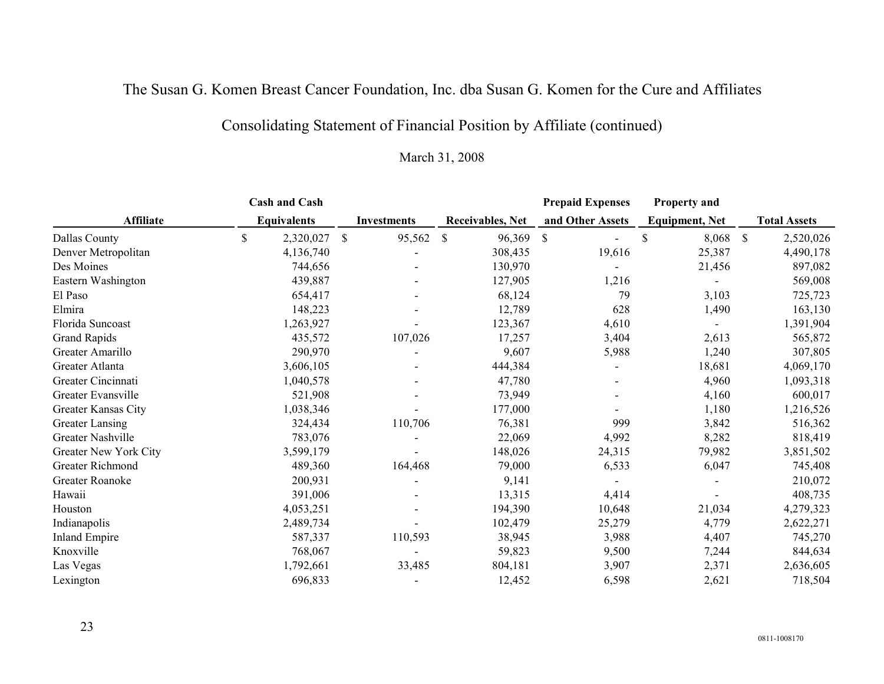# Consolidating Statement of Financial Position by Affiliate (continued)

| <b>Cash and Cash</b>  |             |                    |              |                    |              |                         | <b>Prepaid Expenses</b> | <b>Property and</b>   |               |                     |
|-----------------------|-------------|--------------------|--------------|--------------------|--------------|-------------------------|-------------------------|-----------------------|---------------|---------------------|
| <b>Affiliate</b>      |             | <b>Equivalents</b> |              | <b>Investments</b> |              | <b>Receivables, Net</b> | and Other Assets        | <b>Equipment, Net</b> |               | <b>Total Assets</b> |
| Dallas County         | $\mathbb S$ | 2,320,027          | $\mathbb{S}$ | 95,562             | $\mathbb{S}$ | 96,369                  | \$                      | 8,068<br>\$           | $\mathcal{S}$ | 2,520,026           |
| Denver Metropolitan   |             | 4,136,740          |              |                    |              | 308,435                 | 19,616                  | 25,387                |               | 4,490,178           |
| Des Moines            |             | 744,656            |              |                    |              | 130,970                 |                         | 21,456                |               | 897,082             |
| Eastern Washington    |             | 439,887            |              |                    |              | 127,905                 | 1,216                   |                       |               | 569,008             |
| El Paso               |             | 654,417            |              |                    |              | 68,124                  | 79                      | 3,103                 |               | 725,723             |
| Elmira                |             | 148,223            |              |                    |              | 12,789                  | 628                     | 1,490                 |               | 163,130             |
| Florida Suncoast      |             | 1,263,927          |              |                    |              | 123,367                 | 4,610                   |                       |               | 1,391,904           |
| Grand Rapids          |             | 435,572            |              | 107,026            |              | 17,257                  | 3,404                   | 2,613                 |               | 565,872             |
| Greater Amarillo      |             | 290,970            |              |                    |              | 9,607                   | 5,988                   | 1,240                 |               | 307,805             |
| Greater Atlanta       |             | 3,606,105          |              |                    |              | 444,384                 |                         | 18,681                |               | 4,069,170           |
| Greater Cincinnati    |             | 1,040,578          |              |                    |              | 47,780                  |                         | 4,960                 |               | 1,093,318           |
| Greater Evansville    |             | 521,908            |              |                    |              | 73,949                  |                         | 4,160                 |               | 600,017             |
| Greater Kansas City   |             | 1,038,346          |              |                    |              | 177,000                 |                         | 1,180                 |               | 1,216,526           |
| Greater Lansing       |             | 324,434            |              | 110,706            |              | 76,381                  | 999                     | 3,842                 |               | 516,362             |
| Greater Nashville     |             | 783,076            |              |                    |              | 22,069                  | 4,992                   | 8,282                 |               | 818,419             |
| Greater New York City |             | 3,599,179          |              |                    |              | 148,026                 | 24,315                  | 79,982                |               | 3,851,502           |
| Greater Richmond      |             | 489,360            |              | 164,468            |              | 79,000                  | 6,533                   | 6,047                 |               | 745,408             |
| Greater Roanoke       |             | 200,931            |              |                    |              | 9,141                   |                         |                       |               | 210,072             |
| Hawaii                |             | 391,006            |              |                    |              | 13,315                  | 4,414                   |                       |               | 408,735             |
| Houston               |             | 4,053,251          |              |                    |              | 194,390                 | 10,648                  | 21,034                |               | 4,279,323           |
| Indianapolis          |             | 2,489,734          |              |                    |              | 102,479                 | 25,279                  | 4,779                 |               | 2,622,271           |
| <b>Inland Empire</b>  |             | 587,337            |              | 110,593            |              | 38,945                  | 3,988                   | 4,407                 |               | 745,270             |
| Knoxville             |             | 768,067            |              |                    |              | 59,823                  | 9,500                   | 7,244                 |               | 844,634             |
| Las Vegas             |             | 1,792,661          |              | 33,485             |              | 804,181                 | 3,907                   | 2,371                 |               | 2,636,605           |
| Lexington             |             | 696,833            |              |                    |              | 12,452                  | 6,598                   | 2,621                 |               | 718,504             |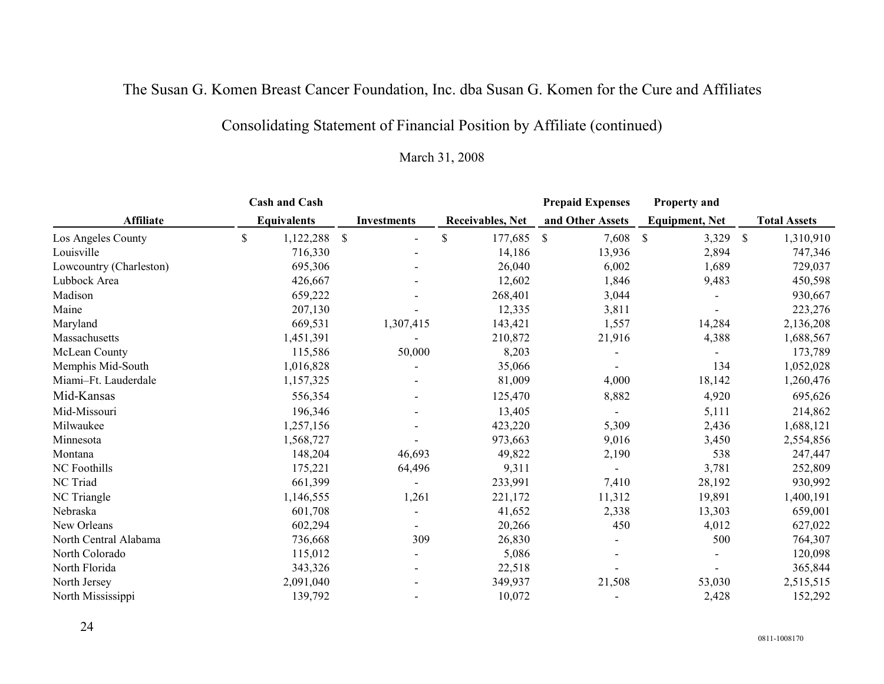# Consolidating Statement of Financial Position by Affiliate (continued)

|                         | <b>Cash and Cash</b> |                    |                         | <b>Prepaid Expenses</b> | <b>Property and</b>    |              |                     |
|-------------------------|----------------------|--------------------|-------------------------|-------------------------|------------------------|--------------|---------------------|
| <b>Affiliate</b>        | <b>Equivalents</b>   | <b>Investments</b> | <b>Receivables, Net</b> | and Other Assets        | <b>Equipment, Net</b>  |              | <b>Total Assets</b> |
| Los Angeles County      | \$<br>1,122,288 \$   |                    | \$<br>177,685           | $\mathbb{S}$<br>7,608   | 3,329<br>$\mathcal{S}$ | $\mathbb{S}$ | 1,310,910           |
| Louisville              | 716,330              |                    | 14,186                  | 13,936                  | 2,894                  |              | 747,346             |
| Lowcountry (Charleston) | 695,306              |                    | 26,040                  | 6,002                   | 1,689                  |              | 729,037             |
| Lubbock Area            | 426,667              |                    | 12,602                  | 1,846                   | 9,483                  |              | 450,598             |
| Madison                 | 659,222              |                    | 268,401                 | 3,044                   |                        |              | 930,667             |
| Maine                   | 207,130              |                    | 12,335                  | 3,811                   |                        |              | 223,276             |
| Maryland                | 669,531              | 1,307,415          | 143,421                 | 1,557                   | 14,284                 |              | 2,136,208           |
| Massachusetts           | 1,451,391            |                    | 210,872                 | 21,916                  | 4,388                  |              | 1,688,567           |
| McLean County           | 115,586              | 50,000             | 8,203                   |                         |                        |              | 173,789             |
| Memphis Mid-South       | 1,016,828            |                    | 35,066                  |                         | 134                    |              | 1,052,028           |
| Miami-Ft. Lauderdale    | 1,157,325            |                    | 81,009                  | 4,000                   | 18,142                 |              | 1,260,476           |
| Mid-Kansas              | 556,354              |                    | 125,470                 | 8,882                   | 4,920                  |              | 695,626             |
| Mid-Missouri            | 196,346              |                    | 13,405                  |                         | 5,111                  |              | 214,862             |
| Milwaukee               | 1,257,156            |                    | 423,220                 | 5,309                   | 2,436                  |              | 1,688,121           |
| Minnesota               | 1,568,727            |                    | 973,663                 | 9,016                   | 3,450                  |              | 2,554,856           |
| Montana                 | 148,204              | 46,693             | 49,822                  | 2,190                   | 538                    |              | 247,447             |
| NC Foothills            | 175,221              | 64,496             | 9,311                   |                         | 3,781                  |              | 252,809             |
| NC Triad                | 661,399              |                    | 233,991                 | 7,410                   | 28,192                 |              | 930,992             |
| NC Triangle             | 1,146,555            | 1,261              | 221,172                 | 11,312                  | 19,891                 |              | 1,400,191           |
| Nebraska                | 601,708              |                    | 41,652                  | 2,338                   | 13,303                 |              | 659,001             |
| New Orleans             | 602,294              |                    | 20,266                  | 450                     | 4,012                  |              | 627,022             |
| North Central Alabama   | 736,668              | 309                | 26,830                  |                         | 500                    |              | 764,307             |
| North Colorado          | 115,012              |                    | 5,086                   |                         |                        |              | 120,098             |
| North Florida           | 343,326              |                    | 22,518                  |                         |                        |              | 365,844             |
| North Jersey            | 2,091,040            |                    | 349,937                 | 21,508                  | 53,030                 |              | 2,515,515           |
| North Mississippi       | 139,792              |                    | 10,072                  |                         | 2,428                  |              | 152,292             |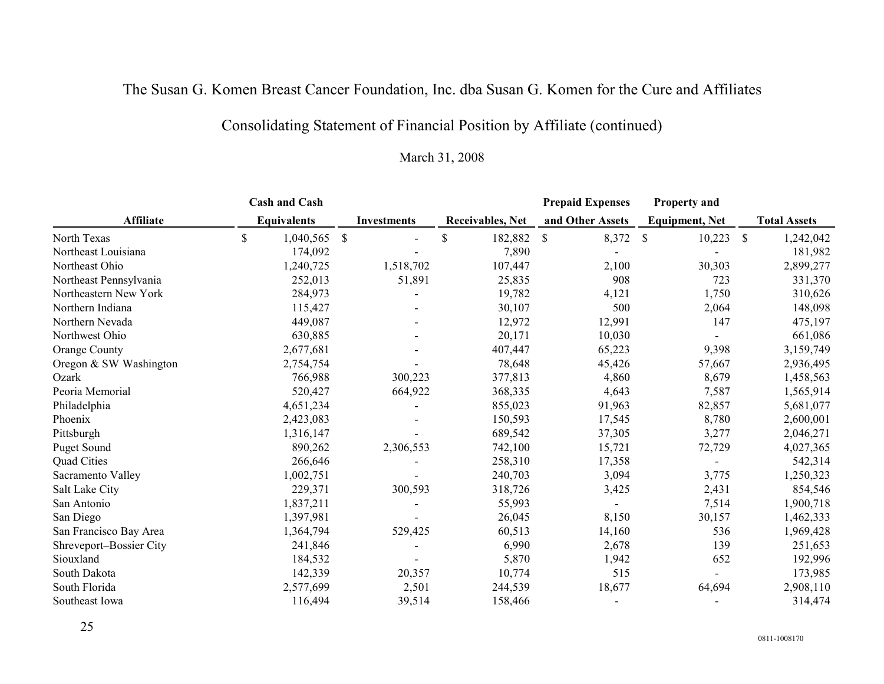# Consolidating Statement of Financial Position by Affiliate (continued)

|                         | <b>Cash and Cash</b> |               |                    |                         |                           | <b>Prepaid Expenses</b> |               | <b>Property and</b>   |              |                     |
|-------------------------|----------------------|---------------|--------------------|-------------------------|---------------------------|-------------------------|---------------|-----------------------|--------------|---------------------|
| <b>Affiliate</b>        | <b>Equivalents</b>   |               | <b>Investments</b> | <b>Receivables, Net</b> |                           | and Other Assets        |               | <b>Equipment, Net</b> |              | <b>Total Assets</b> |
| North Texas             | \$<br>1,040,565      | $\mathcal{S}$ |                    | \$<br>182,882           | $\boldsymbol{\mathsf{S}}$ | 8,372                   | <sup>\$</sup> | 10,223                | $\mathbb{S}$ | 1,242,042           |
| Northeast Louisiana     | 174,092              |               |                    | 7,890                   |                           |                         |               |                       |              | 181,982             |
| Northeast Ohio          | 1,240,725            |               | 1,518,702          | 107,447                 |                           | 2,100                   |               | 30,303                |              | 2,899,277           |
| Northeast Pennsylvania  | 252,013              |               | 51,891             | 25,835                  |                           | 908                     |               | 723                   |              | 331,370             |
| Northeastern New York   | 284,973              |               |                    | 19,782                  |                           | 4,121                   |               | 1,750                 |              | 310,626             |
| Northern Indiana        | 115,427              |               |                    | 30,107                  |                           | 500                     |               | 2,064                 |              | 148,098             |
| Northern Nevada         | 449,087              |               |                    | 12,972                  |                           | 12,991                  |               | 147                   |              | 475,197             |
| Northwest Ohio          | 630,885              |               |                    | 20,171                  |                           | 10,030                  |               |                       |              | 661,086             |
| Orange County           | 2,677,681            |               |                    | 407,447                 |                           | 65,223                  |               | 9,398                 |              | 3,159,749           |
| Oregon & SW Washington  | 2,754,754            |               |                    | 78,648                  |                           | 45,426                  |               | 57,667                |              | 2,936,495           |
| Ozark                   | 766,988              |               | 300,223            | 377,813                 |                           | 4,860                   |               | 8,679                 |              | 1,458,563           |
| Peoria Memorial         | 520,427              |               | 664,922            | 368,335                 |                           | 4,643                   |               | 7,587                 |              | 1,565,914           |
| Philadelphia            | 4,651,234            |               |                    | 855,023                 |                           | 91,963                  |               | 82,857                |              | 5,681,077           |
| Phoenix                 | 2,423,083            |               |                    | 150,593                 |                           | 17,545                  |               | 8,780                 |              | 2,600,001           |
| Pittsburgh              | 1,316,147            |               |                    | 689,542                 |                           | 37,305                  |               | 3,277                 |              | 2,046,271           |
| <b>Puget Sound</b>      | 890,262              |               | 2,306,553          | 742,100                 |                           | 15,721                  |               | 72,729                |              | 4,027,365           |
| Quad Cities             | 266,646              |               |                    | 258,310                 |                           | 17,358                  |               |                       |              | 542,314             |
| Sacramento Valley       | 1,002,751            |               |                    | 240,703                 |                           | 3,094                   |               | 3,775                 |              | 1,250,323           |
| Salt Lake City          | 229,371              |               | 300,593            | 318,726                 |                           | 3,425                   |               | 2,431                 |              | 854,546             |
| San Antonio             | 1,837,211            |               |                    | 55,993                  |                           |                         |               | 7,514                 |              | 1,900,718           |
| San Diego               | 1,397,981            |               |                    | 26,045                  |                           | 8,150                   |               | 30,157                |              | 1,462,333           |
| San Francisco Bay Area  | 1,364,794            |               | 529,425            | 60,513                  |                           | 14,160                  |               | 536                   |              | 1,969,428           |
| Shreveport-Bossier City | 241,846              |               |                    | 6,990                   |                           | 2,678                   |               | 139                   |              | 251,653             |
| Siouxland               | 184,532              |               |                    | 5,870                   |                           | 1,942                   |               | 652                   |              | 192,996             |
| South Dakota            | 142,339              |               | 20,357             | 10,774                  |                           | 515                     |               |                       |              | 173,985             |
| South Florida           | 2,577,699            |               | 2,501              | 244,539                 |                           | 18,677                  |               | 64,694                |              | 2,908,110           |
| Southeast Iowa          | 116,494              |               | 39,514             | 158,466                 |                           |                         |               |                       |              | 314,474             |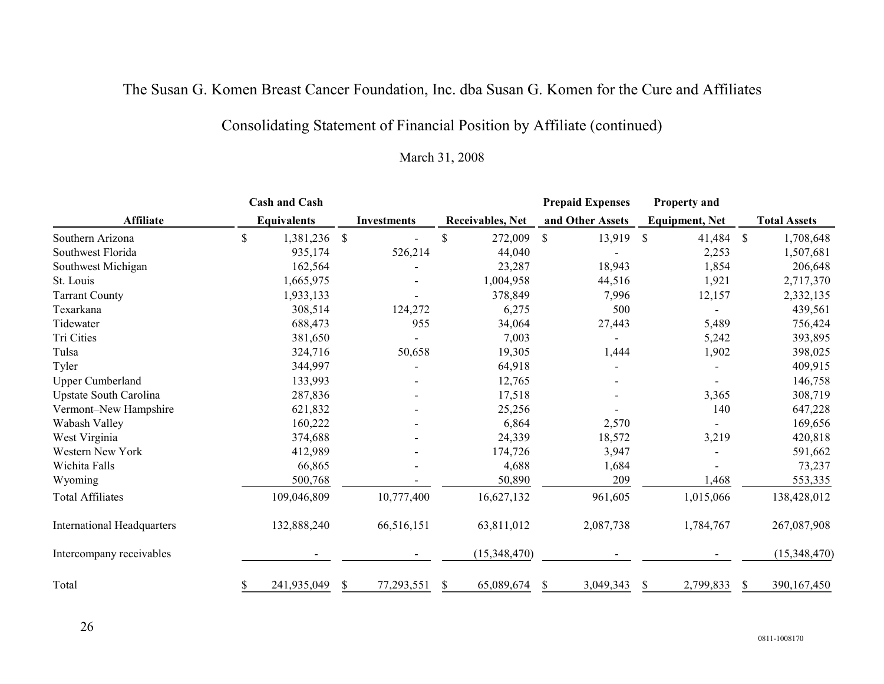# Consolidating Statement of Financial Position by Affiliate (continued)

|                                   | <b>Cash and Cash</b> |               |                    |              |                         | <b>Prepaid Expenses</b> |               | Property and          |               |                     |
|-----------------------------------|----------------------|---------------|--------------------|--------------|-------------------------|-------------------------|---------------|-----------------------|---------------|---------------------|
| <b>Affiliate</b>                  | <b>Equivalents</b>   |               | <b>Investments</b> |              | <b>Receivables, Net</b> | and Other Assets        |               | <b>Equipment, Net</b> |               | <b>Total Assets</b> |
| Southern Arizona                  | \$<br>1,381,236      | $\mathcal{S}$ |                    | \$           | 272,009                 | \$<br>13,919            | <sup>\$</sup> | 41,484                | $\mathcal{S}$ | 1,708,648           |
| Southwest Florida                 | 935,174              |               | 526,214            |              | 44,040                  |                         |               | 2,253                 |               | 1,507,681           |
| Southwest Michigan                | 162,564              |               |                    |              | 23,287                  | 18,943                  |               | 1,854                 |               | 206,648             |
| St. Louis                         | 1,665,975            |               |                    |              | 1,004,958               | 44,516                  |               | 1,921                 |               | 2,717,370           |
| <b>Tarrant County</b>             | 1,933,133            |               |                    |              | 378,849                 | 7,996                   |               | 12,157                |               | 2,332,135           |
| Texarkana                         | 308,514              |               | 124,272            |              | 6,275                   | 500                     |               |                       |               | 439,561             |
| Tidewater                         | 688,473              |               | 955                |              | 34,064                  | 27,443                  |               | 5,489                 |               | 756,424             |
| Tri Cities                        | 381,650              |               |                    |              | 7,003                   |                         |               | 5,242                 |               | 393,895             |
| Tulsa                             | 324,716              |               | 50,658             |              | 19,305                  | 1,444                   |               | 1,902                 |               | 398,025             |
| Tyler                             | 344,997              |               |                    |              | 64,918                  |                         |               |                       |               | 409,915             |
| <b>Upper Cumberland</b>           | 133,993              |               |                    |              | 12,765                  |                         |               |                       |               | 146,758             |
| <b>Upstate South Carolina</b>     | 287,836              |               |                    |              | 17,518                  |                         |               | 3,365                 |               | 308,719             |
| Vermont-New Hampshire             | 621,832              |               |                    |              | 25,256                  |                         |               | 140                   |               | 647,228             |
| Wabash Valley                     | 160,222              |               |                    |              | 6,864                   | 2,570                   |               |                       |               | 169,656             |
| West Virginia                     | 374,688              |               |                    |              | 24,339                  | 18,572                  |               | 3,219                 |               | 420,818             |
| <b>Western New York</b>           | 412,989              |               |                    |              | 174,726                 | 3,947                   |               |                       |               | 591,662             |
| Wichita Falls                     | 66,865               |               |                    |              | 4,688                   | 1,684                   |               |                       |               | 73,237              |
| Wyoming                           | 500,768              |               |                    |              | 50,890                  | 209                     |               | 1,468                 |               | 553,335             |
| <b>Total Affiliates</b>           | 109,046,809          |               | 10,777,400         |              | 16,627,132              | 961,605                 |               | 1,015,066             |               | 138,428,012         |
| <b>International Headquarters</b> | 132,888,240          |               | 66,516,151         |              | 63,811,012              | 2,087,738               |               | 1,784,767             |               | 267,087,908         |
| Intercompany receivables          |                      |               |                    |              | (15,348,470)            |                         |               |                       |               | (15,348,470)        |
| Total                             | \$<br>241,935,049    | S             | 77,293,551         | <sup>S</sup> | 65,089,674              | \$<br>3,049,343         | S             | 2,799,833             | S             | 390,167,450         |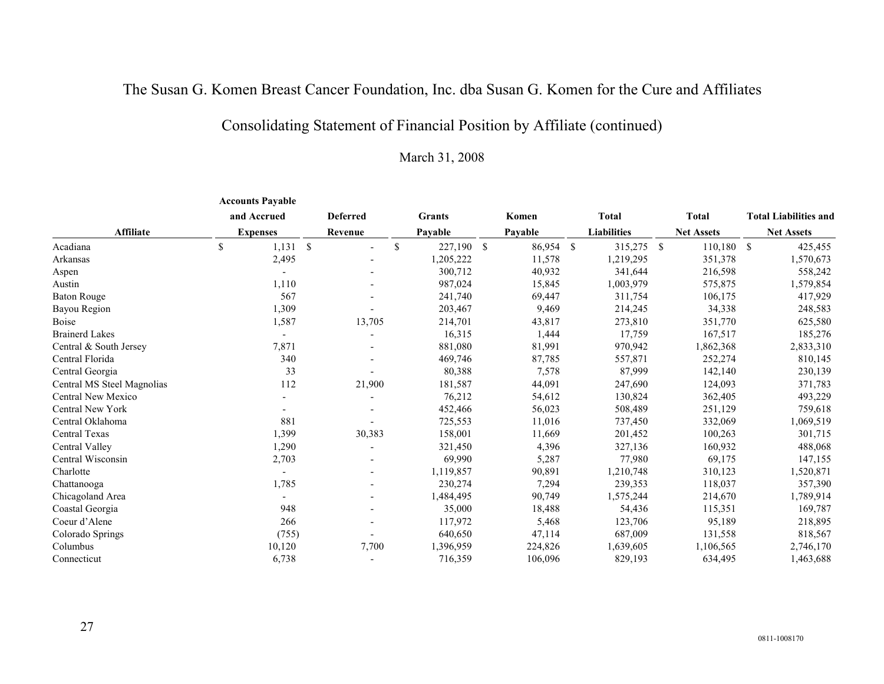# Consolidating Statement of Financial Position by Affiliate (continued)

|                            |             | <b>Accounts Payable</b> |                 |           |              |           |                    |  |                   |               |                              |
|----------------------------|-------------|-------------------------|-----------------|-----------|--------------|-----------|--------------------|--|-------------------|---------------|------------------------------|
|                            |             | and Accrued             | <b>Deferred</b> | Grants    |              | Komen     | <b>Total</b>       |  | <b>Total</b>      |               | <b>Total Liabilities and</b> |
| <b>Affiliate</b>           |             | <b>Expenses</b>         | Revenue         | Pavable   |              |           | <b>Liabilities</b> |  | <b>Net Assets</b> |               | <b>Net Assets</b>            |
| Acadiana                   | $\mathbf S$ | 1,131S                  | $\mathbb{S}$    | 227,190   | $\mathbb{S}$ | 86,954 \$ | 315,275 \$         |  | 110,180           | <sup>\$</sup> | 425,455                      |
| Arkansas                   |             | 2,495                   |                 | 1,205,222 |              | 11,578    | 1,219,295          |  | 351,378           |               | 1,570,673                    |
| Aspen                      |             |                         |                 | 300,712   |              | 40,932    | 341,644            |  | 216,598           |               | 558,242                      |
| Austin                     |             | 1,110                   |                 | 987,024   |              | 15,845    | 1,003,979          |  | 575,875           |               | 1,579,854                    |
| <b>Baton Rouge</b>         |             | 567                     |                 | 241,740   |              | 69,447    | 311,754            |  | 106,175           |               | 417,929                      |
| Bayou Region               |             | 1,309                   |                 | 203,467   |              | 9,469     | 214,245            |  | 34,338            |               | 248,583                      |
| <b>Boise</b>               |             | 1,587                   | 13,705          | 214,701   |              | 43,817    | 273,810            |  | 351,770           |               | 625,580                      |
| <b>Brainerd Lakes</b>      |             |                         |                 | 16,315    |              | 1,444     | 17,759             |  | 167,517           |               | 185,276                      |
| Central & South Jersey     |             | 7,871                   |                 | 881,080   |              | 81,991    | 970,942            |  | 1,862,368         |               | 2,833,310                    |
| Central Florida            |             | 340                     |                 | 469,746   |              | 87,785    | 557,871            |  | 252,274           |               | 810,145                      |
| Central Georgia            |             | 33                      |                 | 80,388    |              | 7,578     | 87,999             |  | 142,140           |               | 230,139                      |
| Central MS Steel Magnolias |             | 112                     | 21,900          | 181,587   |              | 44,091    | 247,690            |  | 124,093           |               | 371,783                      |
| Central New Mexico         |             |                         |                 | 76,212    |              | 54,612    | 130,824            |  | 362,405           |               | 493,229                      |
| <b>Central New York</b>    |             |                         |                 | 452,466   |              | 56,023    | 508,489            |  | 251,129           |               | 759,618                      |
| Central Oklahoma           |             | 881                     |                 | 725,553   |              | 11,016    | 737,450            |  | 332,069           |               | 1,069,519                    |
| Central Texas              |             | 1,399                   | 30,383          | 158,001   |              | 11,669    | 201,452            |  | 100,263           |               | 301,715                      |
| Central Valley             |             | 1,290                   |                 | 321,450   |              | 4,396     | 327,136            |  | 160,932           |               | 488,068                      |
| Central Wisconsin          |             | 2,703                   |                 | 69,990    |              | 5,287     | 77,980             |  | 69,175            |               | 147,155                      |
| Charlotte                  |             |                         |                 | 1,119,857 |              | 90,891    | 1,210,748          |  | 310,123           |               | 1,520,871                    |
| Chattanooga                |             | 1,785                   |                 | 230,274   |              | 7,294     | 239,353            |  | 118,037           |               | 357,390                      |
| Chicagoland Area           |             |                         |                 | 1,484,495 |              | 90,749    | 1,575,244          |  | 214,670           |               | 1,789,914                    |
| Coastal Georgia            |             | 948                     |                 | 35,000    |              | 18,488    | 54,436             |  | 115,351           |               | 169,787                      |
| Coeur d'Alene              |             | 266                     |                 | 117,972   |              | 5,468     | 123,706            |  | 95,189            |               | 218,895                      |
| Colorado Springs           |             | (755)                   |                 | 640,650   |              | 47,114    | 687,009            |  | 131,558           |               | 818,567                      |
| Columbus                   |             | 10,120                  | 7,700           | 1,396,959 |              | 224,826   | 1,639,605          |  | 1,106,565         |               | 2,746,170                    |
| Connecticut                |             | 6,738                   |                 | 716,359   |              | 106,096   | 829,193            |  | 634,495           |               | 1,463,688                    |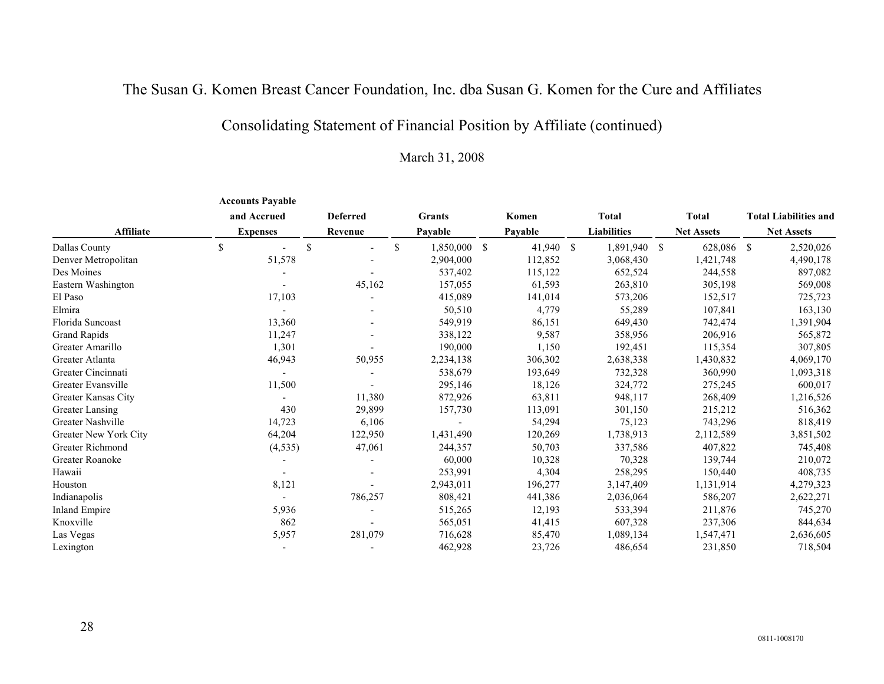# Consolidating Statement of Financial Position by Affiliate (continued)

|                          | <b>Accounts Payable</b> |                                 |                 |                            |                    |                   |                              |
|--------------------------|-------------------------|---------------------------------|-----------------|----------------------------|--------------------|-------------------|------------------------------|
|                          | and Accrued             | <b>Deferred</b>                 | <b>Grants</b>   | Komen                      | <b>Total</b>       | <b>Total</b>      | <b>Total Liabilities and</b> |
| <b>Affiliate</b>         | <b>Expenses</b>         | Revenue                         | Pavable         | Pavable                    | <b>Liabilities</b> | <b>Net Assets</b> | <b>Net Assets</b>            |
| Dallas County            | \$                      | <sup>\$</sup><br>$\blacksquare$ | \$<br>1,850,000 | <sup>\$</sup><br>41,940 \$ | 1,891,940 \$       | 628,086           | -S<br>2,520,026              |
| Denver Metropolitan      | 51,578                  |                                 | 2,904,000       | 112,852                    | 3,068,430          | 1,421,748         | 4,490,178                    |
| Des Moines               |                         |                                 | 537,402         | 115,122                    | 652,524            | 244,558           | 897,082                      |
| Eastern Washington       |                         | 45,162                          | 157,055         | 61,593                     | 263,810            | 305,198           | 569,008                      |
| El Paso                  | 17,103                  |                                 | 415,089         | 141,014                    | 573,206            | 152,517           | 725,723                      |
| Elmira                   |                         |                                 | 50,510          | 4,779                      | 55,289             | 107,841           | 163,130                      |
| Florida Suncoast         | 13,360                  |                                 | 549,919         | 86,151                     | 649,430            | 742,474           | 1,391,904                    |
| Grand Rapids             | 11,247                  |                                 | 338,122         | 9,587                      | 358,956            | 206,916           | 565,872                      |
| Greater Amarillo         | 1,301                   |                                 | 190,000         | 1,150                      | 192,451            | 115,354           | 307,805                      |
| Greater Atlanta          | 46,943                  | 50,955                          | 2,234,138       | 306,302                    | 2,638,338          | 1,430,832         | 4,069,170                    |
| Greater Cincinnati       |                         |                                 | 538,679         | 193,649                    | 732,328            | 360,990           | 1,093,318                    |
| Greater Evansville       | 11,500                  |                                 | 295,146         | 18,126                     | 324,772            | 275,245           | 600,017                      |
| Greater Kansas City      |                         | 11,380                          | 872,926         | 63,811                     | 948,117            | 268,409           | 1,216,526                    |
| Greater Lansing          | 430                     | 29,899                          | 157,730         | 113,091                    | 301,150            | 215,212           | 516,362                      |
| <b>Greater Nashville</b> | 14,723                  | 6,106                           |                 | 54,294                     | 75,123             | 743,296           | 818,419                      |
| Greater New York City    | 64,204                  | 122,950                         | 1,431,490       | 120,269                    | 1,738,913          | 2,112,589         | 3,851,502                    |
| Greater Richmond         | (4, 535)                | 47,061                          | 244,357         | 50,703                     | 337,586            | 407,822           | 745,408                      |
| Greater Roanoke          |                         |                                 | 60,000          | 10,328                     | 70,328             | 139,744           | 210,072                      |
| Hawaii                   |                         |                                 | 253,991         | 4,304                      | 258,295            | 150,440           | 408,735                      |
| Houston                  | 8,121                   |                                 | 2,943,011       | 196,277                    | 3,147,409          | 1,131,914         | 4,279,323                    |
| Indianapolis             |                         | 786,257                         | 808,421         | 441,386                    | 2,036,064          | 586,207           | 2,622,271                    |
| <b>Inland Empire</b>     | 5,936                   |                                 | 515,265         | 12,193                     | 533,394            | 211,876           | 745,270                      |
| Knoxville                | 862                     |                                 | 565,051         | 41,415                     | 607,328            | 237,306           | 844,634                      |
| Las Vegas                | 5,957                   | 281,079                         | 716,628         | 85,470                     | 1,089,134          | 1,547,471         | 2,636,605                    |
| Lexington                |                         |                                 | 462,928         | 23,726                     | 486,654            | 231,850           | 718,504                      |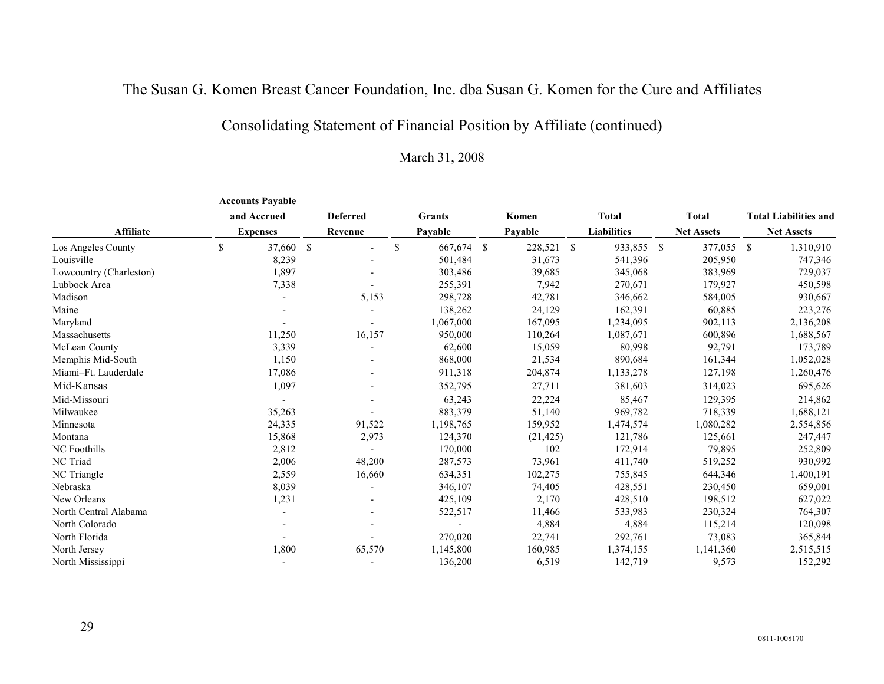# Consolidating Statement of Financial Position by Affiliate (continued)

|                         | <b>Accounts Payable</b> |                 |               |               |    |            |                    |                   |               |                              |
|-------------------------|-------------------------|-----------------|---------------|---------------|----|------------|--------------------|-------------------|---------------|------------------------------|
|                         | and Accrued             | <b>Deferred</b> |               | <b>Grants</b> |    | Komen      | <b>Total</b>       | Total             |               | <b>Total Liabilities and</b> |
| Affiliate               | <b>Expenses</b>         | Revenue         |               | Pavable       |    | Payable    | <b>Liabilities</b> | <b>Net Assets</b> |               | <b>Net Assets</b>            |
| Los Angeles County      | \$<br>37,660 \$         | $\blacksquare$  | $\mathcal{S}$ | 667,674       | -S | 228,521 \$ | 933,855 \$         | 377,055           | <sup>\$</sup> | 1,310,910                    |
| Louisville              | 8,239                   |                 |               | 501,484       |    | 31,673     | 541,396            | 205,950           |               | 747,346                      |
| Lowcountry (Charleston) | 1,897                   |                 |               | 303,486       |    | 39,685     | 345,068            | 383,969           |               | 729,037                      |
| Lubbock Area            | 7,338                   |                 |               | 255,391       |    | 7,942      | 270,671            | 179,927           |               | 450,598                      |
| Madison                 |                         | 5,153           |               | 298,728       |    | 42,781     | 346,662            | 584,005           |               | 930,667                      |
| Maine                   |                         |                 |               | 138,262       |    | 24,129     | 162,391            | 60,885            |               | 223,276                      |
| Maryland                |                         |                 |               | 1,067,000     |    | 167,095    | 1,234,095          | 902,113           |               | 2,136,208                    |
| Massachusetts           | 11,250                  | 16,157          |               | 950,000       |    | 110,264    | 1,087,671          | 600,896           |               | 1,688,567                    |
| McLean County           | 3,339                   |                 |               | 62,600        |    | 15,059     | 80,998             | 92,791            |               | 173,789                      |
| Memphis Mid-South       | 1,150                   |                 |               | 868,000       |    | 21,534     | 890,684            | 161,344           |               | 1,052,028                    |
| Miami-Ft. Lauderdale    | 17,086                  |                 |               | 911,318       |    | 204,874    | 1,133,278          | 127,198           |               | 1,260,476                    |
| Mid-Kansas              | 1,097                   |                 |               | 352,795       |    | 27,711     | 381,603            | 314,023           |               | 695,626                      |
| Mid-Missouri            |                         |                 |               | 63,243        |    | 22,224     | 85,467             | 129,395           |               | 214,862                      |
| Milwaukee               | 35,263                  |                 |               | 883,379       |    | 51,140     | 969,782            | 718,339           |               | 1,688,121                    |
| Minnesota               | 24,335                  | 91,522          |               | 1,198,765     |    | 159,952    | 1,474,574          | 1,080,282         |               | 2,554,856                    |
| Montana                 | 15,868                  | 2,973           |               | 124,370       |    | (21, 425)  | 121,786            | 125,661           |               | 247,447                      |
| <b>NC</b> Foothills     | 2,812                   |                 |               | 170,000       |    | 102        | 172,914            | 79,895            |               | 252,809                      |
| NC Triad                | 2,006                   | 48,200          |               | 287,573       |    | 73,961     | 411,740            | 519,252           |               | 930,992                      |
| NC Triangle             | 2,559                   | 16,660          |               | 634,351       |    | 102,275    | 755,845            | 644,346           |               | 1,400,191                    |
| Nebraska                | 8,039                   |                 |               | 346,107       |    | 74,405     | 428,551            | 230,450           |               | 659,001                      |
| New Orleans             | 1,231                   |                 |               | 425,109       |    | 2,170      | 428,510            | 198,512           |               | 627,022                      |
| North Central Alabama   |                         |                 |               | 522,517       |    | 11,466     | 533,983            | 230,324           |               | 764,307                      |
| North Colorado          |                         |                 |               |               |    | 4,884      | 4,884              | 115,214           |               | 120,098                      |
| North Florida           |                         |                 |               | 270,020       |    | 22,741     | 292,761            | 73,083            |               | 365,844                      |
| North Jersey            | 1,800                   | 65,570          |               | 1,145,800     |    | 160,985    | 1,374,155          | 1,141,360         |               | 2,515,515                    |
| North Mississippi       |                         |                 |               | 136,200       |    | 6,519      | 142,719            | 9,573             |               | 152,292                      |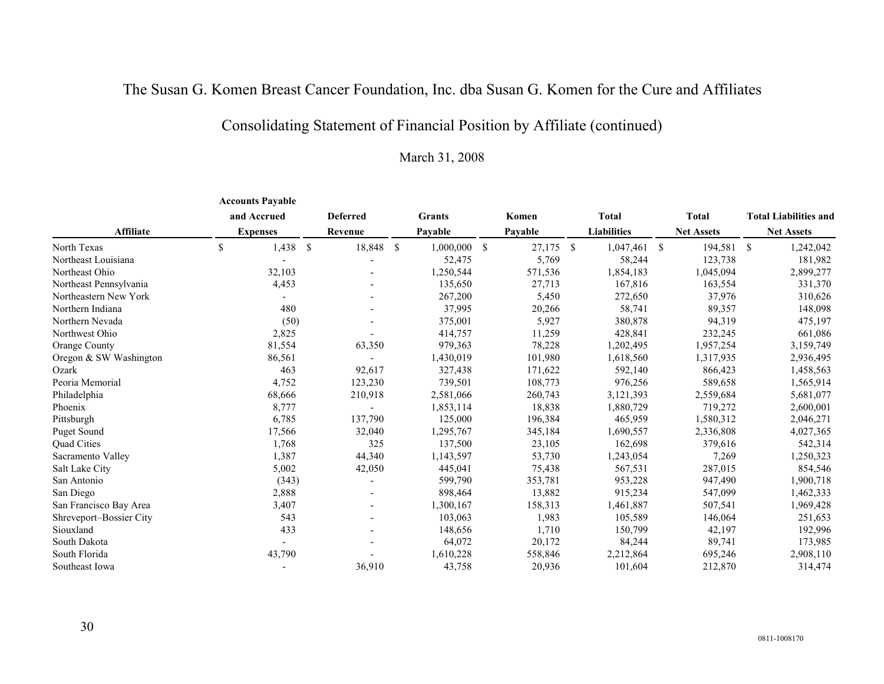# Consolidating Statement of Financial Position by Affiliate (continued)

|                         | <b>Accounts Payable</b> |                          |               |               |               |         |      |                    |      |                   |               |                              |
|-------------------------|-------------------------|--------------------------|---------------|---------------|---------------|---------|------|--------------------|------|-------------------|---------------|------------------------------|
|                         | and Accrued             | <b>Deferred</b>          |               | <b>Grants</b> |               | Komen   |      | <b>Total</b>       |      | <b>Total</b>      |               | <b>Total Liabilities and</b> |
| <b>Affiliate</b>        | <b>Expenses</b>         | Revenue                  |               | Pavable       |               | Pavable |      | <b>Liabilities</b> |      | <b>Net Assets</b> |               | <b>Net Assets</b>            |
| North Texas             | \$<br>1,438<br>- \$     | 18,848                   | <sup>\$</sup> | 1,000,000     | <sup>\$</sup> | 27,175  | - \$ | 1,047,461          | - \$ | 194,581           | <sup>\$</sup> | 1,242,042                    |
| Northeast Louisiana     |                         |                          |               | 52,475        |               | 5,769   |      | 58,244             |      | 123,738           |               | 181,982                      |
| Northeast Ohio          | 32,103                  |                          |               | 1,250,544     |               | 571,536 |      | 1,854,183          |      | 1,045,094         |               | 2,899,277                    |
| Northeast Pennsylvania  | 4,453                   |                          |               | 135,650       |               | 27,713  |      | 167,816            |      | 163,554           |               | 331,370                      |
| Northeastern New York   |                         |                          |               | 267,200       |               | 5,450   |      | 272,650            |      | 37,976            |               | 310,626                      |
| Northern Indiana        | 480                     |                          |               | 37,995        |               | 20,266  |      | 58,741             |      | 89,357            |               | 148,098                      |
| Northern Nevada         | (50)                    |                          |               | 375,001       |               | 5,927   |      | 380,878            |      | 94,319            |               | 475,197                      |
| Northwest Ohio          | 2,825                   |                          |               | 414,757       |               | 11,259  |      | 428,841            |      | 232,245           |               | 661,086                      |
| Orange County           | 81,554                  | 63,350                   |               | 979,363       |               | 78,228  |      | 1,202,495          |      | 1,957,254         |               | 3,159,749                    |
| Oregon & SW Washington  | 86,561                  |                          |               | 1,430,019     |               | 101,980 |      | 1,618,560          |      | 1,317,935         |               | 2,936,495                    |
| Ozark                   | 463                     | 92,617                   |               | 327,438       |               | 171,622 |      | 592,140            |      | 866,423           |               | 1,458,563                    |
| Peoria Memorial         | 4,752                   | 123,230                  |               | 739,501       |               | 108,773 |      | 976,256            |      | 589,658           |               | 1,565,914                    |
| Philadelphia            | 68,666                  | 210,918                  |               | 2,581,066     |               | 260,743 |      | 3,121,393          |      | 2,559,684         |               | 5,681,077                    |
| Phoenix                 | 8,777                   |                          |               | 1,853,114     |               | 18,838  |      | 1,880,729          |      | 719,272           |               | 2,600,001                    |
| Pittsburgh              | 6,785                   | 137,790                  |               | 125,000       |               | 196,384 |      | 465,959            |      | 1,580,312         |               | 2,046,271                    |
| <b>Puget Sound</b>      | 17,566                  | 32,040                   |               | 1,295,767     |               | 345,184 |      | 1,690,557          |      | 2,336,808         |               | 4,027,365                    |
| Quad Cities             | 1,768                   | 325                      |               | 137,500       |               | 23,105  |      | 162,698            |      | 379,616           |               | 542,314                      |
| Sacramento Valley       | 1,387                   | 44,340                   |               | 1,143,597     |               | 53,730  |      | 1,243,054          |      | 7,269             |               | 1,250,323                    |
| Salt Lake City          | 5,002                   | 42,050                   |               | 445,041       |               | 75,438  |      | 567,531            |      | 287,015           |               | 854,546                      |
| San Antonio             | (343)                   |                          |               | 599,790       |               | 353,781 |      | 953,228            |      | 947,490           |               | 1,900,718                    |
| San Diego               | 2,888                   |                          |               | 898,464       |               | 13,882  |      | 915,234            |      | 547,099           |               | 1,462,333                    |
| San Francisco Bay Area  | 3,407                   |                          |               | 1,300,167     |               | 158,313 |      | 1,461,887          |      | 507,541           |               | 1,969,428                    |
| Shreveport-Bossier City | 543                     | $\overline{\phantom{a}}$ |               | 103,063       |               | 1,983   |      | 105,589            |      | 146,064           |               | 251,653                      |
| Siouxland               | 433                     |                          |               | 148,656       |               | 1,710   |      | 150,799            |      | 42,197            |               | 192,996                      |
| South Dakota            |                         |                          |               | 64,072        |               | 20,172  |      | 84,244             |      | 89,741            |               | 173,985                      |
| South Florida           | 43,790                  |                          |               | 1,610,228     |               | 558,846 |      | 2,212,864          |      | 695,246           |               | 2,908,110                    |
| Southeast Iowa          |                         | 36,910                   |               | 43,758        |               | 20,936  |      | 101,604            |      | 212,870           |               | 314,474                      |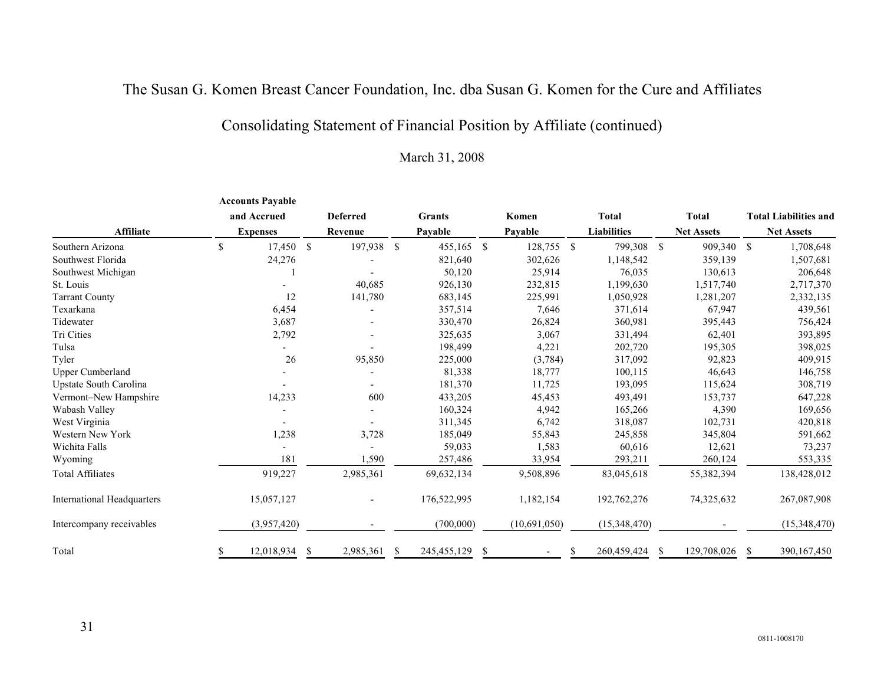# Consolidating Statement of Financial Position by Affiliate (continued)

|                                   | <b>Accounts Payable</b> |    |                 |               |               |     |              |                    |               |                   |    |                              |
|-----------------------------------|-------------------------|----|-----------------|---------------|---------------|-----|--------------|--------------------|---------------|-------------------|----|------------------------------|
|                                   | and Accrued             |    | <b>Deferred</b> |               | <b>Grants</b> |     | Komen        | <b>Total</b>       |               | <b>Total</b>      |    | <b>Total Liabilities and</b> |
| <b>Affiliate</b>                  | <b>Expenses</b>         |    | Revenue         |               | Payable       |     | Payable      | <b>Liabilities</b> |               | <b>Net Assets</b> |    | <b>Net Assets</b>            |
| Southern Arizona                  | \$<br>17,450 \$         |    | 197,938         | <sup>\$</sup> | 455,165       | -\$ | 128,755 \$   | 799,308            | <sup>\$</sup> | 909,340           | -S | 1,708,648                    |
| Southwest Florida                 | 24,276                  |    |                 |               | 821,640       |     | 302,626      | 1,148,542          |               | 359,139           |    | 1,507,681                    |
| Southwest Michigan                |                         |    |                 |               | 50,120        |     | 25,914       | 76,035             |               | 130,613           |    | 206,648                      |
| St. Louis                         |                         |    | 40,685          |               | 926,130       |     | 232,815      | 1,199,630          |               | 1,517,740         |    | 2,717,370                    |
| <b>Tarrant County</b>             | 12                      |    | 141,780         |               | 683,145       |     | 225,991      | 1,050,928          |               | 1,281,207         |    | 2,332,135                    |
| Texarkana                         | 6,454                   |    |                 |               | 357,514       |     | 7,646        | 371,614            |               | 67,947            |    | 439,561                      |
| Tidewater                         | 3,687                   |    |                 |               | 330,470       |     | 26,824       | 360,981            |               | 395,443           |    | 756,424                      |
| Tri Cities                        | 2,792                   |    |                 |               | 325,635       |     | 3,067        | 331,494            |               | 62,401            |    | 393,895                      |
| Tulsa                             |                         |    |                 |               | 198,499       |     | 4,221        | 202,720            |               | 195,305           |    | 398,025                      |
| Tyler                             | 26                      |    | 95,850          |               | 225,000       |     | (3,784)      | 317,092            |               | 92,823            |    | 409,915                      |
| <b>Upper Cumberland</b>           |                         |    |                 |               | 81,338        |     | 18,777       | 100,115            |               | 46,643            |    | 146,758                      |
| Upstate South Carolina            |                         |    |                 |               | 181,370       |     | 11,725       | 193,095            |               | 115,624           |    | 308,719                      |
| Vermont-New Hampshire             | 14,233                  |    | 600             |               | 433,205       |     | 45,453       | 493,491            |               | 153,737           |    | 647,228                      |
| Wabash Valley                     |                         |    |                 |               | 160,324       |     | 4,942        | 165,266            |               | 4,390             |    | 169,656                      |
| West Virginia                     |                         |    |                 |               | 311,345       |     | 6,742        | 318,087            |               | 102,731           |    | 420,818                      |
| Western New York                  | 1,238                   |    | 3,728           |               | 185,049       |     | 55,843       | 245,858            |               | 345,804           |    | 591,662                      |
| Wichita Falls                     |                         |    |                 |               | 59,033        |     | 1,583        | 60,616             |               | 12,621            |    | 73,237                       |
| Wyoming                           | 181                     |    | 1,590           |               | 257,486       |     | 33,954       | 293,211            |               | 260,124           |    | 553,335                      |
| <b>Total Affiliates</b>           | 919,227                 |    | 2,985,361       |               | 69,632,134    |     | 9,508,896    | 83,045,618         |               | 55,382,394        |    | 138,428,012                  |
| <b>International Headquarters</b> | 15,057,127              |    |                 |               | 176,522,995   |     | 1,182,154    | 192,762,276        |               | 74,325,632        |    | 267,087,908                  |
| Intercompany receivables          | (3,957,420)             |    |                 |               | (700,000)     |     | (10,691,050) | (15,348,470)       |               |                   |    | (15,348,470)                 |
| Total                             | 12,018,934              | -S | 2,985,361       | S             | 245, 455, 129 | -S  |              | 260,459,424        |               | 129,708,026       | -S | 390, 167, 450                |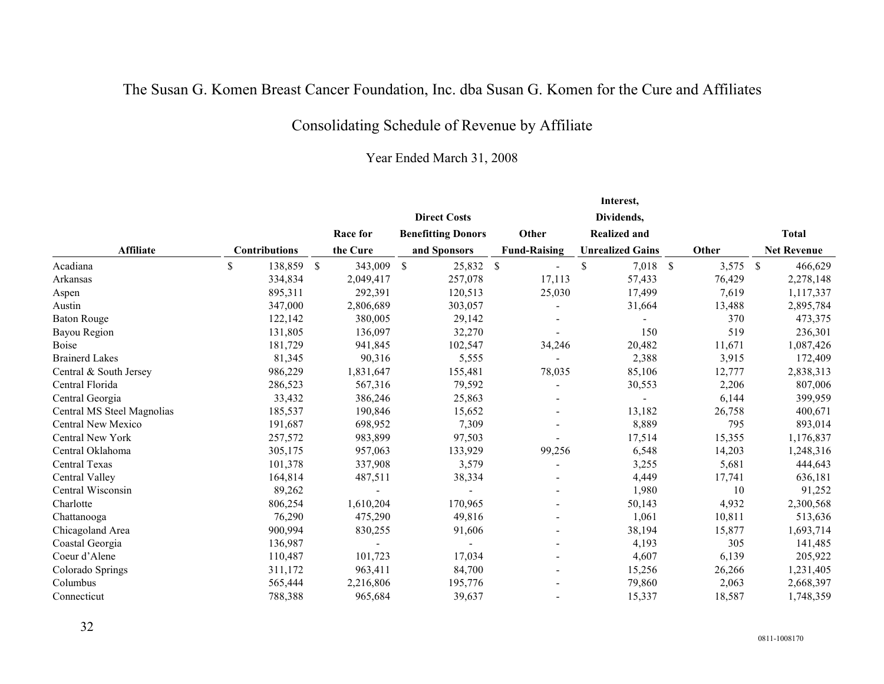# Consolidating Schedule of Revenue by Affiliate

|                            |                               |            |                           |                     | Interest,               |            |                    |
|----------------------------|-------------------------------|------------|---------------------------|---------------------|-------------------------|------------|--------------------|
|                            |                               |            | <b>Direct Costs</b>       |                     | Dividends,              |            |                    |
|                            |                               | Race for   | <b>Benefitting Donors</b> | Other               | <b>Realized and</b>     |            | <b>Total</b>       |
| <b>Affiliate</b>           | <b>Contributions</b>          | the Cure   | and Sponsors              | <b>Fund-Raising</b> | <b>Unrealized Gains</b> | Other      | <b>Net Revenue</b> |
| Acadiana                   | \$<br>138,859<br>$\mathbb{S}$ | 343,009 \$ | 25,832 \$                 |                     | \$<br>7,018 \$          | $3,575$ \$ | 466,629            |
| Arkansas                   | 334,834                       | 2,049,417  | 257,078                   | 17,113              | 57,433                  | 76,429     | 2,278,148          |
| Aspen                      | 895,311                       | 292,391    | 120,513                   | 25,030              | 17,499                  | 7,619      | 1,117,337          |
| Austin                     | 347,000                       | 2,806,689  | 303,057                   |                     | 31,664                  | 13,488     | 2,895,784          |
| <b>Baton Rouge</b>         | 122,142                       | 380,005    | 29,142                    |                     |                         | 370        | 473,375            |
| Bayou Region               | 131,805                       | 136,097    | 32,270                    |                     | 150                     | 519        | 236,301            |
| <b>Boise</b>               | 181,729                       | 941,845    | 102,547                   | 34,246              | 20,482                  | 11,671     | 1,087,426          |
| <b>Brainerd Lakes</b>      | 81,345                        | 90,316     | 5,555                     |                     | 2,388                   | 3,915      | 172,409            |
| Central & South Jersey     | 986,229                       | 1,831,647  | 155,481                   | 78,035              | 85,106                  | 12,777     | 2,838,313          |
| Central Florida            | 286,523                       | 567,316    | 79,592                    |                     | 30,553                  | 2,206      | 807,006            |
| Central Georgia            | 33,432                        | 386,246    | 25,863                    |                     |                         | 6,144      | 399,959            |
| Central MS Steel Magnolias | 185,537                       | 190,846    | 15,652                    |                     | 13,182                  | 26,758     | 400,671            |
| Central New Mexico         | 191,687                       | 698,952    | 7,309                     |                     | 8,889                   | 795        | 893,014            |
| Central New York           | 257,572                       | 983,899    | 97,503                    |                     | 17,514                  | 15,355     | 1,176,837          |
| Central Oklahoma           | 305,175                       | 957,063    | 133,929                   | 99,256              | 6,548                   | 14,203     | 1,248,316          |
| Central Texas              | 101,378                       | 337,908    | 3,579                     |                     | 3,255                   | 5,681      | 444,643            |
| Central Valley             | 164,814                       | 487,511    | 38,334                    |                     | 4,449                   | 17,741     | 636,181            |
| Central Wisconsin          | 89,262                        |            |                           |                     | 1,980                   | 10         | 91,252             |
| Charlotte                  | 806,254                       | 1,610,204  | 170,965                   |                     | 50,143                  | 4,932      | 2,300,568          |
| Chattanooga                | 76,290                        | 475,290    | 49,816                    |                     | 1,061                   | 10,811     | 513,636            |
| Chicagoland Area           | 900,994                       | 830,255    | 91,606                    |                     | 38,194                  | 15,877     | 1,693,714          |
| Coastal Georgia            | 136,987                       |            |                           |                     | 4,193                   | 305        | 141,485            |
| Coeur d'Alene              | 110,487                       | 101,723    | 17,034                    |                     | 4,607                   | 6,139      | 205,922            |
| Colorado Springs           | 311,172                       | 963,411    | 84,700                    |                     | 15,256                  | 26,266     | 1,231,405          |
| Columbus                   | 565,444                       | 2,216,806  | 195,776                   |                     | 79,860                  | 2,063      | 2,668,397          |
| Connecticut                | 788,388                       | 965,684    | 39,637                    |                     | 15,337                  | 18,587     | 1,748,359          |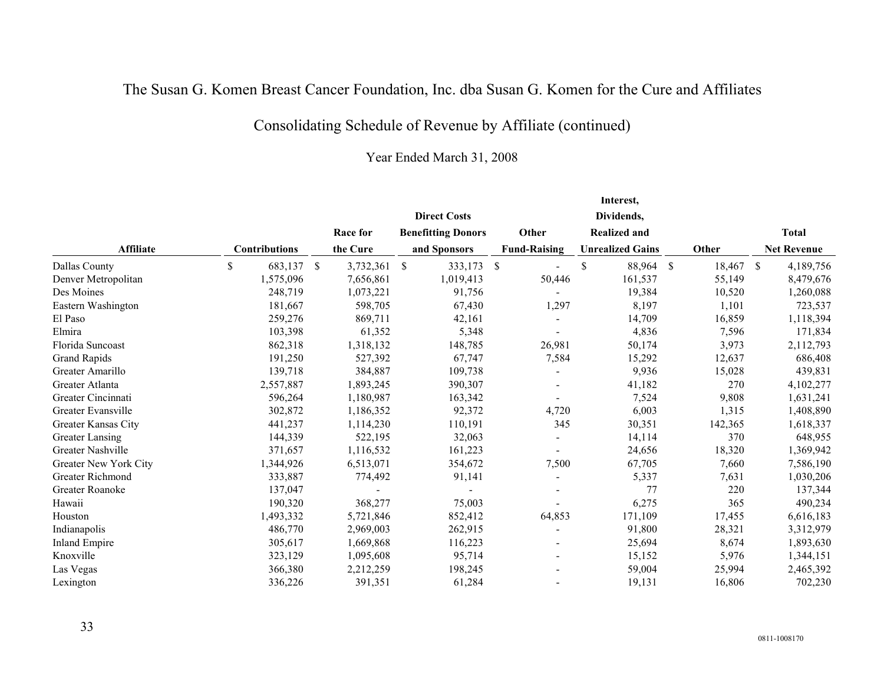# Consolidating Schedule of Revenue by Affiliate (continued)

|                       |                      |                 |     |                           |              |                              |               | Interest,               |               |         |                    |
|-----------------------|----------------------|-----------------|-----|---------------------------|--------------|------------------------------|---------------|-------------------------|---------------|---------|--------------------|
|                       |                      |                 |     | <b>Direct Costs</b>       |              |                              |               | Dividends,              |               |         |                    |
|                       |                      | Race for        |     | <b>Benefitting Donors</b> |              | Other                        |               | <b>Realized and</b>     |               |         | <b>Total</b>       |
| <b>Affiliate</b>      | <b>Contributions</b> | the Cure        |     | and Sponsors              |              | <b>Fund-Raising</b>          |               | <b>Unrealized Gains</b> |               | Other   | <b>Net Revenue</b> |
| Dallas County         | \$<br>683,137        | \$<br>3,732,361 | -\$ | 333,173                   | $\mathbb{S}$ |                              | <sup>\$</sup> | 88,964                  | $\mathcal{S}$ | 18,467  | \$<br>4,189,756    |
| Denver Metropolitan   | 1,575,096            | 7,656,861       |     | 1,019,413                 |              | 50,446                       |               | 161,537                 |               | 55,149  | 8,479,676          |
| Des Moines            | 248,719              | 1,073,221       |     | 91,756                    |              |                              |               | 19,384                  |               | 10,520  | 1,260,088          |
| Eastern Washington    | 181,667              | 598,705         |     | 67,430                    |              | 1,297                        |               | 8,197                   |               | 1,101   | 723,537            |
| El Paso               | 259,276              | 869,711         |     | 42,161                    |              |                              |               | 14,709                  |               | 16,859  | 1,118,394          |
| Elmira                | 103,398              | 61,352          |     | 5,348                     |              |                              |               | 4,836                   |               | 7,596   | 171,834            |
| Florida Suncoast      | 862,318              | 1,318,132       |     | 148,785                   |              | 26,981                       |               | 50,174                  |               | 3,973   | 2,112,793          |
| <b>Grand Rapids</b>   | 191,250              | 527,392         |     | 67,747                    |              | 7,584                        |               | 15,292                  |               | 12,637  | 686,408            |
| Greater Amarillo      | 139,718              | 384,887         |     | 109,738                   |              |                              |               | 9,936                   |               | 15,028  | 439,831            |
| Greater Atlanta       | 2,557,887            | 1,893,245       |     | 390,307                   |              |                              |               | 41,182                  |               | 270     | 4,102,277          |
| Greater Cincinnati    | 596,264              | 1,180,987       |     | 163,342                   |              |                              |               | 7,524                   |               | 9,808   | 1,631,241          |
| Greater Evansville    | 302,872              | 1,186,352       |     | 92,372                    |              | 4,720                        |               | 6,003                   |               | 1,315   | 1,408,890          |
| Greater Kansas City   | 441,237              | 1,114,230       |     | 110,191                   |              | 345                          |               | 30,351                  |               | 142,365 | 1,618,337          |
| Greater Lansing       | 144,339              | 522,195         |     | 32,063                    |              |                              |               | 14,114                  |               | 370     | 648,955            |
| Greater Nashville     | 371,657              | 1,116,532       |     | 161,223                   |              |                              |               | 24,656                  |               | 18,320  | 1,369,942          |
| Greater New York City | 1,344,926            | 6,513,071       |     | 354,672                   |              | 7,500                        |               | 67,705                  |               | 7,660   | 7,586,190          |
| Greater Richmond      | 333,887              | 774,492         |     | 91,141                    |              | $\qquad \qquad \blacksquare$ |               | 5,337                   |               | 7,631   | 1,030,206          |
| Greater Roanoke       | 137,047              |                 |     |                           |              |                              |               | 77                      |               | 220     | 137,344            |
| Hawaii                | 190,320              | 368,277         |     | 75,003                    |              |                              |               | 6,275                   |               | 365     | 490,234            |
| Houston               | 1,493,332            | 5,721,846       |     | 852,412                   |              | 64,853                       |               | 171,109                 |               | 17,455  | 6,616,183          |
| Indianapolis          | 486,770              | 2,969,003       |     | 262,915                   |              |                              |               | 91,800                  |               | 28,321  | 3,312,979          |
| Inland Empire         | 305,617              | 1,669,868       |     | 116,223                   |              |                              |               | 25,694                  |               | 8,674   | 1,893,630          |
| Knoxville             | 323,129              | 1,095,608       |     | 95,714                    |              |                              |               | 15,152                  |               | 5,976   | 1,344,151          |
| Las Vegas             | 366,380              | 2,212,259       |     | 198,245                   |              |                              |               | 59,004                  |               | 25,994  | 2,465,392          |
| Lexington             | 336,226              | 391,351         |     | 61,284                    |              |                              |               | 19,131                  |               | 16,806  | 702,230            |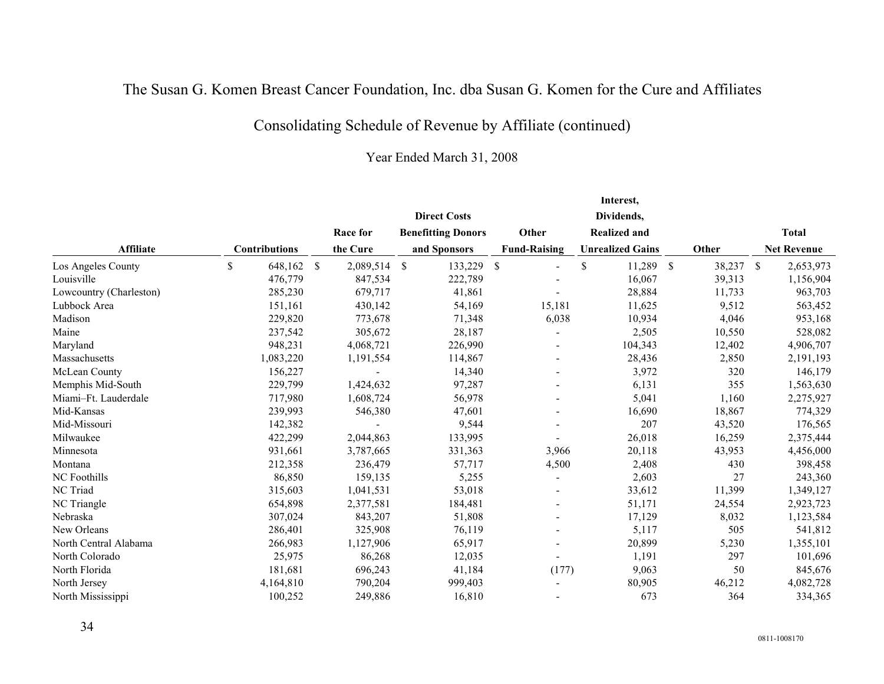# Consolidating Schedule of Revenue by Affiliate (continued)

|                         |                      |                              |                           |             |                          | Interest,               |              |        |               |                    |
|-------------------------|----------------------|------------------------------|---------------------------|-------------|--------------------------|-------------------------|--------------|--------|---------------|--------------------|
|                         |                      |                              | <b>Direct Costs</b>       |             |                          | Dividends,              |              |        |               |                    |
|                         |                      | Race for                     | <b>Benefitting Donors</b> |             | Other                    | <b>Realized and</b>     |              |        |               | <b>Total</b>       |
| <b>Affiliate</b>        | <b>Contributions</b> | the Cure                     | and Sponsors              |             | <b>Fund-Raising</b>      | <b>Unrealized Gains</b> |              | Other  |               | <b>Net Revenue</b> |
| Los Angeles County      | \$<br>648,162        | $\mathbb{S}$<br>2,089,514 \$ | 133,229                   | $\mathbb S$ | ÷                        | \$<br>11,289            | $\mathbb{S}$ | 38,237 | $\mathcal{S}$ | 2,653,973          |
| Louisville              | 476,779              | 847,534                      | 222,789                   |             |                          | 16,067                  |              | 39,313 |               | 1,156,904          |
| Lowcountry (Charleston) | 285,230              | 679,717                      | 41,861                    |             |                          | 28,884                  |              | 11,733 |               | 963,703            |
| Lubbock Area            | 151,161              | 430,142                      | 54,169                    |             | 15,181                   | 11,625                  |              | 9,512  |               | 563,452            |
| Madison                 | 229,820              | 773,678                      | 71,348                    |             | 6,038                    | 10,934                  |              | 4,046  |               | 953,168            |
| Maine                   | 237,542              | 305,672                      | 28,187                    |             |                          | 2,505                   |              | 10,550 |               | 528,082            |
| Maryland                | 948,231              | 4,068,721                    | 226,990                   |             |                          | 104,343                 |              | 12,402 |               | 4,906,707          |
| Massachusetts           | 1,083,220            | 1,191,554                    | 114,867                   |             |                          | 28,436                  |              | 2,850  |               | 2,191,193          |
| McLean County           | 156,227              |                              | 14,340                    |             | $\overline{\phantom{a}}$ | 3,972                   |              | 320    |               | 146,179            |
| Memphis Mid-South       | 229,799              | 1,424,632                    | 97,287                    |             |                          | 6,131                   |              | 355    |               | 1,563,630          |
| Miami-Ft. Lauderdale    | 717,980              | 1,608,724                    | 56,978                    |             |                          | 5,041                   |              | 1,160  |               | 2,275,927          |
| Mid-Kansas              | 239,993              | 546,380                      | 47,601                    |             |                          | 16,690                  |              | 18,867 |               | 774,329            |
| Mid-Missouri            | 142,382              |                              | 9,544                     |             |                          | 207                     |              | 43,520 |               | 176,565            |
| Milwaukee               | 422,299              | 2,044,863                    | 133,995                   |             |                          | 26,018                  |              | 16,259 |               | 2,375,444          |
| Minnesota               | 931,661              | 3,787,665                    | 331,363                   |             | 3,966                    | 20,118                  |              | 43,953 |               | 4,456,000          |
| Montana                 | 212,358              | 236,479                      | 57,717                    |             | 4,500                    | 2,408                   |              | 430    |               | 398,458            |
| NC Foothills            | 86,850               | 159,135                      | 5,255                     |             | $\overline{\phantom{a}}$ | 2,603                   |              | 27     |               | 243,360            |
| NC Triad                | 315,603              | 1,041,531                    | 53,018                    |             |                          | 33,612                  |              | 11,399 |               | 1,349,127          |
| NC Triangle             | 654,898              | 2,377,581                    | 184,481                   |             |                          | 51,171                  |              | 24,554 |               | 2,923,723          |
| Nebraska                | 307,024              | 843,207                      | 51,808                    |             |                          | 17,129                  |              | 8,032  |               | 1,123,584          |
| New Orleans             | 286,401              | 325,908                      | 76,119                    |             |                          | 5,117                   |              | 505    |               | 541,812            |
| North Central Alabama   | 266,983              | 1,127,906                    | 65,917                    |             |                          | 20,899                  |              | 5,230  |               | 1,355,101          |
| North Colorado          | 25,975               | 86,268                       | 12,035                    |             |                          | 1,191                   |              | 297    |               | 101,696            |
| North Florida           | 181,681              | 696,243                      | 41,184                    |             | (177)                    | 9,063                   |              | 50     |               | 845,676            |
| North Jersey            | 4,164,810            | 790,204                      | 999,403                   |             |                          | 80,905                  |              | 46,212 |               | 4,082,728          |
| North Mississippi       | 100.252              | 249,886                      | 16,810                    |             |                          | 673                     |              | 364    |               | 334,365            |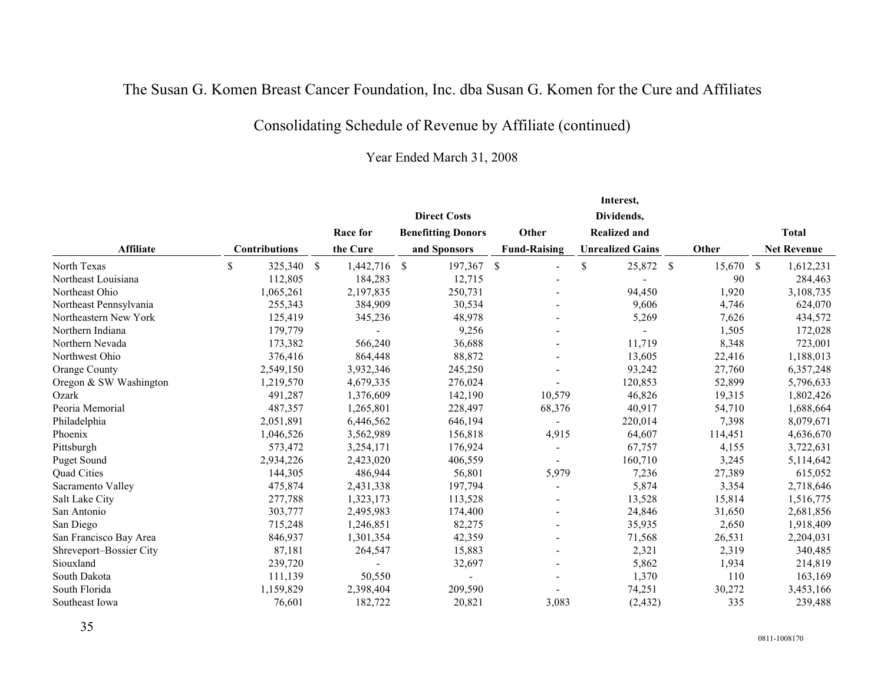# Consolidating Schedule of Revenue by Affiliate (continued)

|                         |                      |                              |                           |         |                          | Interest,               |         |                    |
|-------------------------|----------------------|------------------------------|---------------------------|---------|--------------------------|-------------------------|---------|--------------------|
|                         |                      |                              | <b>Direct Costs</b>       |         |                          | Dividends,              |         |                    |
|                         |                      | Race for                     | <b>Benefitting Donors</b> |         | Other                    | <b>Realized and</b>     |         | <b>Total</b>       |
| <b>Affiliate</b>        | <b>Contributions</b> | the Cure                     | and Sponsors              |         | <b>Fund-Raising</b>      | <b>Unrealized Gains</b> | Other   | <b>Net Revenue</b> |
| North Texas             | \$<br>325,340        | 1,442,716 \$<br><sup>S</sup> |                           | 197,367 | \$                       | \$<br>25,872 \$         | 15,670  | \$<br>1,612,231    |
| Northeast Louisiana     | 112,805              | 184,283                      |                           | 12,715  |                          |                         | 90      | 284,463            |
| Northeast Ohio          | 1,065,261            | 2,197,835                    |                           | 250,731 |                          | 94,450                  | 1,920   | 3,108,735          |
| Northeast Pennsylvania  | 255,343              | 384,909                      |                           | 30,534  |                          | 9,606                   | 4,746   | 624,070            |
| Northeastern New York   | 125,419              | 345,236                      |                           | 48,978  |                          | 5,269                   | 7,626   | 434,572            |
| Northern Indiana        | 179,779              |                              |                           | 9,256   |                          |                         | 1,505   | 172,028            |
| Northern Nevada         | 173,382              | 566,240                      |                           | 36,688  |                          | 11,719                  | 8,348   | 723,001            |
| Northwest Ohio          | 376,416              | 864,448                      |                           | 88,872  |                          | 13,605                  | 22,416  | 1,188,013          |
| Orange County           | 2,549,150            | 3,932,346                    |                           | 245,250 |                          | 93,242                  | 27,760  | 6,357,248          |
| Oregon & SW Washington  | 1,219,570            | 4,679,335                    |                           | 276,024 |                          | 120,853                 | 52,899  | 5,796,633          |
| Ozark                   | 491,287              | 1,376,609                    |                           | 142,190 | 10,579                   | 46,826                  | 19,315  | 1,802,426          |
| Peoria Memorial         | 487,357              | 1,265,801                    |                           | 228,497 | 68,376                   | 40,917                  | 54,710  | 1,688,664          |
| Philadelphia            | 2,051,891            | 6,446,562                    |                           | 646,194 | $\overline{\phantom{a}}$ | 220,014                 | 7,398   | 8,079,671          |
| Phoenix                 | 1,046,526            | 3,562,989                    |                           | 156,818 | 4,915                    | 64,607                  | 114,451 | 4,636,670          |
| Pittsburgh              | 573,472              | 3,254,171                    |                           | 176,924 | $\overline{\phantom{a}}$ | 67,757                  | 4,155   | 3,722,631          |
| <b>Puget Sound</b>      | 2,934,226            | 2,423,020                    |                           | 406,559 | $\overline{\phantom{a}}$ | 160,710                 | 3,245   | 5,114,642          |
| Quad Cities             | 144,305              | 486,944                      |                           | 56,801  | 5,979                    | 7,236                   | 27,389  | 615,052            |
| Sacramento Valley       | 475,874              | 2,431,338                    |                           | 197,794 | $\overline{\phantom{a}}$ | 5,874                   | 3,354   | 2,718,646          |
| Salt Lake City          | 277,788              | 1,323,173                    |                           | 113,528 |                          | 13,528                  | 15,814  | 1,516,775          |
| San Antonio             | 303,777              | 2,495,983                    |                           | 174,400 |                          | 24,846                  | 31,650  | 2,681,856          |
| San Diego               | 715,248              | 1,246,851                    |                           | 82,275  |                          | 35,935                  | 2,650   | 1,918,409          |
| San Francisco Bay Area  | 846,937              | 1,301,354                    |                           | 42,359  |                          | 71,568                  | 26,531  | 2,204,031          |
| Shreveport-Bossier City | 87,181               | 264,547                      |                           | 15,883  | $\blacksquare$           | 2,321                   | 2,319   | 340,485            |
| Siouxland               | 239,720              |                              |                           | 32,697  |                          | 5,862                   | 1,934   | 214,819            |
| South Dakota            | 111,139              | 50,550                       |                           |         |                          | 1,370                   | 110     | 163,169            |
| South Florida           | 1,159,829            | 2,398,404                    |                           | 209,590 |                          | 74,251                  | 30,272  | 3,453,166          |
| Southeast Iowa          | 76,601               | 182,722                      |                           | 20,821  | 3,083                    | (2, 432)                | 335     | 239,488            |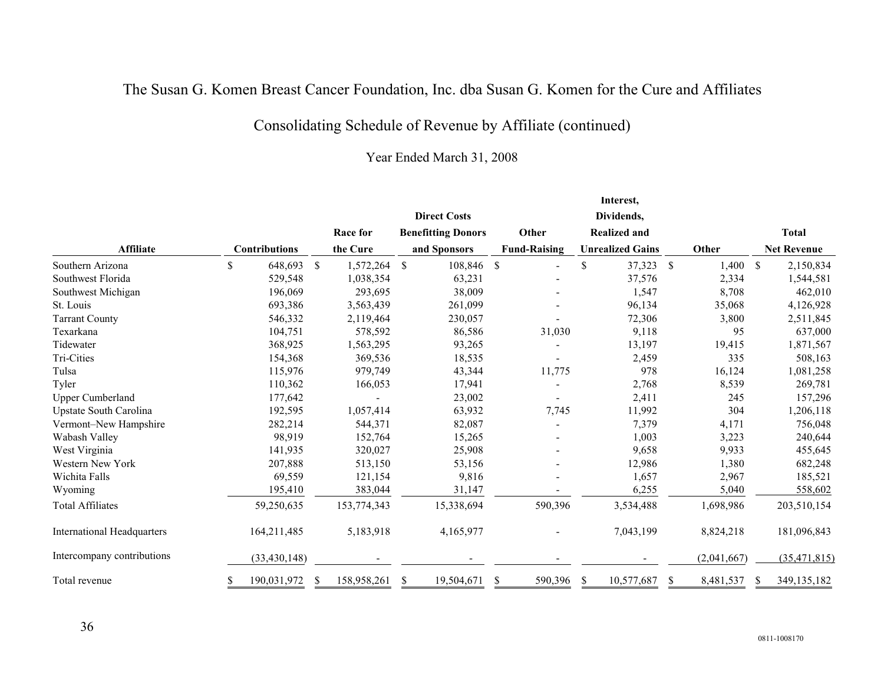# Consolidating Schedule of Revenue by Affiliate (continued)

|                                   |    |                      |                    |                            |               |                     |               | Interest,               |     |             |              |                    |
|-----------------------------------|----|----------------------|--------------------|----------------------------|---------------|---------------------|---------------|-------------------------|-----|-------------|--------------|--------------------|
|                                   |    |                      |                    | <b>Direct Costs</b>        |               |                     |               | Dividends,              |     |             |              |                    |
|                                   |    |                      | Race for           | <b>Benefitting Donors</b>  |               | Other               |               | <b>Realized and</b>     |     |             |              | <b>Total</b>       |
| <b>Affiliate</b>                  |    | <b>Contributions</b> | the Cure           | and Sponsors               |               | <b>Fund-Raising</b> |               | <b>Unrealized Gains</b> |     | Other       |              | <b>Net Revenue</b> |
| Southern Arizona                  | \$ | 648,693              | \$<br>1,572,264 \$ | 108,846                    | $\mathbb{S}$  |                     | <sup>\$</sup> | 37,323                  | \$  | 1,400       | $\mathbb{S}$ | 2,150,834          |
| Southwest Florida                 |    | 529,548              | 1,038,354          | 63,231                     |               |                     |               | 37,576                  |     | 2,334       |              | 1,544,581          |
| Southwest Michigan                |    | 196,069              | 293,695            | 38,009                     |               |                     |               | 1,547                   |     | 8,708       |              | 462,010            |
| St. Louis                         |    | 693,386              | 3,563,439          | 261,099                    |               |                     |               | 96,134                  |     | 35,068      |              | 4,126,928          |
| <b>Tarrant County</b>             |    | 546,332              | 2,119,464          | 230,057                    |               |                     |               | 72,306                  |     | 3,800       |              | 2,511,845          |
| Texarkana                         |    | 104,751              | 578,592            | 86,586                     |               | 31,030              |               | 9,118                   |     | 95          |              | 637,000            |
| Tidewater                         |    | 368,925              | 1,563,295          | 93,265                     |               |                     |               | 13,197                  |     | 19,415      |              | 1,871,567          |
| Tri-Cities                        |    | 154,368              | 369,536            | 18,535                     |               |                     |               | 2,459                   |     | 335         |              | 508,163            |
| Tulsa                             |    | 115,976              | 979,749            | 43,344                     |               | 11,775              |               | 978                     |     | 16,124      |              | 1,081,258          |
| Tyler                             |    | 110,362              | 166,053            | 17,941                     |               |                     |               | 2,768                   |     | 8,539       |              | 269,781            |
| <b>Upper Cumberland</b>           |    | 177,642              |                    | 23,002                     |               |                     |               | 2,411                   |     | 245         |              | 157,296            |
| Upstate South Carolina            |    | 192,595              | 1,057,414          | 63,932                     |               | 7,745               |               | 11,992                  |     | 304         |              | 1,206,118          |
| Vermont-New Hampshire             |    | 282,214              | 544,371            | 82,087                     |               |                     |               | 7,379                   |     | 4,171       |              | 756,048            |
| Wabash Valley                     |    | 98,919               | 152,764            | 15,265                     |               |                     |               | 1,003                   |     | 3,223       |              | 240,644            |
| West Virginia                     |    | 141,935              | 320,027            | 25,908                     |               |                     |               | 9,658                   |     | 9,933       |              | 455,645            |
| Western New York                  |    | 207,888              | 513,150            | 53,156                     |               |                     |               | 12,986                  |     | 1,380       |              | 682,248            |
| Wichita Falls                     |    | 69,559               | 121,154            | 9,816                      |               |                     |               | 1,657                   |     | 2,967       |              | 185,521            |
| Wyoming                           |    | 195,410              | 383,044            | 31,147                     |               |                     |               | 6,255                   |     | 5,040       |              | 558,602            |
| <b>Total Affiliates</b>           |    | 59,250,635           | 153,774,343        | 15,338,694                 |               | 590,396             |               | 3,534,488               |     | 1,698,986   |              | 203,510,154        |
| <b>International Headquarters</b> |    | 164,211,485          | 5,183,918          | 4,165,977                  |               |                     |               | 7,043,199               |     | 8,824,218   |              | 181,096,843        |
| Intercompany contributions        |    | (33, 430, 148)       |                    |                            |               |                     |               |                         |     | (2,041,667) |              | (35, 471, 815)     |
| Total revenue                     | S  | 190,031,972          | 158,958,261<br>SБ  | 19,504,671<br><sup>S</sup> | <sup>\$</sup> | 590,396             | <sup>\$</sup> | 10,577,687              | \$. | 8,481,537   | <sup>S</sup> | 349, 135, 182      |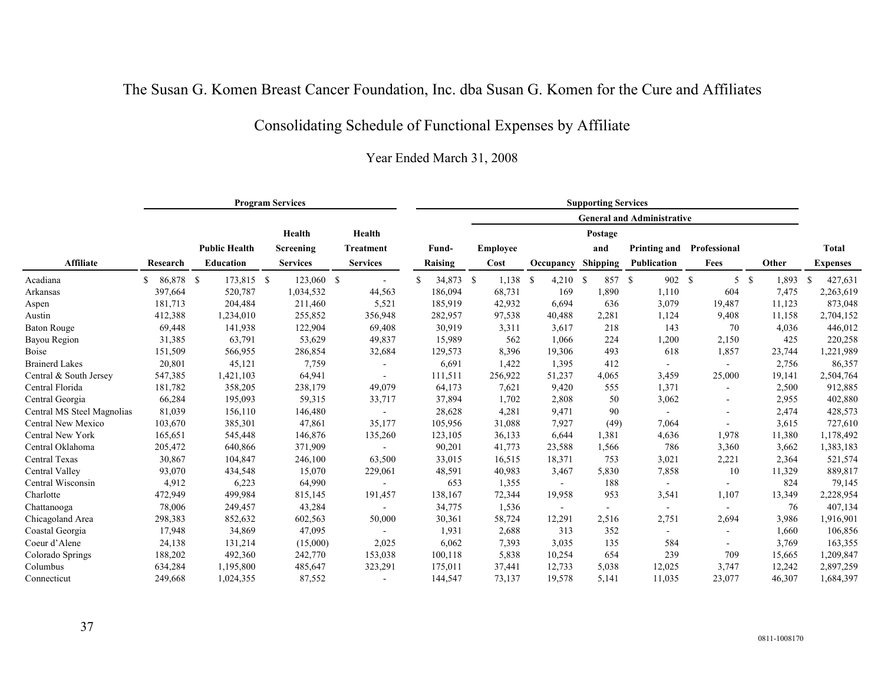# Consolidating Schedule of Functional Expenses by Affiliate

|                            |                 |                      | <b>Program Services</b> |                  |                 |                 |            | <b>Supporting Services</b>        |                     |        |                          |    |        |                 |
|----------------------------|-----------------|----------------------|-------------------------|------------------|-----------------|-----------------|------------|-----------------------------------|---------------------|--------|--------------------------|----|--------|-----------------|
|                            |                 |                      |                         |                  |                 |                 |            | <b>General and Administrative</b> |                     |        |                          |    |        |                 |
|                            |                 |                      | Health                  | Health           |                 |                 |            | Postage                           |                     |        |                          |    |        |                 |
|                            |                 | <b>Public Health</b> | Screening               | <b>Treatment</b> | Fund-           | <b>Employee</b> |            | and                               | <b>Printing and</b> |        | Professional             |    |        | Total           |
| <b>Affiliate</b>           | Research        | Education            | <b>Services</b>         | <b>Services</b>  | Raising         | Cost            | Occupancy  | <b>Shipping</b>                   | Publication         |        | Fees                     |    | Other  | <b>Expenses</b> |
| Acadiana                   | 86,878 \$<br>S. | 173,815 \$           | 123,060 \$              |                  | \$<br>34,873 \$ | $1,138$ \$      | $4,210$ \$ | 857 \$                            |                     | 902 \$ | 5 <sup>1</sup>           | -S | 1,893  | 427,631<br>-S   |
| Arkansas                   | 397,664         | 520,787              | 1,034,532               | 44,563           | 186,094         | 68,731          | 169        | 1,890                             |                     | 1,110  | 604                      |    | 7,475  | 2,263,619       |
| Aspen                      | 181,713         | 204,484              | 211,460                 | 5,521            | 185,919         | 42,932          | 6,694      | 636                               |                     | 3,079  | 19,487                   |    | 11,123 | 873,048         |
| Austin                     | 412,388         | 1,234,010            | 255,852                 | 356,948          | 282,957         | 97,538          | 40,488     | 2,281                             |                     | 1,124  | 9,408                    |    | 11,158 | 2,704,152       |
| <b>Baton Rouge</b>         | 69,448          | 141,938              | 122,904                 | 69,408           | 30,919          | 3,311           | 3,617      | 218                               |                     | 143    | 70                       |    | 4,036  | 446,012         |
| Bayou Region               | 31,385          | 63,791               | 53,629                  | 49,837           | 15,989          | 562             | 1,066      | 224                               |                     | 1,200  | 2,150                    |    | 425    | 220,258         |
| <b>Boise</b>               | 151,509         | 566,955              | 286,854                 | 32,684           | 129,573         | 8,396           | 19,306     | 493                               |                     | 618    | 1,857                    |    | 23,744 | 1,221,989       |
| <b>Brainerd Lakes</b>      | 20,801          | 45,121               | 7,759                   |                  | 6,691           | 1,422           | 1,395      | 412                               |                     |        | $\sim$                   |    | 2,756  | 86,357          |
| Central & South Jersey     | 547,385         | 1,421,103            | 64,941                  | $\blacksquare$   | 111,511         | 256,922         | 51,237     | 4,065                             |                     | 3,459  | 25,000                   |    | 19,141 | 2,504,764       |
| Central Florida            | 181,782         | 358,205              | 238,179                 | 49,079           | 64,173          | 7,621           | 9,420      | 555                               |                     | 1,371  | $\overline{\phantom{a}}$ |    | 2,500  | 912,885         |
| Central Georgia            | 66,284          | 195,093              | 59,315                  | 33,717           | 37,894          | 1,702           | 2,808      | 50                                |                     | 3,062  |                          |    | 2,955  | 402,880         |
| Central MS Steel Magnolias | 81,039          | 156,110              | 146,480                 | $\blacksquare$   | 28,628          | 4,281           | 9,471      | 90                                |                     |        | $\overline{\phantom{a}}$ |    | 2,474  | 428,573         |
| Central New Mexico         | 103,670         | 385,301              | 47,861                  | 35,177           | 105,956         | 31,088          | 7,927      | (49)                              |                     | 7,064  | $\blacksquare$           |    | 3,615  | 727,610         |
| Central New York           | 165,651         | 545,448              | 146,876                 | 135,260          | 123,105         | 36,133          | 6,644      | 1,381                             |                     | 4,636  | 1,978                    |    | 11,380 | 1,178,492       |
| Central Oklahoma           | 205,472         | 640,866              | 371,909                 |                  | 90,201          | 41,773          | 23,588     | 1,566                             |                     | 786    | 3,360                    |    | 3,662  | 1,383,183       |
| Central Texas              | 30,867          | 104,847              | 246,100                 | 63,500           | 33,015          | 16,515          | 18,371     | 753                               |                     | 3,021  | 2,221                    |    | 2,364  | 521,574         |
| Central Valley             | 93,070          | 434,548              | 15,070                  | 229,061          | 48,591          | 40,983          | 3,467      | 5,830                             |                     | 7,858  | 10                       |    | 11,329 | 889,817         |
| Central Wisconsin          | 4,912           | 6,223                | 64,990                  |                  | 653             | 1,355           |            | 188                               |                     |        | $\blacksquare$           |    | 824    | 79,145          |
| Charlotte                  | 472,949         | 499,984              | 815,145                 | 191,457          | 138,167         | 72,344          | 19,958     | 953                               |                     | 3,541  | 1,107                    |    | 13,349 | 2,228,954       |
| Chattanooga                | 78,006          | 249,457              | 43,284                  |                  | 34,775          | 1,536           |            | $\blacksquare$                    |                     |        | $\sim$                   |    | 76     | 407,134         |
| Chicagoland Area           | 298,383         | 852,632              | 602,563                 | 50,000           | 30,361          | 58,724          | 12,291     | 2,516                             |                     | 2,751  | 2,694                    |    | 3,986  | 1,916,901       |
| Coastal Georgia            | 17,948          | 34,869               | 47,095                  |                  | 1,931           | 2,688           | 313        | 352                               |                     |        | $\sim$                   |    | 1,660  | 106,856         |
| Coeur d'Alene              | 24,138          | 131,214              | (15,000)                | 2,025            | 6,062           | 7,393           | 3,035      | 135                               |                     | 584    |                          |    | 3,769  | 163,355         |
| Colorado Springs           | 188,202         | 492,360              | 242,770                 | 153,038          | 100,118         | 5,838           | 10,254     | 654                               |                     | 239    | 709                      |    | 15,665 | 1,209,847       |
| Columbus                   | 634,284         | 1,195,800            | 485,647                 | 323,291          | 175,011         | 37,441          | 12,733     | 5,038                             |                     | 12,025 | 3,747                    |    | 12,242 | 2,897,259       |
| Connecticut                | 249,668         | 1,024,355            | 87,552                  |                  | 144,547         | 73,137          | 19,578     | 5,141                             |                     | 11,035 | 23,077                   |    | 46,307 | 1,684,397       |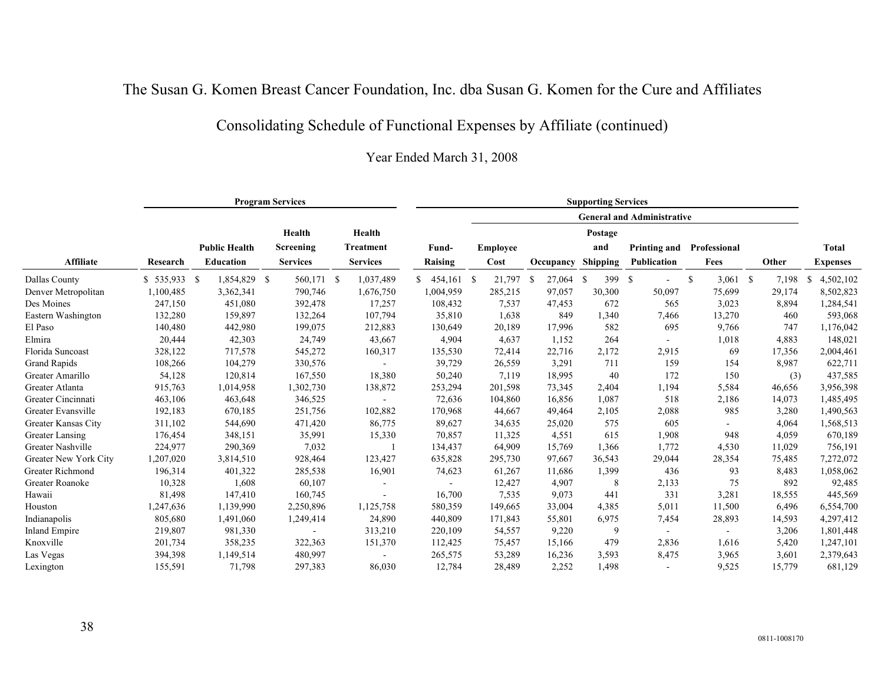## Consolidating Schedule of Functional Expenses by Affiliate (continued)

|                       |               |                      | <b>Program Services</b> |                 |                  |                 |           | <b>Supporting Services</b> |                                   |                  |        |                 |
|-----------------------|---------------|----------------------|-------------------------|-----------------|------------------|-----------------|-----------|----------------------------|-----------------------------------|------------------|--------|-----------------|
|                       |               |                      |                         |                 |                  |                 |           |                            | <b>General and Administrative</b> |                  |        |                 |
|                       |               |                      | Health                  | Health          |                  |                 |           | Postage                    |                                   |                  |        |                 |
|                       |               | <b>Public Health</b> | Screening               | Treatment       | Fund-            | <b>Employee</b> |           | and                        | <b>Printing and</b>               | Professional     |        | <b>Total</b>    |
| Affiliate             | Research      | <b>Education</b>     | <b>Services</b>         | <b>Services</b> | Raising          | Cost            | Occupancy | <b>Shipping</b>            | <b>Publication</b>                | Fees             | Other  | <b>Expenses</b> |
| Dallas County         | $$535,933$ \; | 1,854,829 \$         | 560,171 \$              | 1,037,489       | 454,161 \$<br>\$ | 21,797 \$       | 27,064    | 399<br>-S                  | -\$<br>$\overline{\phantom{a}}$   | \$<br>$3,061$ \$ | 7,198  | 4,502,102<br>-S |
| Denver Metropolitan   | 1,100,485     | 3,362,341            | 790,746                 | 1,676,750       | 1,004,959        | 285,215         | 97,057    | 30,300                     | 50,097                            | 75,699           | 29,174 | 8,502,823       |
| Des Moines            | 247,150       | 451,080              | 392,478                 | 17,257          | 108,432          | 7,537           | 47,453    | 672                        | 565                               | 3,023            | 8,894  | 1,284,541       |
| Eastern Washington    | 132,280       | 159,897              | 132,264                 | 107,794         | 35,810           | 1,638           | 849       | 1,340                      | 7,466                             | 13,270           | 460    | 593,068         |
| El Paso               | 140,480       | 442,980              | 199,075                 | 212,883         | 130,649          | 20,189          | 17,996    | 582                        | 695                               | 9,766            | 747    | 1,176,042       |
| Elmira                | 20,444        | 42,303               | 24,749                  | 43,667          | 4,904            | 4,637           | 1,152     | 264                        |                                   | 1,018            | 4,883  | 148,021         |
| Florida Suncoast      | 328,122       | 717,578              | 545,272                 | 160,317         | 135,530          | 72,414          | 22,716    | 2,172                      | 2,915                             | 69               | 17,356 | 2,004,461       |
| Grand Rapids          | 108,266       | 104,279              | 330,576                 |                 | 39,729           | 26,559          | 3,291     | 711                        | 159                               | 154              | 8,987  | 622,711         |
| Greater Amarillo      | 54,128        | 120,814              | 167,550                 | 18,380          | 50,240           | 7,119           | 18,995    | 40                         | 172                               | 150              | (3)    | 437,585         |
| Greater Atlanta       | 915,763       | 1,014,958            | 1,302,730               | 138,872         | 253,294          | 201,598         | 73,345    | 2,404                      | 1,194                             | 5,584            | 46,656 | 3,956,398       |
| Greater Cincinnati    | 463,106       | 463,648              | 346,525                 |                 | 72,636           | 104,860         | 16,856    | 1,087                      | 518                               | 2,186            | 14,073 | 1,485,495       |
| Greater Evansville    | 192,183       | 670,185              | 251,756                 | 102,882         | 170,968          | 44,667          | 49,464    | 2,105                      | 2,088                             | 985              | 3,280  | 1,490,563       |
| Greater Kansas City   | 311,102       | 544,690              | 471,420                 | 86,775          | 89,627           | 34,635          | 25,020    | 575                        | 605                               |                  | 4,064  | 1,568,513       |
| Greater Lansing       | 176,454       | 348,151              | 35,991                  | 15,330          | 70,857           | 11,325          | 4,551     | 615                        | 1,908                             | 948              | 4,059  | 670,189         |
| Greater Nashville     | 224,977       | 290,369              | 7,032                   |                 | 134,437          | 64,909          | 15,769    | 1,366                      | 1,772                             | 4,530            | 11,029 | 756,191         |
| Greater New York City | 1,207,020     | 3,814,510            | 928,464                 | 123,427         | 635,828          | 295,730         | 97,667    | 36,543                     | 29,044                            | 28,354           | 75,485 | 7,272,072       |
| Greater Richmond      | 196,314       | 401,322              | 285,538                 | 16,901          | 74,623           | 61,267          | 11,686    | 1,399                      | 436                               | 93               | 8,483  | 1,058,062       |
| Greater Roanoke       | 10,328        | 1,608                | 60,107                  |                 |                  | 12,427          | 4,907     | 8                          | 2,133                             | 75               | 892    | 92,485          |
| Hawaii                | 81,498        | 147,410              | 160,745                 |                 | 16,700           | 7,535           | 9,073     | 441                        | 331                               | 3,281            | 18,555 | 445,569         |
| Houston               | 1,247,636     | 1,139,990            | 2,250,896               | 1,125,758       | 580,359          | 149,665         | 33,004    | 4,385                      | 5,011                             | 11,500           | 6,496  | 6,554,700       |
| Indianapolis          | 805,680       | 1,491,060            | 1,249,414               | 24,890          | 440,809          | 171,843         | 55,801    | 6,975                      | 7,454                             | 28,893           | 14,593 | 4,297,412       |
| <b>Inland Empire</b>  | 219,807       | 981,330              |                         | 313,210         | 220,109          | 54,557          | 9,220     | 9                          |                                   |                  | 3,206  | 1,801,448       |
| Knoxville             | 201,734       | 358,235              | 322,363                 | 151,370         | 112,425          | 75,457          | 15,166    | 479                        | 2,836                             | 1,616            | 5,420  | 1,247,101       |
| Las Vegas             | 394,398       | 1,149,514            | 480,997                 |                 | 265,575          | 53,289          | 16,236    | 3,593                      | 8,475                             | 3,965            | 3,601  | 2,379,643       |
| Lexington             | 155,591       | 71,798               | 297,383                 | 86,030          | 12,784           | 28,489          | 2,252     | 1,498                      |                                   | 9,525            | 15,779 | 681,129         |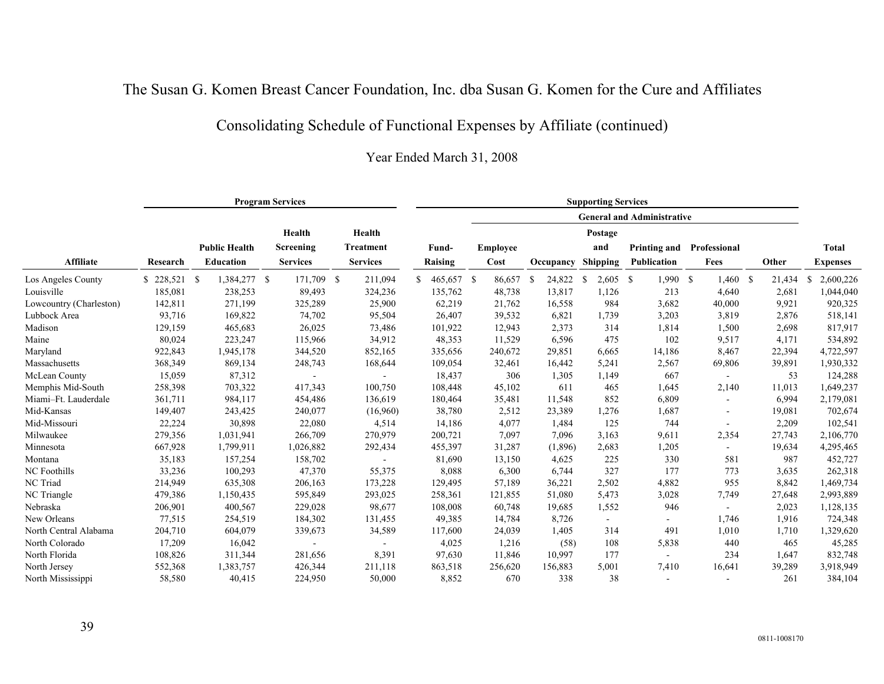## Consolidating Schedule of Functional Expenses by Affiliate (continued)

|                         |          |                      | <b>Program Services</b> |                  |                  |                 |              | <b>Supporting Services</b> |                                   |                          |        |                 |
|-------------------------|----------|----------------------|-------------------------|------------------|------------------|-----------------|--------------|----------------------------|-----------------------------------|--------------------------|--------|-----------------|
|                         |          |                      |                         |                  |                  |                 |              |                            | <b>General and Administrative</b> |                          |        |                 |
|                         |          |                      | Health                  | Health           |                  |                 |              | Postage                    |                                   |                          |        |                 |
|                         |          | <b>Public Health</b> | Screening               | <b>Treatment</b> | Fund-            | <b>Employee</b> |              | and                        | <b>Printing and</b>               | Professional             |        | <b>Total</b>    |
| <b>Affiliate</b>        | Research | <b>Education</b>     | <b>Services</b>         | <b>Services</b>  | Raising          | Cost            | Occupancy    | <b>Shipping</b>            | Publication                       | Fees                     | Other  | <b>Expenses</b> |
| Los Angeles County      |          | 1,384,277 \$         | 171,709 \$              | 211,094          | \$<br>465,657 \$ | 86,657          | 24,822<br>-S | $2,605$ \$<br>-S           | 1,990 S                           | $1,460$ \$               | 21,434 | 2,600,226<br>S  |
| Louisville              | 185,081  | 238,253              | 89,493                  | 324,236          | 135,762          | 48,738          | 13,817       | 1,126                      | 213                               | 4,640                    | 2,681  | 1,044,040       |
| Lowcountry (Charleston) | 142,811  | 271,199              | 325,289                 | 25,900           | 62,219           | 21,762          | 16,558       | 984                        | 3,682                             | 40,000                   | 9,921  | 920,325         |
| Lubbock Area            | 93,716   | 169,822              | 74,702                  | 95,504           | 26,407           | 39,532          | 6,821        | 1,739                      | 3,203                             | 3,819                    | 2,876  | 518,141         |
| Madison                 | 129,159  | 465,683              | 26,025                  | 73,486           | 101,922          | 12,943          | 2,373        | 314                        | 1,814                             | 1,500                    | 2,698  | 817,917         |
| Maine                   | 80,024   | 223,247              | 115,966                 | 34,912           | 48,353           | 11,529          | 6,596        | 475                        | 102                               | 9,517                    | 4,171  | 534,892         |
| Maryland                | 922,843  | 1,945,178            | 344,520                 | 852,165          | 335,656          | 240,672         | 29,851       | 6,665                      | 14,186                            | 8,467                    | 22,394 | 4,722,597       |
| Massachusetts           | 368,349  | 869,134              | 248,743                 | 168,644          | 109,054          | 32,461          | 16,442       | 5,241                      | 2,567                             | 69,806                   | 39,891 | 1,930,332       |
| McLean County           | 15,059   | 87,312               |                         |                  | 18,437           | 306             | 1,305        | 1,149                      | 667                               | $\blacksquare$           | 53     | 124,288         |
| Memphis Mid-South       | 258,398  | 703,322              | 417,343                 | 100,750          | 108,448          | 45,102          | 611          | 465                        | 1,645                             | 2,140                    | 11,013 | 1,649,237       |
| Miami-Ft. Lauderdale    | 361,711  | 984,117              | 454,486                 | 136,619          | 180,464          | 35,481          | 11,548       | 852                        | 6,809                             |                          | 6,994  | 2,179,081       |
| Mid-Kansas              | 149,407  | 243,425              | 240,077                 | (16,960)         | 38,780           | 2,512           | 23,389       | 1,276                      | 1,687                             | $\overline{\phantom{a}}$ | 19,081 | 702,674         |
| Mid-Missouri            | 22,224   | 30,898               | 22,080                  | 4,514            | 14,186           | 4,077           | 1,484        | 125                        | 744                               | $\sim$                   | 2,209  | 102,541         |
| Milwaukee               | 279,356  | 1,031,941            | 266,709                 | 270,979          | 200,721          | 7,097           | 7,096        | 3,163                      | 9,611                             | 2,354                    | 27,743 | 2,106,770       |
| Minnesota               | 667,928  | 1,799,911            | 1,026,882               | 292,434          | 455,397          | 31,287          | (1,896)      | 2,683                      | 1,205                             | $\sim$                   | 19,634 | 4,295,465       |
| Montana                 | 35,183   | 157,254              | 158,702                 |                  | 81,690           | 13,150          | 4,625        | 225                        | 330                               | 581                      | 987    | 452,727         |
| NC Foothills            | 33,236   | 100,293              | 47,370                  | 55,375           | 8,088            | 6,300           | 6,744        | 327                        | 177                               | 773                      | 3,635  | 262,318         |
| NC Triad                | 214,949  | 635,308              | 206,163                 | 173,228          | 129,495          | 57,189          | 36,221       | 2,502                      | 4,882                             | 955                      | 8,842  | 1,469,734       |
| NC Triangle             | 479,386  | 1,150,435            | 595,849                 | 293,025          | 258,361          | 121,855         | 51,080       | 5,473                      | 3,028                             | 7,749                    | 27,648 | 2,993,889       |
| Nebraska                | 206,901  | 400,567              | 229,028                 | 98,677           | 108,008          | 60,748          | 19,685       | 1,552                      | 946                               | $\sim$                   | 2,023  | 1,128,135       |
| New Orleans             | 77,515   | 254,519              | 184,302                 | 131,455          | 49,385           | 14,784          | 8,726        | $\blacksquare$             |                                   | 1,746                    | 1,916  | 724,348         |
| North Central Alabama   | 204,710  | 604,079              | 339,673                 | 34,589           | 117,600          | 24,039          | 1,405        | 314                        | 491                               | 1,010                    | 1,710  | 1,329,620       |
| North Colorado          | 17,209   | 16,042               |                         |                  | 4,025            | 1,216           | (58)         | 108                        | 5,838                             | 440                      | 465    | 45,285          |
| North Florida           | 108,826  | 311,344              | 281,656                 | 8,391            | 97,630           | 11,846          | 10,997       | 177                        |                                   | 234                      | 1,647  | 832,748         |
| North Jersey            | 552,368  | 1,383,757            | 426,344                 | 211,118          | 863,518          | 256,620         | 156,883      | 5,001                      | 7,410                             | 16,641                   | 39,289 | 3,918,949       |
| North Mississippi       | 58,580   | 40,415               | 224,950                 | 50,000           | 8,852            | 670             | 338          | 38                         |                                   |                          | 261    | 384,104         |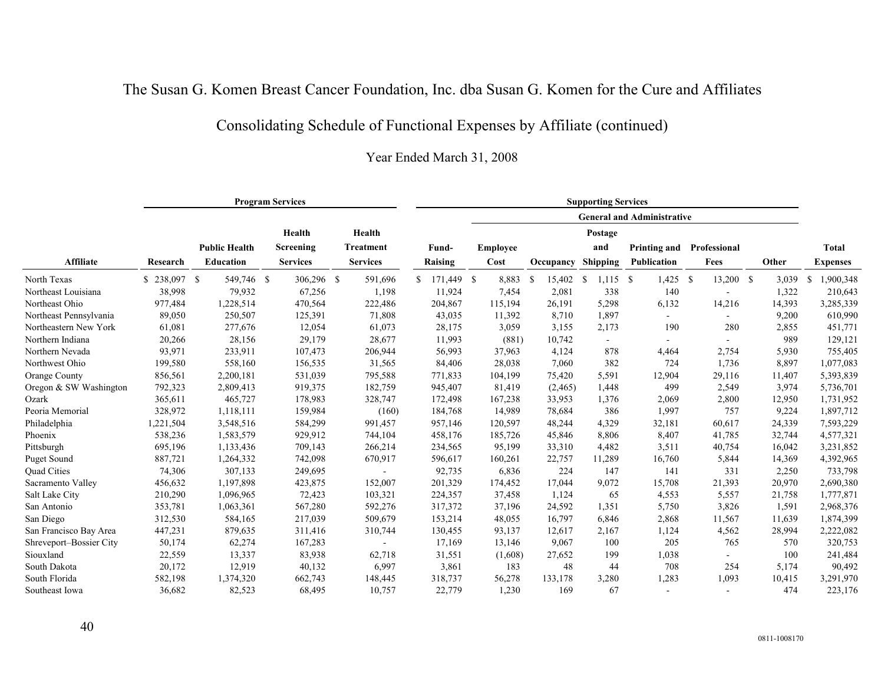## Consolidating Schedule of Functional Expenses by Affiliate (continued)

|                         |               |                      | <b>Program Services</b> |                  |                  |                 |                | <b>Supporting Services</b> |                                   |                          |        |                           |
|-------------------------|---------------|----------------------|-------------------------|------------------|------------------|-----------------|----------------|----------------------------|-----------------------------------|--------------------------|--------|---------------------------|
|                         |               |                      |                         |                  |                  |                 |                |                            | <b>General and Administrative</b> |                          |        |                           |
|                         |               |                      | Health                  | Health           |                  |                 |                | Postage                    |                                   |                          |        |                           |
|                         |               | <b>Public Health</b> | Screening               | <b>Treatment</b> | Fund-            | <b>Employee</b> |                | and                        | Printing and                      | Professional             |        | Total                     |
| <b>Affiliate</b>        | Research      | <b>Education</b>     | <b>Services</b>         | <b>Services</b>  | Raising          | Cost            | Occupancy      | <b>Shipping</b>            | <b>Publication</b>                | Fees                     | Other  | <b>Expenses</b>           |
| North Texas             | $$238,097$ \$ | 549,746 \$           | 306,296 \$              | 591,696          | 171,449 \$<br>S. | 8,883           | 15,402<br>- \$ | $1,115$ \$<br>-S           | $1,425$ \$                        | 13,200 \$                | 3,039  | 1,900,348<br><sup>S</sup> |
| Northeast Louisiana     | 38,998        | 79,932               | 67,256                  | 1,198            | 11,924           | 7,454           | 2,081          | 338                        | 140                               |                          | 1,322  | 210,643                   |
| Northeast Ohio          | 977,484       | 1,228,514            | 470,564                 | 222,486          | 204,867          | 115,194         | 26,191         | 5,298                      | 6,132                             | 14,216                   | 14,393 | 3,285,339                 |
| Northeast Pennsylvania  | 89,050        | 250,507              | 125,391                 | 71,808           | 43,035           | 11,392          | 8,710          | 1,897                      |                                   | $\blacksquare$           | 9,200  | 610,990                   |
| Northeastern New York   | 61,081        | 277,676              | 12,054                  | 61,073           | 28,175           | 3,059           | 3,155          | 2,173                      | 190                               | 280                      | 2,855  | 451,771                   |
| Northern Indiana        | 20,266        | 28,156               | 29,179                  | 28,677           | 11,993           | (881)           | 10,742         | $\sim$                     |                                   | $\sim$                   | 989    | 129,121                   |
| Northern Nevada         | 93,971        | 233,911              | 107,473                 | 206,944          | 56,993           | 37,963          | 4,124          | 878                        | 4,464                             | 2,754                    | 5,930  | 755,405                   |
| Northwest Ohio          | 199,580       | 558,160              | 156,535                 | 31,565           | 84,406           | 28,038          | 7,060          | 382                        | 724                               | 1,736                    | 8,897  | 1,077,083                 |
| Orange County           | 856,561       | 2,200,181            | 531,039                 | 795,588          | 771,833          | 104,199         | 75,420         | 5,591                      | 12,904                            | 29,116                   | 11,407 | 5,393,839                 |
| Oregon & SW Washington  | 792,323       | 2,809,413            | 919,375                 | 182,759          | 945,407          | 81,419          | (2,465)        | 1,448                      | 499                               | 2,549                    | 3,974  | 5,736,701                 |
| Ozark                   | 365,611       | 465,727              | 178,983                 | 328,747          | 172,498          | 167,238         | 33,953         | 1,376                      | 2,069                             | 2,800                    | 12,950 | 1,731,952                 |
| Peoria Memorial         | 328,972       | 1,118,111            | 159,984                 | (160)            | 184,768          | 14,989          | 78,684         | 386                        | 1,997                             | 757                      | 9,224  | 1,897,712                 |
| Philadelphia            | 1,221,504     | 3,548,516            | 584,299                 | 991,457          | 957,146          | 120,597         | 48,244         | 4,329                      | 32,181                            | 60,617                   | 24,339 | 7,593,229                 |
| Phoenix                 | 538,236       | 1,583,579            | 929,912                 | 744,104          | 458,176          | 185,726         | 45,846         | 8,806                      | 8,407                             | 41,785                   | 32,744 | 4,577,321                 |
| Pittsburgh              | 695,196       | 1,133,436            | 709,143                 | 266,214          | 234,565          | 95,199          | 33,310         | 4,482                      | 3,511                             | 40,754                   | 16,042 | 3,231,852                 |
| Puget Sound             | 887,721       | 1,264,332            | 742,098                 | 670,917          | 596,617          | 160,261         | 22,757         | 11,289                     | 16,760                            | 5,844                    | 14,369 | 4,392,965                 |
| Quad Cities             | 74,306        | 307,133              | 249,695                 |                  | 92,735           | 6,836           | 224            | 147                        | 141                               | 331                      | 2,250  | 733,798                   |
| Sacramento Valley       | 456,632       | 1,197,898            | 423,875                 | 152,007          | 201,329          | 174,452         | 17,044         | 9,072                      | 15,708                            | 21,393                   | 20,970 | 2,690,380                 |
| Salt Lake City          | 210,290       | 1,096,965            | 72,423                  | 103,321          | 224,357          | 37,458          | 1,124          | 65                         | 4,553                             | 5,557                    | 21,758 | 1,777,871                 |
| San Antonio             | 353,781       | 1,063,361            | 567,280                 | 592,276          | 317,372          | 37,196          | 24,592         | 1,351                      | 5,750                             | 3,826                    | 1,591  | 2,968,376                 |
| San Diego               | 312,530       | 584,165              | 217,039                 | 509,679          | 153,214          | 48,055          | 16,797         | 6,846                      | 2,868                             | 11,567                   | 11,639 | 1,874,399                 |
| San Francisco Bay Area  | 447,231       | 879,635              | 311,416                 | 310,744          | 130,455          | 93,137          | 12,617         | 2,167                      | 1,124                             | 4,562                    | 28,994 | 2,222,082                 |
| Shreveport-Bossier City | 50,174        | 62,274               | 167,283                 |                  | 17,169           | 13,146          | 9,067          | 100                        | 205                               | 765                      | 570    | 320,753                   |
| Siouxland               | 22,559        | 13,337               | 83,938                  | 62,718           | 31,551           | (1,608)         | 27,652         | 199                        | 1,038                             |                          | 100    | 241,484                   |
| South Dakota            | 20,172        | 12,919               | 40,132                  | 6,997            | 3,861            | 183             | 48             | 44                         | 708                               | 254                      | 5,174  | 90,492                    |
| South Florida           | 582,198       | 1,374,320            | 662,743                 | 148,445          | 318,737          | 56,278          | 133,178        | 3,280                      | 1,283                             | 1,093                    | 10,415 | 3,291,970                 |
| Southeast Iowa          | 36,682        | 82,523               | 68,495                  | 10,757           | 22,779           | 1,230           | 169            | 67                         |                                   | $\overline{\phantom{a}}$ | 474    | 223,176                   |